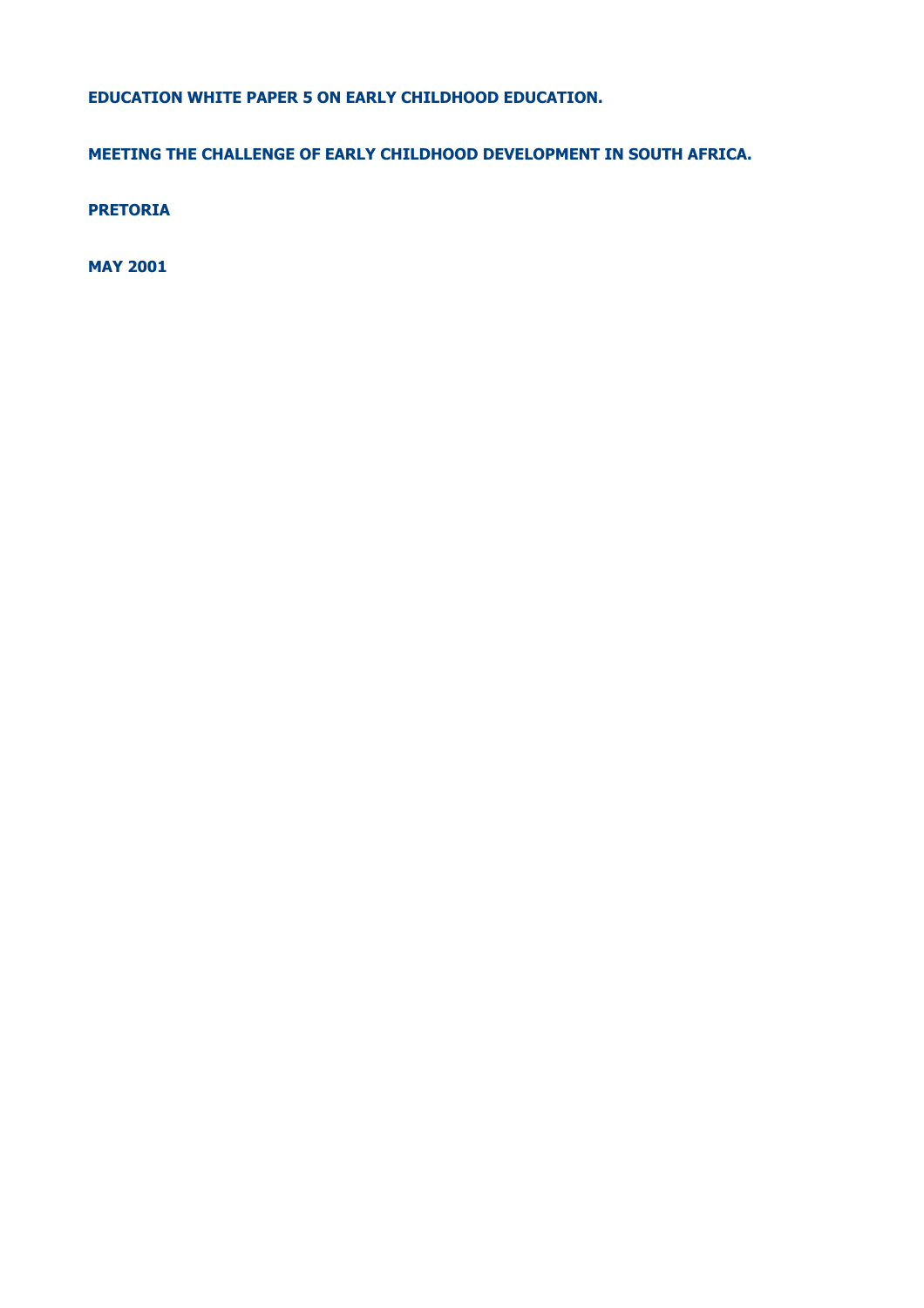**EDUCATION WHITE PAPER 5 ON EARLY CHILDHOOD EDUCATION.**

**MEETING THE CHALLENGE OF EARLY CHILDHOOD DEVELOPMENT IN SOUTH AFRICA.**

**PRETORIA**

**MAY 2001**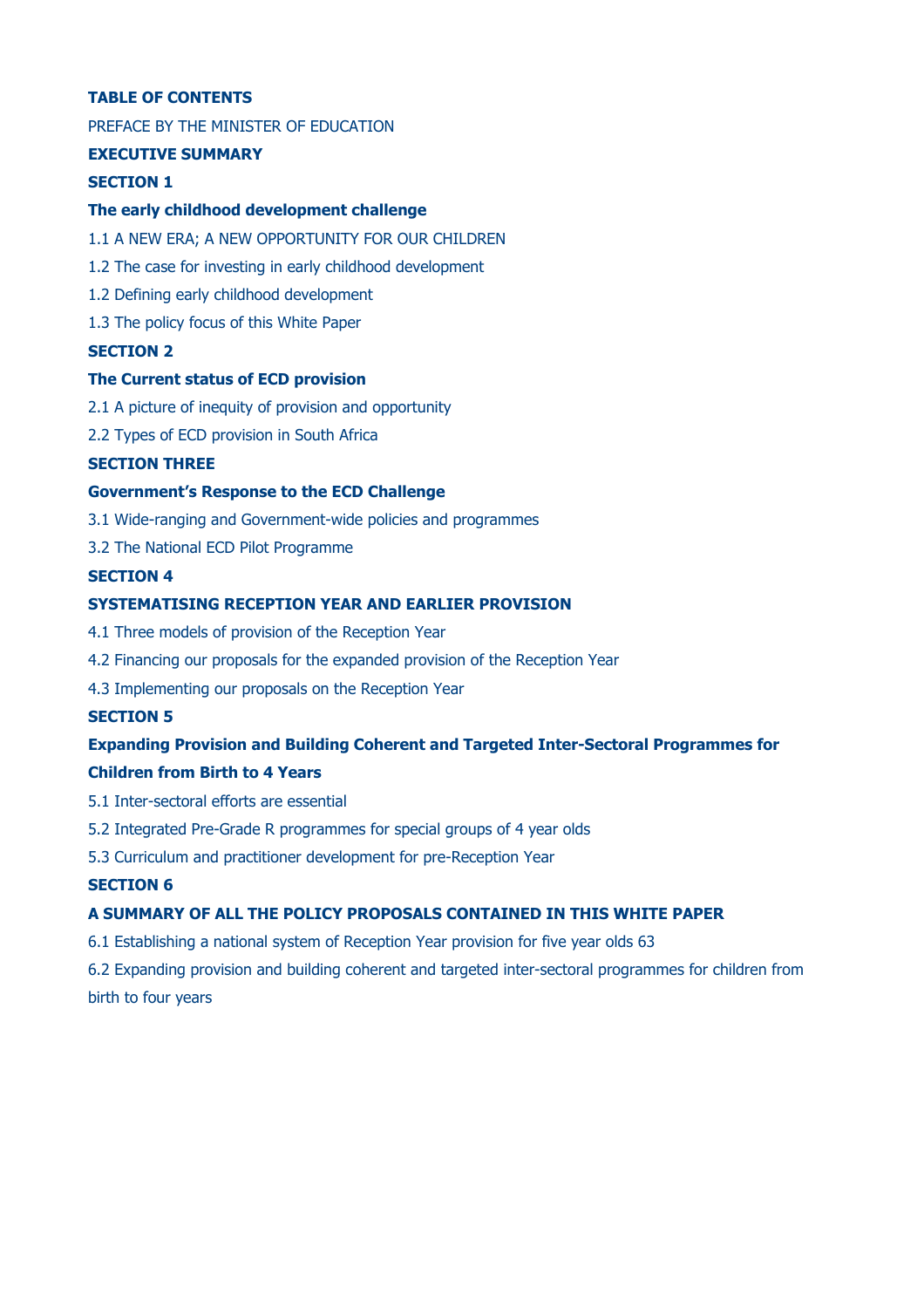# **TABLE OF CONTENTS**

PREFACE BY THE MINISTER OF EDUCATION

## **EXECUTIVE SUMMARY**

# **SECTION 1**

## **The early childhood development challenge**

- 1.1 A NEW ERA; A NEW OPPORTUNITY FOR OUR CHILDREN
- 1.2 The case for investing in early childhood development
- 1.2 Defining early childhood development
- 1.3 The policy focus of this White Paper

## **SECTION 2**

#### **The Current status of ECD provision**

- 2.1 A picture of inequity of provision and opportunity
- 2.2 Types of ECD provision in South Africa

## **SECTION THREE**

## **Government's Response to the ECD Challenge**

- 3.1 Wide-ranging and Government-wide policies and programmes
- 3.2 The National ECD Pilot Programme

### **SECTION 4**

## **SYSTEMATISING RECEPTION YEAR AND EARLIER PROVISION**

- 4.1 Three models of provision of the Reception Year
- 4.2 Financing our proposals for the expanded provision of the Reception Year
- 4.3 Implementing our proposals on the Reception Year

## **SECTION 5**

# **Expanding Provision and Building Coherent and Targeted Inter-Sectoral Programmes for Children from Birth to 4 Years**

- 5.1 Inter-sectoral efforts are essential
- 5.2 Integrated Pre-Grade R programmes for special groups of 4 year olds
- 5.3 Curriculum and practitioner development for pre-Reception Year

## **SECTION 6**

# **A SUMMARY OF ALL THE POLICY PROPOSALS CONTAINED IN THIS WHITE PAPER**

6.1 Establishing a national system of Reception Year provision for five year olds 63

6.2 Expanding provision and building coherent and targeted inter-sectoral programmes for children from birth to four years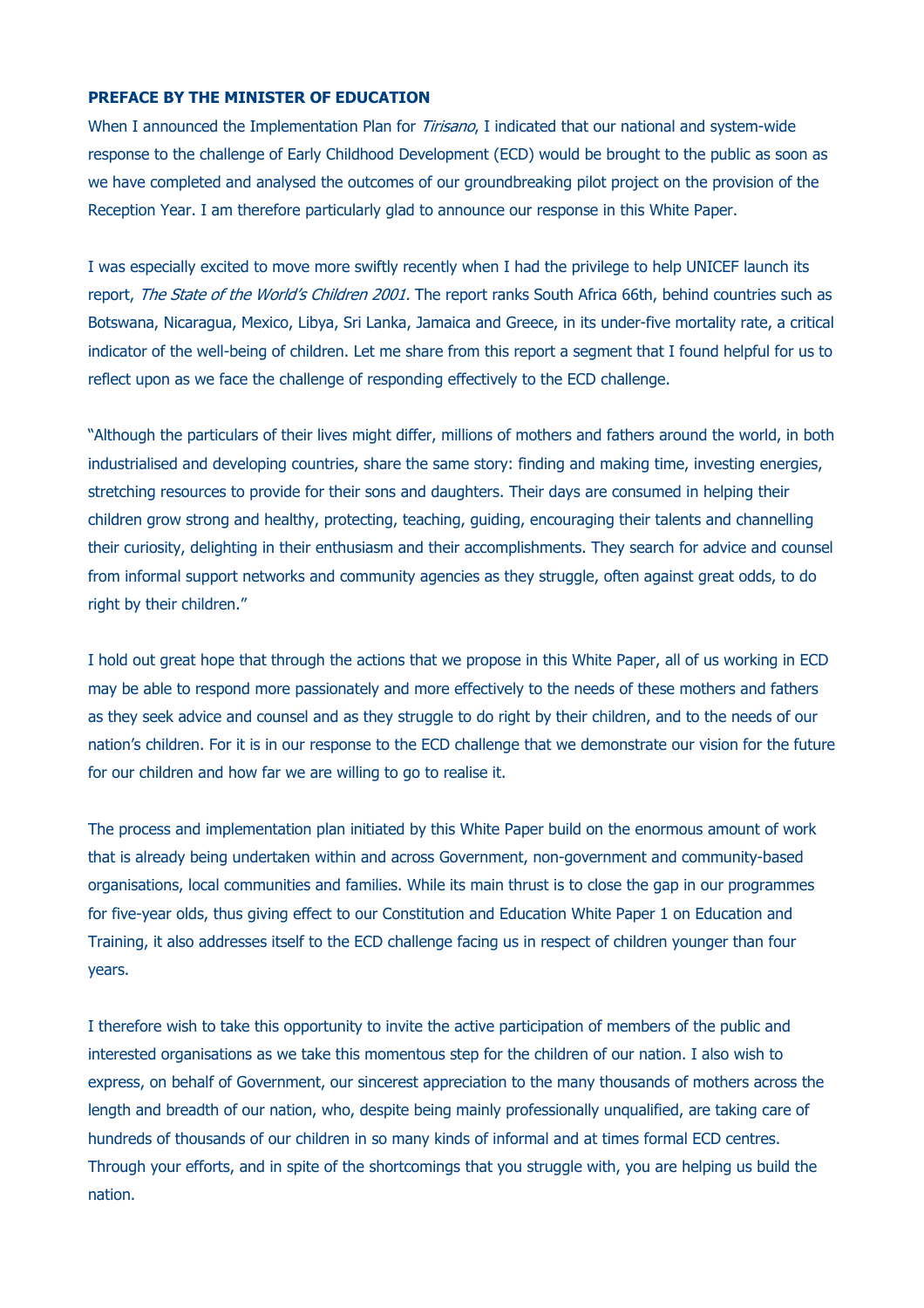## **PREFACE BY THE MINISTER OF EDUCATION**

When I announced the Implementation Plan for *Tirisano*, I indicated that our national and system-wide response to the challenge of Early Childhood Development (ECD) would be brought to the public as soon as we have completed and analysed the outcomes of our groundbreaking pilot project on the provision of the Reception Year. I am therefore particularly glad to announce our response in this White Paper.

I was especially excited to move more swiftly recently when I had the privilege to help UNICEF launch its report, *The State of the World's Children 2001.* The report ranks South Africa 66th, behind countries such as Botswana, Nicaragua, Mexico, Libya, Sri Lanka, Jamaica and Greece, in its under-five mortality rate, a critical indicator of the well-being of children. Let me share from this report a segment that I found helpful for us to reflect upon as we face the challenge of responding effectively to the ECD challenge.

"Although the particulars of their lives might differ, millions of mothers and fathers around the world, in both industrialised and developing countries, share the same story: finding and making time, investing energies, stretching resources to provide for their sons and daughters. Their days are consumed in helping their children grow strong and healthy, protecting, teaching, guiding, encouraging their talents and channelling their curiosity, delighting in their enthusiasm and their accomplishments. They search for advice and counsel from informal support networks and community agencies as they struggle, often against great odds, to do right by their children."

I hold out great hope that through the actions that we propose in this White Paper, all of us working in ECD may be able to respond more passionately and more effectively to the needs of these mothers and fathers as they seek advice and counsel and as they struggle to do right by their children, and to the needs of our nation's children. For it is in our response to the ECD challenge that we demonstrate our vision for the future for our children and how far we are willing to go to realise it.

The process and implementation plan initiated by this White Paper build on the enormous amount of work that is already being undertaken within and across Government, non-government and community-based organisations, local communities and families. While its main thrust is to close the gap in our programmes for five-year olds, thus giving effect to our Constitution and Education White Paper 1 on Education and Training, it also addresses itself to the ECD challenge facing us in respect of children younger than four years.

I therefore wish to take this opportunity to invite the active participation of members of the public and interested organisations as we take this momentous step for the children of our nation. I also wish to express, on behalf of Government, our sincerest appreciation to the many thousands of mothers across the length and breadth of our nation, who, despite being mainly professionally unqualified, are taking care of hundreds of thousands of our children in so many kinds of informal and at times formal ECD centres. Through your efforts, and in spite of the shortcomings that you struggle with, you are helping us build the nation.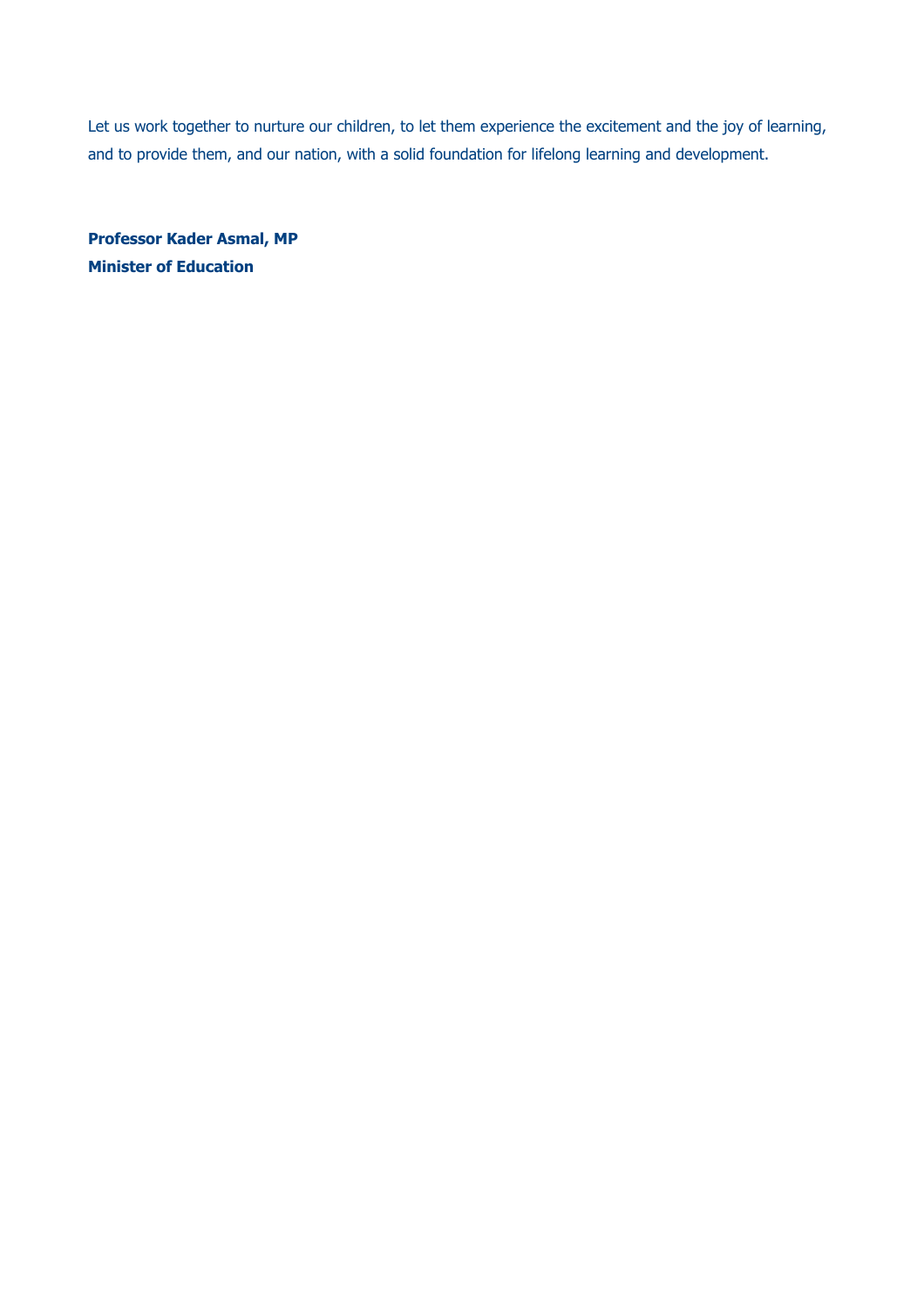Let us work together to nurture our children, to let them experience the excitement and the joy of learning, and to provide them, and our nation, with a solid foundation for lifelong learning and development.

**Professor Kader Asmal, MP Minister of Education**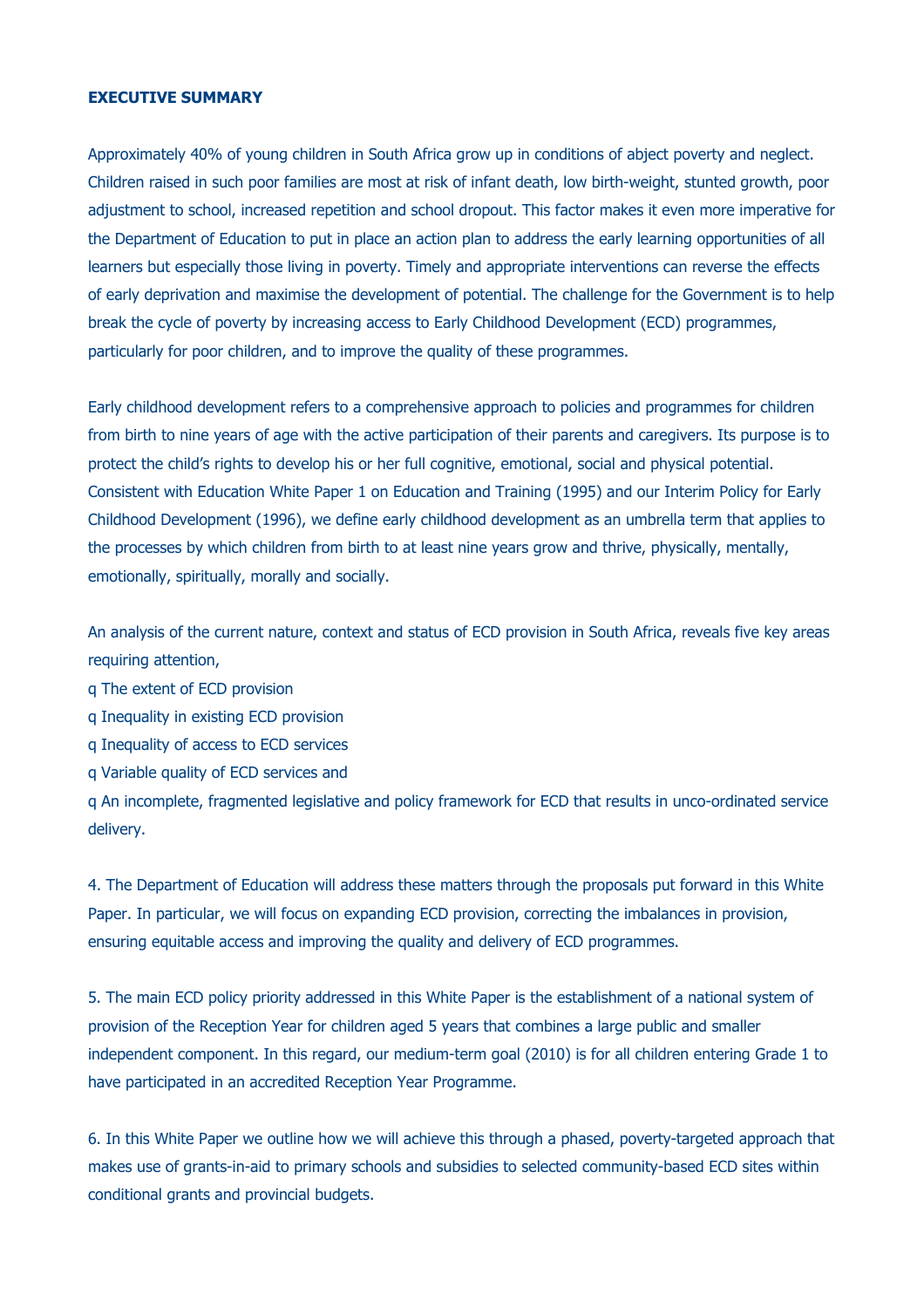## **EXECUTIVE SUMMARY**

Approximately 40% of young children in South Africa grow up in conditions of abject poverty and neglect. Children raised in such poor families are most at risk of infant death, low birth-weight, stunted growth, poor adjustment to school, increased repetition and school dropout. This factor makes it even more imperative for the Department of Education to put in place an action plan to address the early learning opportunities of all learners but especially those living in poverty. Timely and appropriate interventions can reverse the effects of early deprivation and maximise the development of potential. The challenge for the Government is to help break the cycle of poverty by increasing access to Early Childhood Development (ECD) programmes, particularly for poor children, and to improve the quality of these programmes.

Early childhood development refers to a comprehensive approach to policies and programmes for children from birth to nine years of age with the active participation of their parents and caregivers. Its purpose is to protect the child's rights to develop his or her full cognitive, emotional, social and physical potential. Consistent with Education White Paper 1 on Education and Training (1995) and our Interim Policy for Early Childhood Development (1996), we define early childhood development as an umbrella term that applies to the processes by which children from birth to at least nine years grow and thrive, physically, mentally, emotionally, spiritually, morally and socially.

An analysis of the current nature, context and status of ECD provision in South Africa, reveals five key areas requiring attention,

q The extent of ECD provision

- q Inequality in existing ECD provision
- q Inequality of access to ECD services
- q Variable quality of ECD services and

q An incomplete, fragmented legislative and policy framework for ECD that results in unco-ordinated service delivery.

4. The Department of Education will address these matters through the proposals put forward in this White Paper. In particular, we will focus on expanding ECD provision, correcting the imbalances in provision, ensuring equitable access and improving the quality and delivery of ECD programmes.

5. The main ECD policy priority addressed in this White Paper is the establishment of a national system of provision of the Reception Year for children aged 5 years that combines a large public and smaller independent component. In this regard, our medium-term goal (2010) is for all children entering Grade 1 to have participated in an accredited Reception Year Programme.

6. In this White Paper we outline how we will achieve this through a phased, poverty-targeted approach that makes use of grants-in-aid to primary schools and subsidies to selected community-based ECD sites within conditional grants and provincial budgets.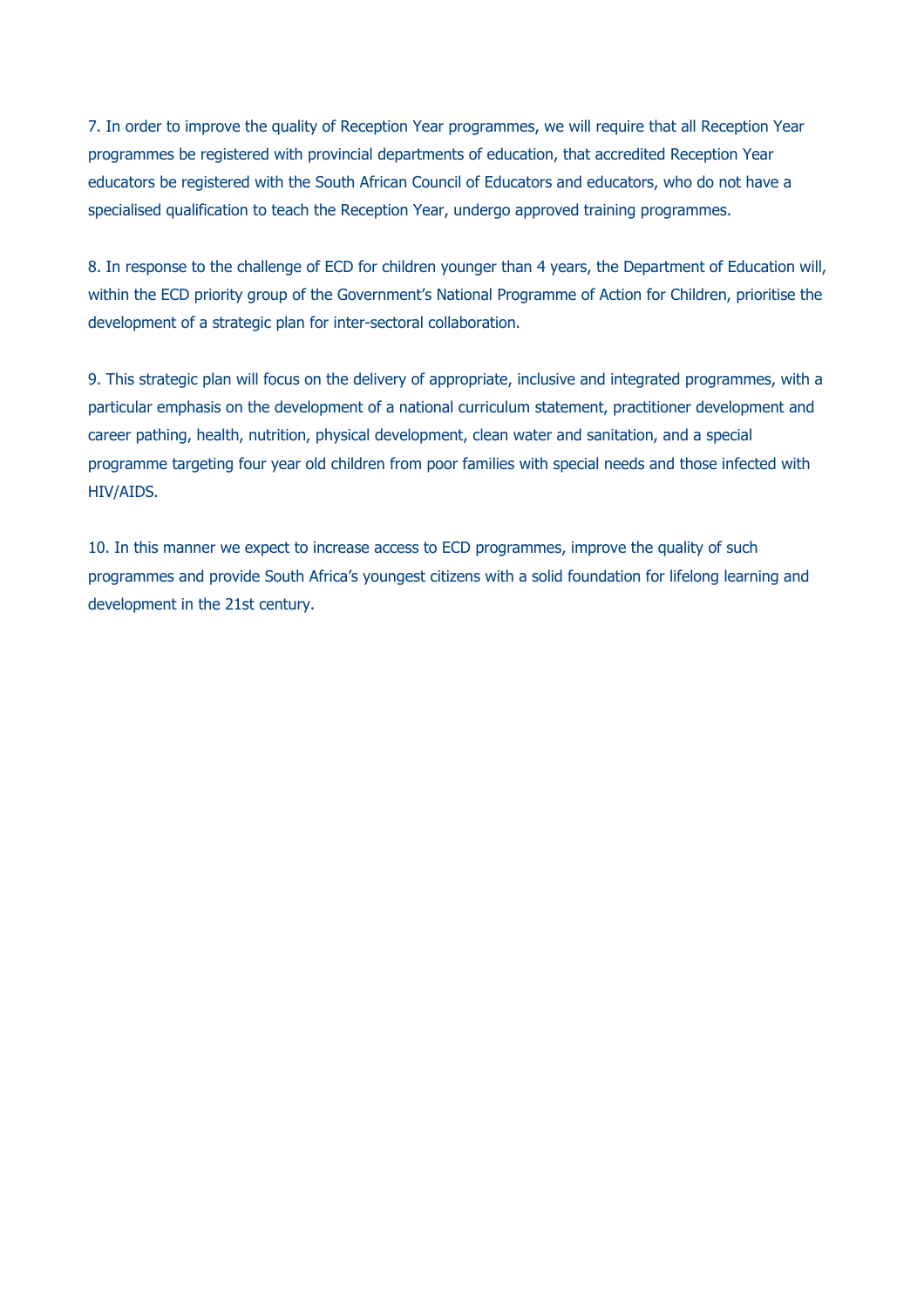7. In order to improve the quality of Reception Year programmes, we will require that all Reception Year programmes be registered with provincial departments of education, that accredited Reception Year educators be registered with the South African Council of Educators and educators, who do not have a specialised qualification to teach the Reception Year, undergo approved training programmes.

8. In response to the challenge of ECD for children younger than 4 years, the Department of Education will, within the ECD priority group of the Government's National Programme of Action for Children, prioritise the development of a strategic plan for inter-sectoral collaboration.

9. This strategic plan will focus on the delivery of appropriate, inclusive and integrated programmes, with a particular emphasis on the development of a national curriculum statement, practitioner development and career pathing, health, nutrition, physical development, clean water and sanitation, and a special programme targeting four year old children from poor families with special needs and those infected with HIV/AIDS.

10. In this manner we expect to increase access to ECD programmes, improve the quality of such programmes and provide South Africa's youngest citizens with a solid foundation for lifelong learning and development in the 21st century.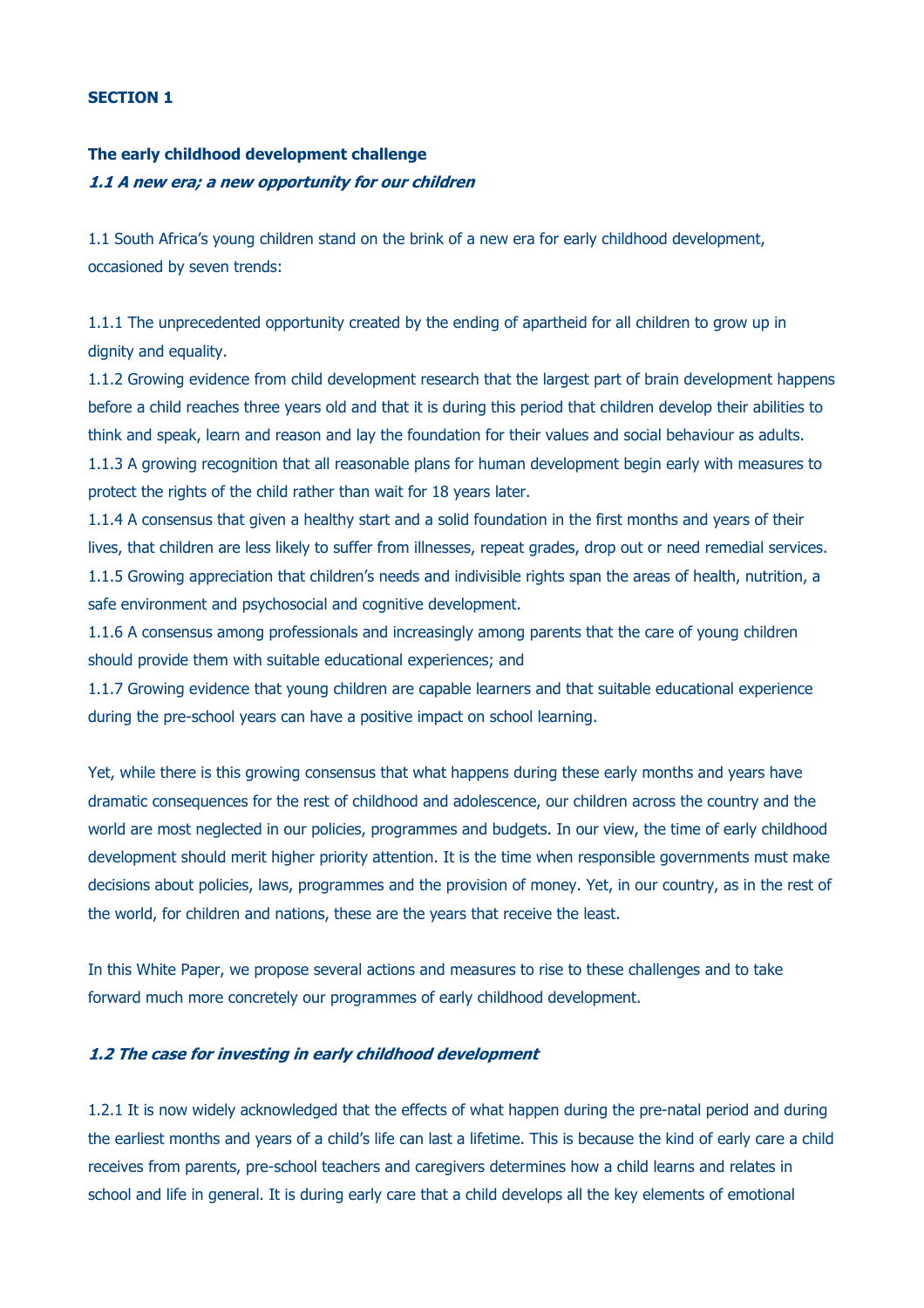### **SECTION 1**

# **The early childhood development challenge 1.1 A new era; a new opportunity for our children**

1.1 South Africa's young children stand on the brink of a new era for early childhood development, occasioned by seven trends:

1.1.1 The unprecedented opportunity created by the ending of apartheid for all children to grow up in dignity and equality.

1.1.2 Growing evidence from child development research that the largest part of brain development happens before a child reaches three years old and that it is during this period that children develop their abilities to think and speak, learn and reason and lay the foundation for their values and social behaviour as adults. 1.1.3 A growing recognition that all reasonable plans for human development begin early with measures to protect the rights of the child rather than wait for 18 years later.

1.1.4 A consensus that given a healthy start and a solid foundation in the first months and years of their lives, that children are less likely to suffer from illnesses, repeat grades, drop out or need remedial services. 1.1.5 Growing appreciation that children's needs and indivisible rights span the areas of health, nutrition, a safe environment and psychosocial and cognitive development.

1.1.6 A consensus among professionals and increasingly among parents that the care of young children should provide them with suitable educational experiences; and

1.1.7 Growing evidence that young children are capable learners and that suitable educational experience during the pre-school years can have a positive impact on school learning.

Yet, while there is this growing consensus that what happens during these early months and years have dramatic consequences for the rest of childhood and adolescence, our children across the country and the world are most neglected in our policies, programmes and budgets. In our view, the time of early childhood development should merit higher priority attention. It is the time when responsible governments must make decisions about policies, laws, programmes and the provision of money. Yet, in our country, as in the rest of the world, for children and nations, these are the years that receive the least.

In this White Paper, we propose several actions and measures to rise to these challenges and to take forward much more concretely our programmes of early childhood development.

## **1.2 The case for investing in early childhood development**

1.2.1 It is now widely acknowledged that the effects of what happen during the pre-natal period and during the earliest months and years of a child's life can last a lifetime. This is because the kind of early care a child receives from parents, pre-school teachers and caregivers determines how a child learns and relates in school and life in general. It is during early care that a child develops all the key elements of emotional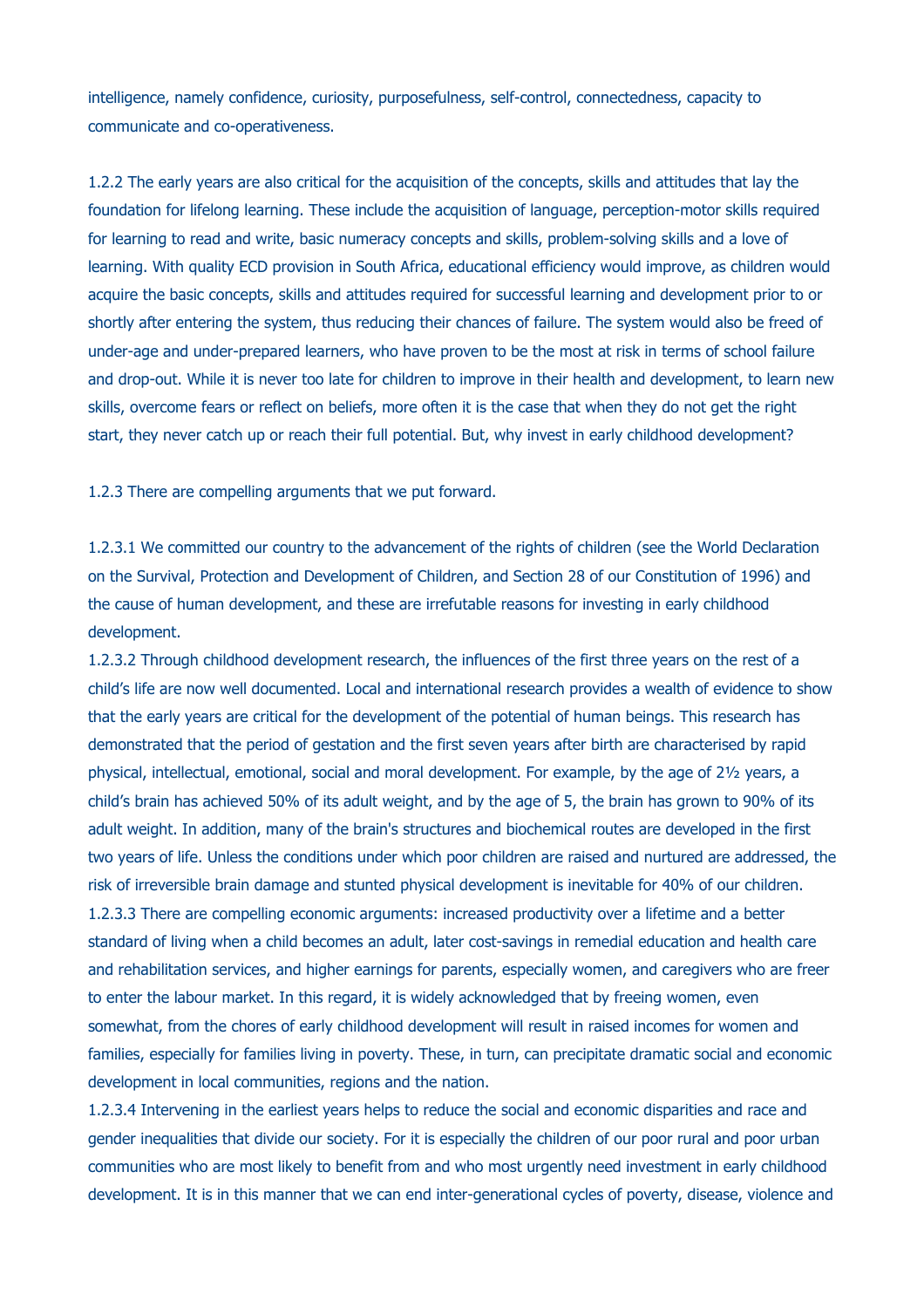intelligence, namely confidence, curiosity, purposefulness, self-control, connectedness, capacity to communicate and co-operativeness.

1.2.2 The early years are also critical for the acquisition of the concepts, skills and attitudes that lay the foundation for lifelong learning. These include the acquisition of language, perception-motor skills required for learning to read and write, basic numeracy concepts and skills, problem-solving skills and a love of learning. With quality ECD provision in South Africa, educational efficiency would improve, as children would acquire the basic concepts, skills and attitudes required for successful learning and development prior to or shortly after entering the system, thus reducing their chances of failure. The system would also be freed of under-age and under-prepared learners, who have proven to be the most at risk in terms of school failure and drop-out. While it is never too late for children to improve in their health and development, to learn new skills, overcome fears or reflect on beliefs, more often it is the case that when they do not get the right start, they never catch up or reach their full potential. But, why invest in early childhood development?

1.2.3 There are compelling arguments that we put forward.

1.2.3.1 We committed our country to the advancement of the rights of children (see the World Declaration on the Survival, Protection and Development of Children, and Section 28 of our Constitution of 1996) and the cause of human development, and these are irrefutable reasons for investing in early childhood development.

1.2.3.2 Through childhood development research, the influences of the first three years on the rest of a child's life are now well documented. Local and international research provides a wealth of evidence to show that the early years are critical for the development of the potential of human beings. This research has demonstrated that the period of gestation and the first seven years after birth are characterised by rapid physical, intellectual, emotional, social and moral development. For example, by the age of 2½ years, a child's brain has achieved 50% of its adult weight, and by the age of 5, the brain has grown to 90% of its adult weight. In addition, many of the brain's structures and biochemical routes are developed in the first two years of life. Unless the conditions under which poor children are raised and nurtured are addressed, the risk of irreversible brain damage and stunted physical development is inevitable for 40% of our children. 1.2.3.3 There are compelling economic arguments: increased productivity over a lifetime and a better standard of living when a child becomes an adult, later cost-savings in remedial education and health care and rehabilitation services, and higher earnings for parents, especially women, and caregivers who are freer to enter the labour market. In this regard, it is widely acknowledged that by freeing women, even somewhat, from the chores of early childhood development will result in raised incomes for women and families, especially for families living in poverty. These, in turn, can precipitate dramatic social and economic development in local communities, regions and the nation.

1.2.3.4 Intervening in the earliest years helps to reduce the social and economic disparities and race and gender inequalities that divide our society. For it is especially the children of our poor rural and poor urban communities who are most likely to benefit from and who most urgently need investment in early childhood development. It is in this manner that we can end inter-generational cycles of poverty, disease, violence and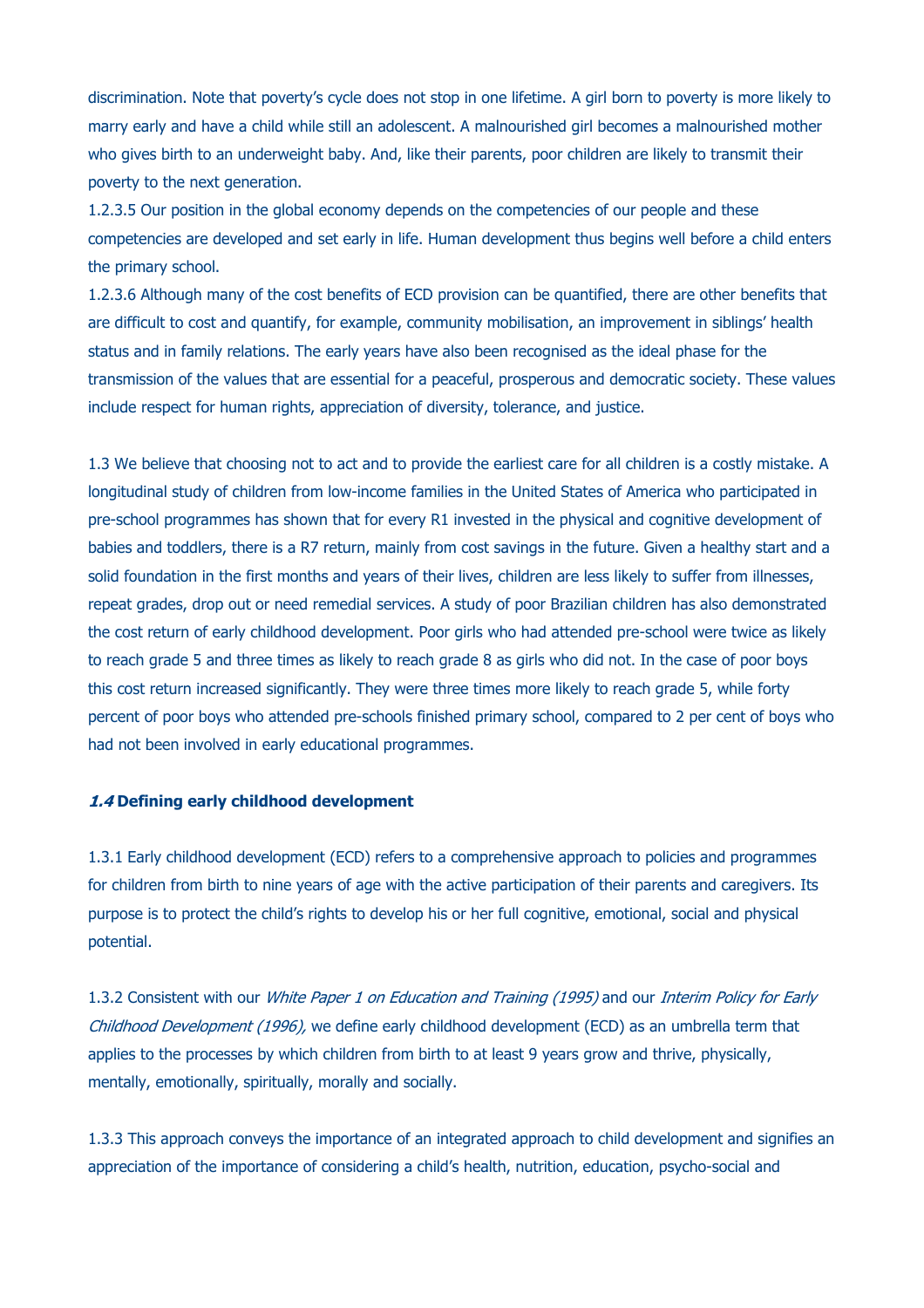discrimination. Note that poverty's cycle does not stop in one lifetime. A girl born to poverty is more likely to marry early and have a child while still an adolescent. A malnourished girl becomes a malnourished mother who gives birth to an underweight baby. And, like their parents, poor children are likely to transmit their poverty to the next generation.

1.2.3.5 Our position in the global economy depends on the competencies of our people and these competencies are developed and set early in life. Human development thus begins well before a child enters the primary school.

1.2.3.6 Although many of the cost benefits of ECD provision can be quantified, there are other benefits that are difficult to cost and quantify, for example, community mobilisation, an improvement in siblings' health status and in family relations. The early years have also been recognised as the ideal phase for the transmission of the values that are essential for a peaceful, prosperous and democratic society. These values include respect for human rights, appreciation of diversity, tolerance, and justice.

1.3 We believe that choosing not to act and to provide the earliest care for all children is a costly mistake. A longitudinal study of children from low-income families in the United States of America who participated in pre-school programmes has shown that for every R1 invested in the physical and cognitive development of babies and toddlers, there is a R7 return, mainly from cost savings in the future. Given a healthy start and a solid foundation in the first months and years of their lives, children are less likely to suffer from illnesses, repeat grades, drop out or need remedial services. A study of poor Brazilian children has also demonstrated the cost return of early childhood development. Poor girls who had attended pre-school were twice as likely to reach grade 5 and three times as likely to reach grade 8 as girls who did not. In the case of poor boys this cost return increased significantly. They were three times more likely to reach grade 5, while forty percent of poor boys who attended pre-schools finished primary school, compared to 2 per cent of boys who had not been involved in early educational programmes.

#### **1.4 Defining early childhood development**

1.3.1 Early childhood development (ECD) refers to a comprehensive approach to policies and programmes for children from birth to nine years of age with the active participation of their parents and caregivers. Its purpose is to protect the child's rights to develop his or her full cognitive, emotional, social and physical potential.

1.3.2 Consistent with our *White Paper 1 on Education and Training (1995)* and our *Interim Policy for Early* Childhood Development (1996), we define early childhood development (ECD) as an umbrella term that applies to the processes by which children from birth to at least 9 years grow and thrive, physically, mentally, emotionally, spiritually, morally and socially.

1.3.3 This approach conveys the importance of an integrated approach to child development and signifies an appreciation of the importance of considering a child's health, nutrition, education, psycho-social and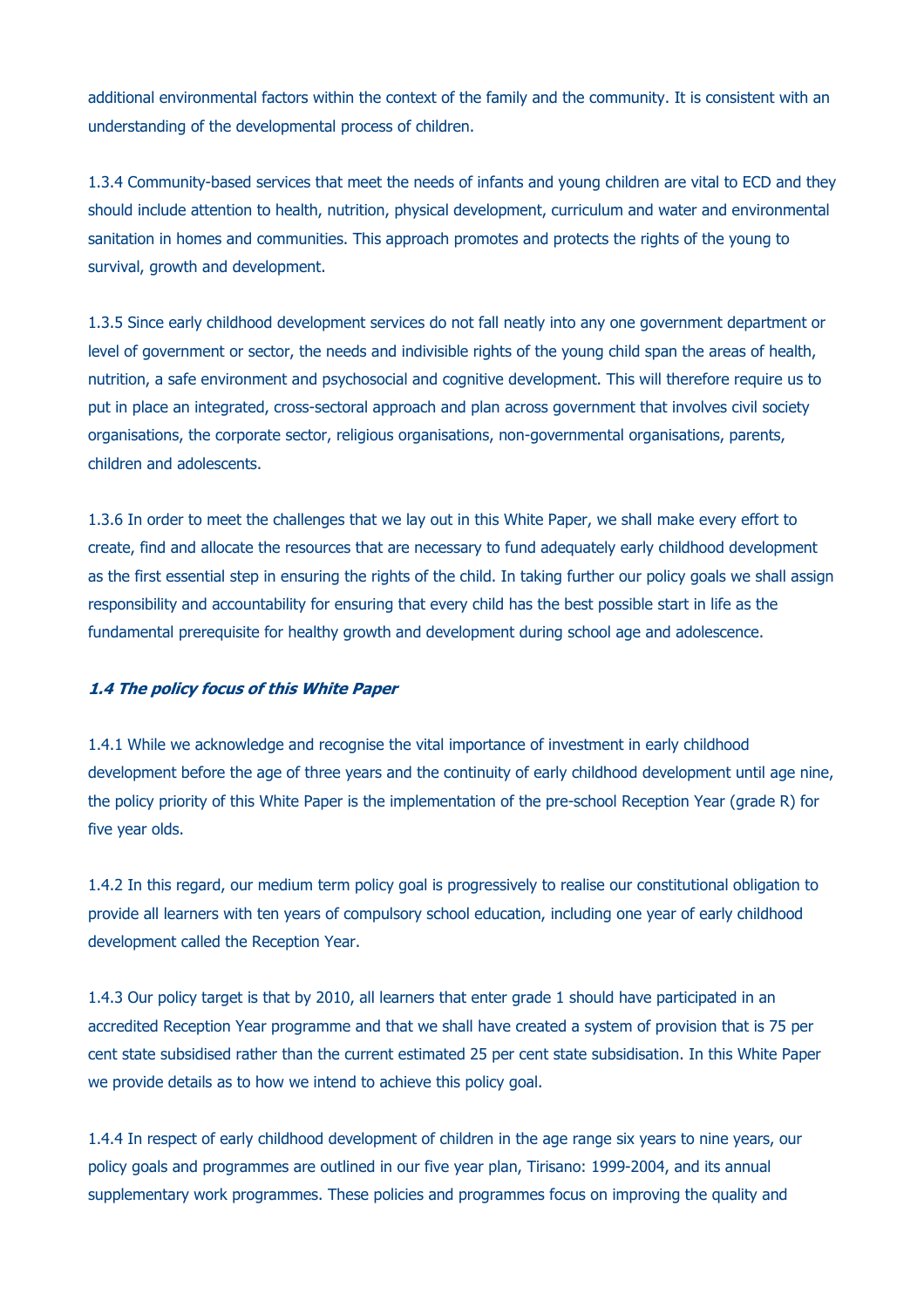additional environmental factors within the context of the family and the community. It is consistent with an understanding of the developmental process of children.

1.3.4 Community-based services that meet the needs of infants and young children are vital to ECD and they should include attention to health, nutrition, physical development, curriculum and water and environmental sanitation in homes and communities. This approach promotes and protects the rights of the young to survival, growth and development.

1.3.5 Since early childhood development services do not fall neatly into any one government department or level of government or sector, the needs and indivisible rights of the young child span the areas of health, nutrition, a safe environment and psychosocial and cognitive development. This will therefore require us to put in place an integrated, cross-sectoral approach and plan across government that involves civil society organisations, the corporate sector, religious organisations, non-governmental organisations, parents, children and adolescents.

1.3.6 In order to meet the challenges that we lay out in this White Paper, we shall make every effort to create, find and allocate the resources that are necessary to fund adequately early childhood development as the first essential step in ensuring the rights of the child. In taking further our policy goals we shall assign responsibility and accountability for ensuring that every child has the best possible start in life as the fundamental prerequisite for healthy growth and development during school age and adolescence.

#### **1.4 The policy focus of this White Paper**

1.4.1 While we acknowledge and recognise the vital importance of investment in early childhood development before the age of three years and the continuity of early childhood development until age nine, the policy priority of this White Paper is the implementation of the pre-school Reception Year (grade R) for five year olds.

1.4.2 In this regard, our medium term policy goal is progressively to realise our constitutional obligation to provide all learners with ten years of compulsory school education, including one year of early childhood development called the Reception Year.

1.4.3 Our policy target is that by 2010, all learners that enter grade 1 should have participated in an accredited Reception Year programme and that we shall have created a system of provision that is 75 per cent state subsidised rather than the current estimated 25 per cent state subsidisation. In this White Paper we provide details as to how we intend to achieve this policy goal.

1.4.4 In respect of early childhood development of children in the age range six years to nine years, our policy goals and programmes are outlined in our five year plan, Tirisano: 1999-2004, and its annual supplementary work programmes. These policies and programmes focus on improving the quality and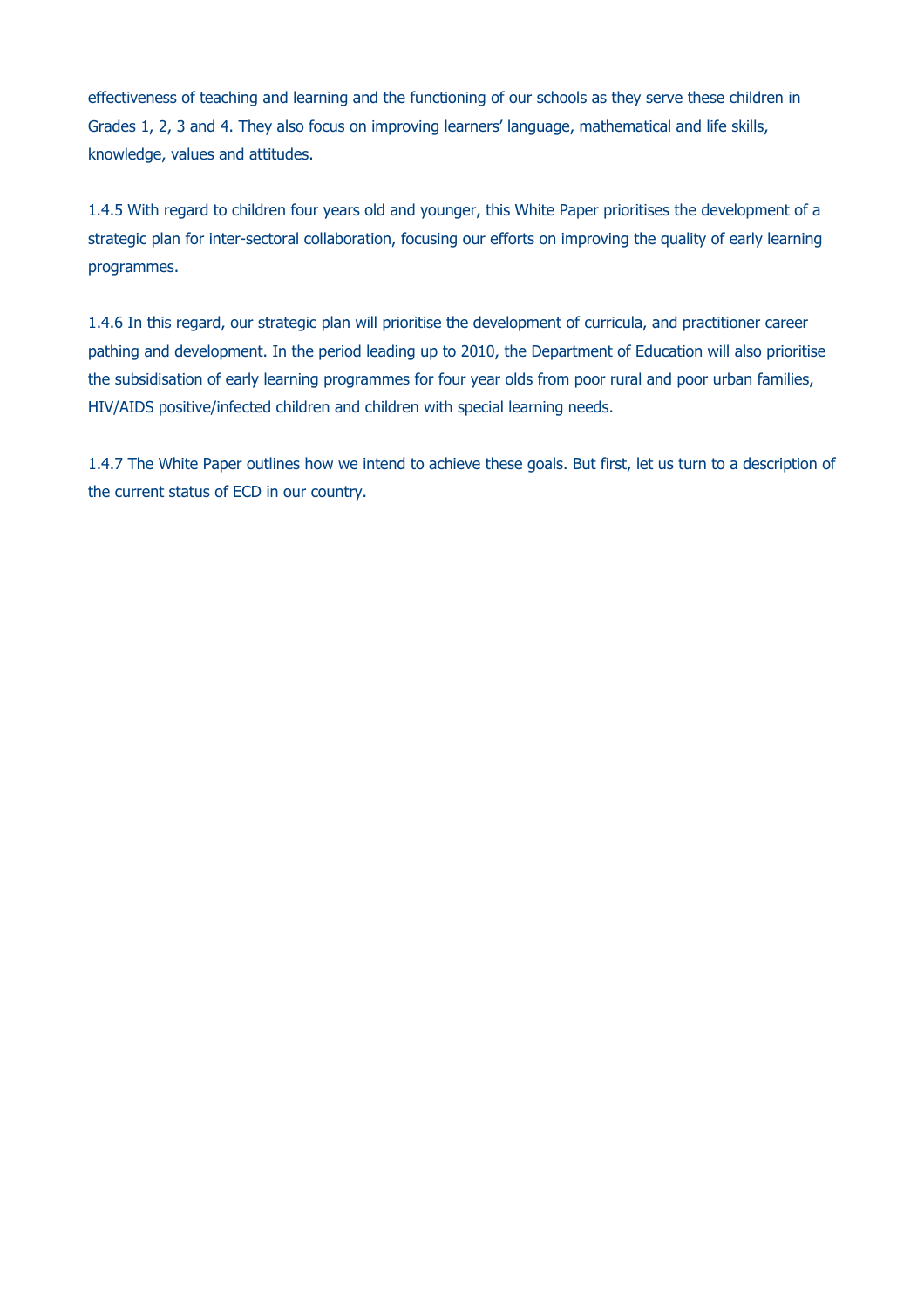effectiveness of teaching and learning and the functioning of our schools as they serve these children in Grades 1, 2, 3 and 4. They also focus on improving learners' language, mathematical and life skills, knowledge, values and attitudes.

1.4.5 With regard to children four years old and younger, this White Paper prioritises the development of a strategic plan for inter-sectoral collaboration, focusing our efforts on improving the quality of early learning programmes.

1.4.6 In this regard, our strategic plan will prioritise the development of curricula, and practitioner career pathing and development. In the period leading up to 2010, the Department of Education will also prioritise the subsidisation of early learning programmes for four year olds from poor rural and poor urban families, HIV/AIDS positive/infected children and children with special learning needs.

1.4.7 The White Paper outlines how we intend to achieve these goals. But first, let us turn to a description of the current status of ECD in our country.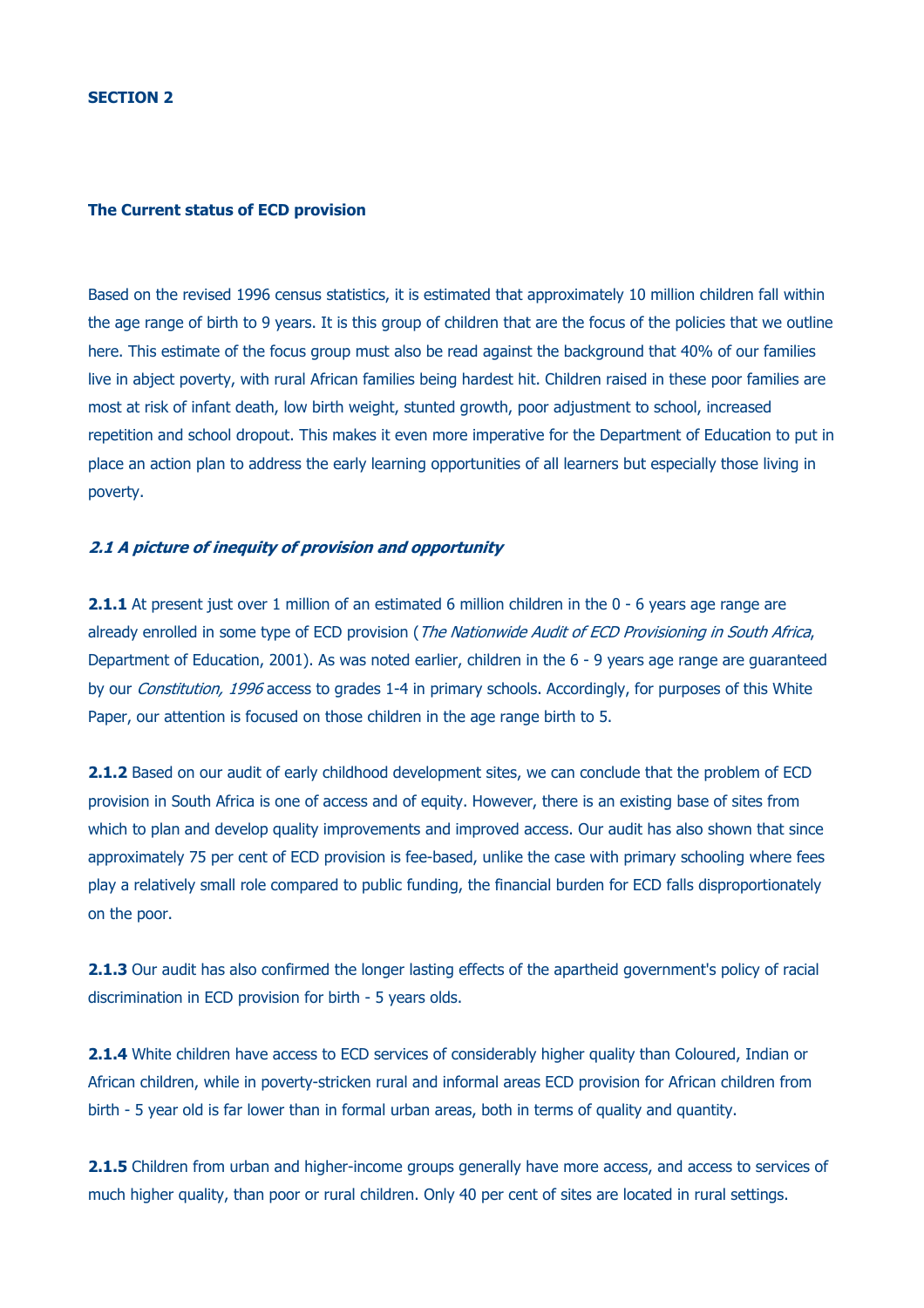#### **The Current status of ECD provision**

Based on the revised 1996 census statistics, it is estimated that approximately 10 million children fall within the age range of birth to 9 years. It is this group of children that are the focus of the policies that we outline here. This estimate of the focus group must also be read against the background that 40% of our families live in abject poverty, with rural African families being hardest hit. Children raised in these poor families are most at risk of infant death, low birth weight, stunted growth, poor adjustment to school, increased repetition and school dropout. This makes it even more imperative for the Department of Education to put in place an action plan to address the early learning opportunities of all learners but especially those living in poverty.

## **2.1 A picture of inequity of provision and opportunity**

**2.1.1** At present just over 1 million of an estimated 6 million children in the 0 - 6 years age range are already enrolled in some type of ECD provision (*The Nationwide Audit of ECD Provisioning in South Africa*, Department of Education, 2001). As was noted earlier, children in the 6 - 9 years age range are guaranteed by our *Constitution, 1996* access to grades 1-4 in primary schools. Accordingly, for purposes of this White Paper, our attention is focused on those children in the age range birth to 5.

2.1.2 Based on our audit of early childhood development sites, we can conclude that the problem of ECD provision in South Africa is one of access and of equity. However, there is an existing base of sites from which to plan and develop quality improvements and improved access. Our audit has also shown that since approximately 75 per cent of ECD provision is fee-based, unlike the case with primary schooling where fees play a relatively small role compared to public funding, the financial burden for ECD falls disproportionately on the poor.

**2.1.3** Our audit has also confirmed the longer lasting effects of the apartheid government's policy of racial discrimination in ECD provision for birth - 5 years olds.

**2.1.4** White children have access to ECD services of considerably higher quality than Coloured, Indian or African children, while in poverty-stricken rural and informal areas ECD provision for African children from birth - 5 year old is far lower than in formal urban areas, both in terms of quality and quantity.

**2.1.5** Children from urban and higher-income groups generally have more access, and access to services of much higher quality, than poor or rural children. Only 40 per cent of sites are located in rural settings.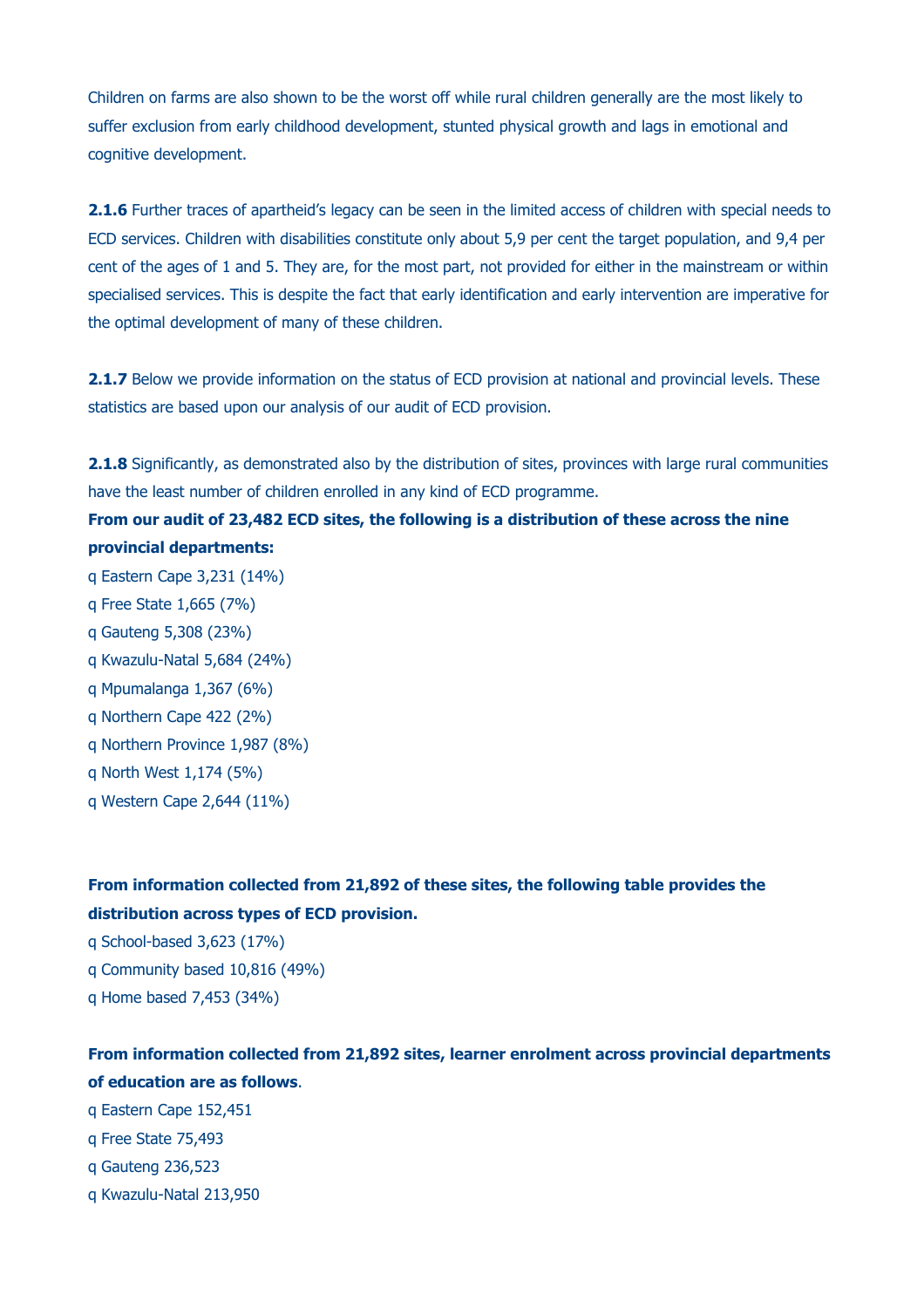Children on farms are also shown to be the worst off while rural children generally are the most likely to suffer exclusion from early childhood development, stunted physical growth and lags in emotional and cognitive development.

**2.1.6** Further traces of apartheid's legacy can be seen in the limited access of children with special needs to ECD services. Children with disabilities constitute only about 5,9 per cent the target population, and 9,4 per cent of the ages of 1 and 5. They are, for the most part, not provided for either in the mainstream or within specialised services. This is despite the fact that early identification and early intervention are imperative for the optimal development of many of these children.

**2.1.7** Below we provide information on the status of ECD provision at national and provincial levels. These statistics are based upon our analysis of our audit of ECD provision.

**2.1.8** Significantly, as demonstrated also by the distribution of sites, provinces with large rural communities have the least number of children enrolled in any kind of ECD programme.

# **From our audit of 23,482 ECD sites, the following is a distribution of these across the nine provincial departments:**

- q Eastern Cape 3,231 (14%)
- q Free State 1,665 (7%)
- q Gauteng 5,308 (23%)
- q Kwazulu-Natal 5,684 (24%)
- q Mpumalanga 1,367 (6%)
- q Northern Cape 422 (2%)
- q Northern Province 1,987 (8%)
- q North West 1,174 (5%)
- q Western Cape 2,644 (11%)

# **From information collected from 21,892 of these sites, the following table provides the distribution across types of ECD provision.**

- q School-based 3,623 (17%)
- q Community based 10,816 (49%)
- q Home based 7,453 (34%)

# **From information collected from 21,892 sites, learner enrolment across provincial departments of education are as follows**.

- q Eastern Cape 152,451
- q Free State 75,493
- q Gauteng 236,523
- q Kwazulu-Natal 213,950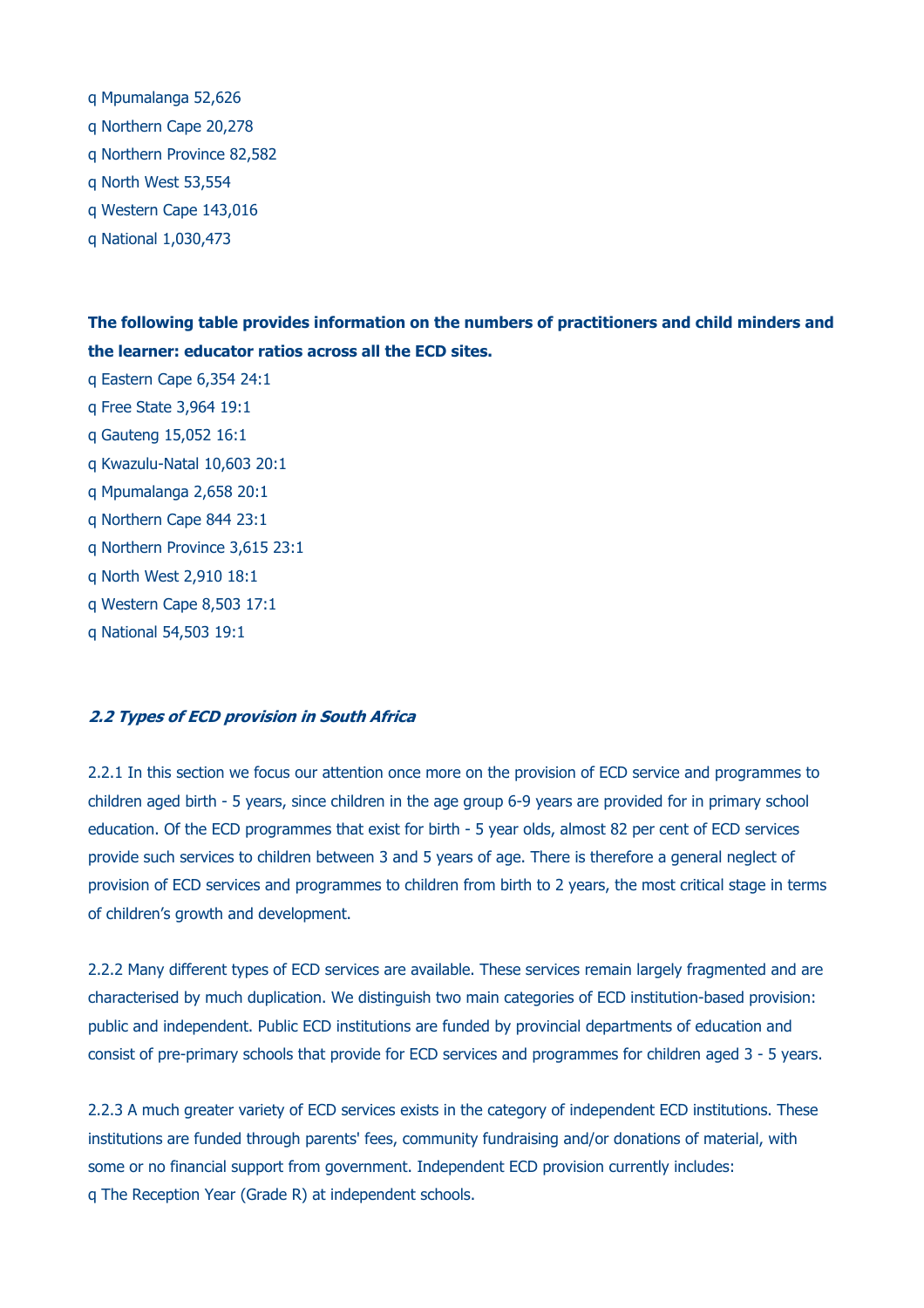q Mpumalanga 52,626 q Northern Cape 20,278 q Northern Province 82,582 q North West 53,554 q Western Cape 143,016 q National 1,030,473

**The following table provides information on the numbers of practitioners and child minders and the learner: educator ratios across all the ECD sites.**

q Eastern Cape 6,354 24:1 q Free State 3,964 19:1 q Gauteng 15,052 16:1 q Kwazulu-Natal 10,603 20:1 q Mpumalanga 2,658 20:1 q Northern Cape 844 23:1 q Northern Province 3,615 23:1 q North West 2,910 18:1 q Western Cape 8,503 17:1 q National 54,503 19:1

#### **2.2 Types of ECD provision in South Africa**

2.2.1 In this section we focus our attention once more on the provision of ECD service and programmes to children aged birth - 5 years, since children in the age group 6-9 years are provided for in primary school education. Of the ECD programmes that exist for birth - 5 year olds, almost 82 per cent of ECD services provide such services to children between 3 and 5 years of age. There is therefore a general neglect of provision of ECD services and programmes to children from birth to 2 years, the most critical stage in terms of children's growth and development.

2.2.2 Many different types of ECD services are available. These services remain largely fragmented and are characterised by much duplication. We distinguish two main categories of ECD institution-based provision: public and independent. Public ECD institutions are funded by provincial departments of education and consist of pre-primary schools that provide for ECD services and programmes for children aged 3 - 5 years.

2.2.3 A much greater variety of ECD services exists in the category of independent ECD institutions. These institutions are funded through parents' fees, community fundraising and/or donations of material, with some or no financial support from government. Independent ECD provision currently includes: q The Reception Year (Grade R) at independent schools.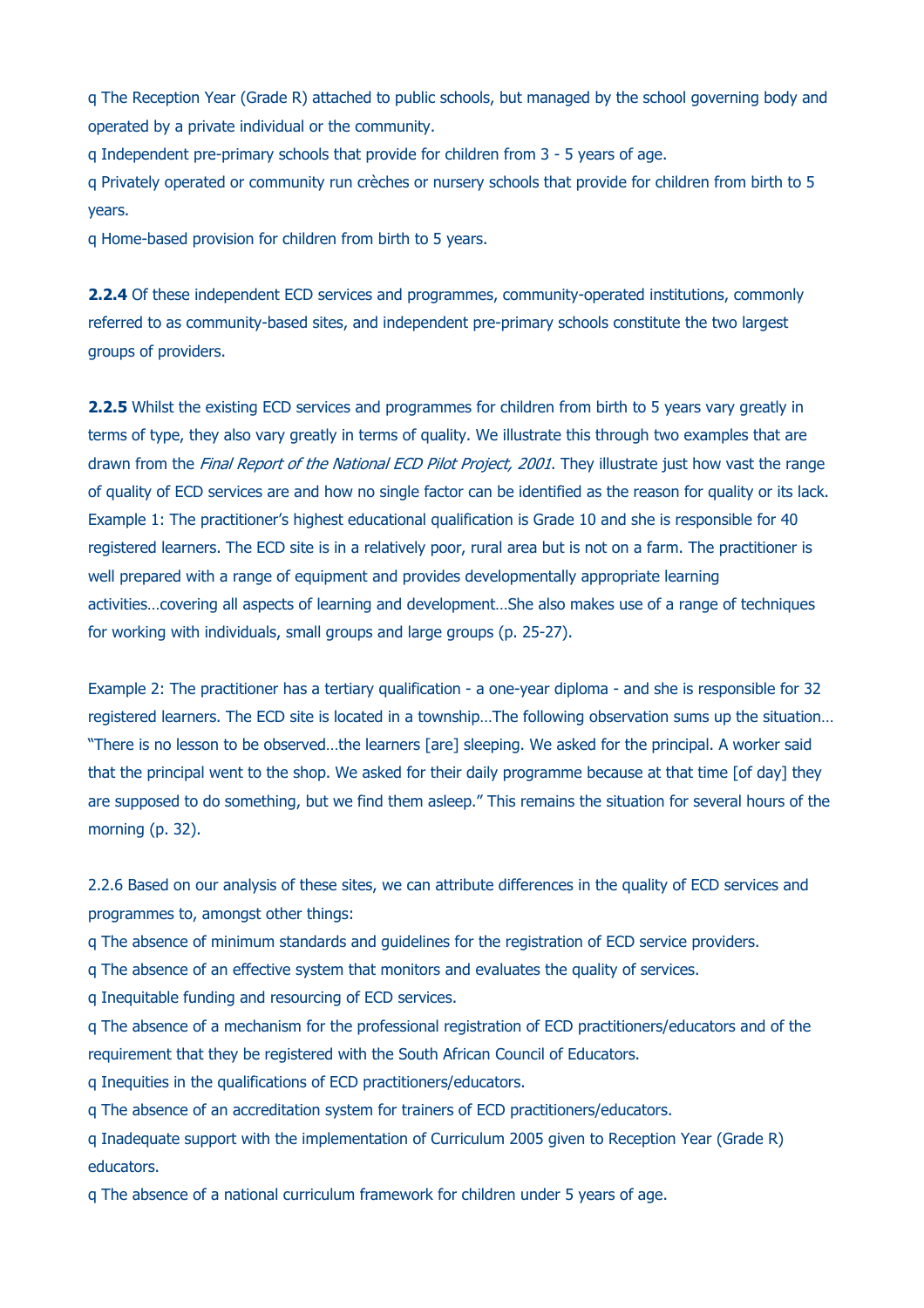q The Reception Year (Grade R) attached to public schools, but managed by the school governing body and operated by a private individual or the community.

q Independent pre-primary schools that provide for children from 3 - 5 years of age.

q Privately operated or community run crèches or nursery schools that provide for children from birth to 5 years.

q Home-based provision for children from birth to 5 years.

**2.2.4** Of these independent ECD services and programmes, community-operated institutions, commonly referred to as community-based sites, and independent pre-primary schools constitute the two largest groups of providers.

**2.2.5** Whilst the existing ECD services and programmes for children from birth to 5 years vary greatly in terms of type, they also vary greatly in terms of quality. We illustrate this through two examples that are drawn from the *Final Report of the National ECD Pilot Project, 2001*. They illustrate just how vast the range of quality of ECD services are and how no single factor can be identified as the reason for quality or its lack. Example 1: The practitioner's highest educational qualification is Grade 10 and she is responsible for 40 registered learners. The ECD site is in a relatively poor, rural area but is not on a farm. The practitioner is well prepared with a range of equipment and provides developmentally appropriate learning activities…covering all aspects of learning and development…She also makes use of a range of techniques for working with individuals, small groups and large groups (p. 25-27).

Example 2: The practitioner has a tertiary qualification - a one-year diploma - and she is responsible for 32 registered learners. The ECD site is located in a township…The following observation sums up the situation… "There is no lesson to be observed…the learners [are] sleeping. We asked for the principal. A worker said that the principal went to the shop. We asked for their daily programme because at that time [of day] they are supposed to do something, but we find them asleep." This remains the situation for several hours of the morning (p. 32).

2.2.6 Based on our analysis of these sites, we can attribute differences in the quality of ECD services and programmes to, amongst other things:

q The absence of minimum standards and guidelines for the registration of ECD service providers.

q The absence of an effective system that monitors and evaluates the quality of services.

q Inequitable funding and resourcing of ECD services.

q The absence of a mechanism for the professional registration of ECD practitioners/educators and of the requirement that they be registered with the South African Council of Educators.

q Inequities in the qualifications of ECD practitioners/educators.

q The absence of an accreditation system for trainers of ECD practitioners/educators.

q Inadequate support with the implementation of Curriculum 2005 given to Reception Year (Grade R) educators.

q The absence of a national curriculum framework for children under 5 years of age.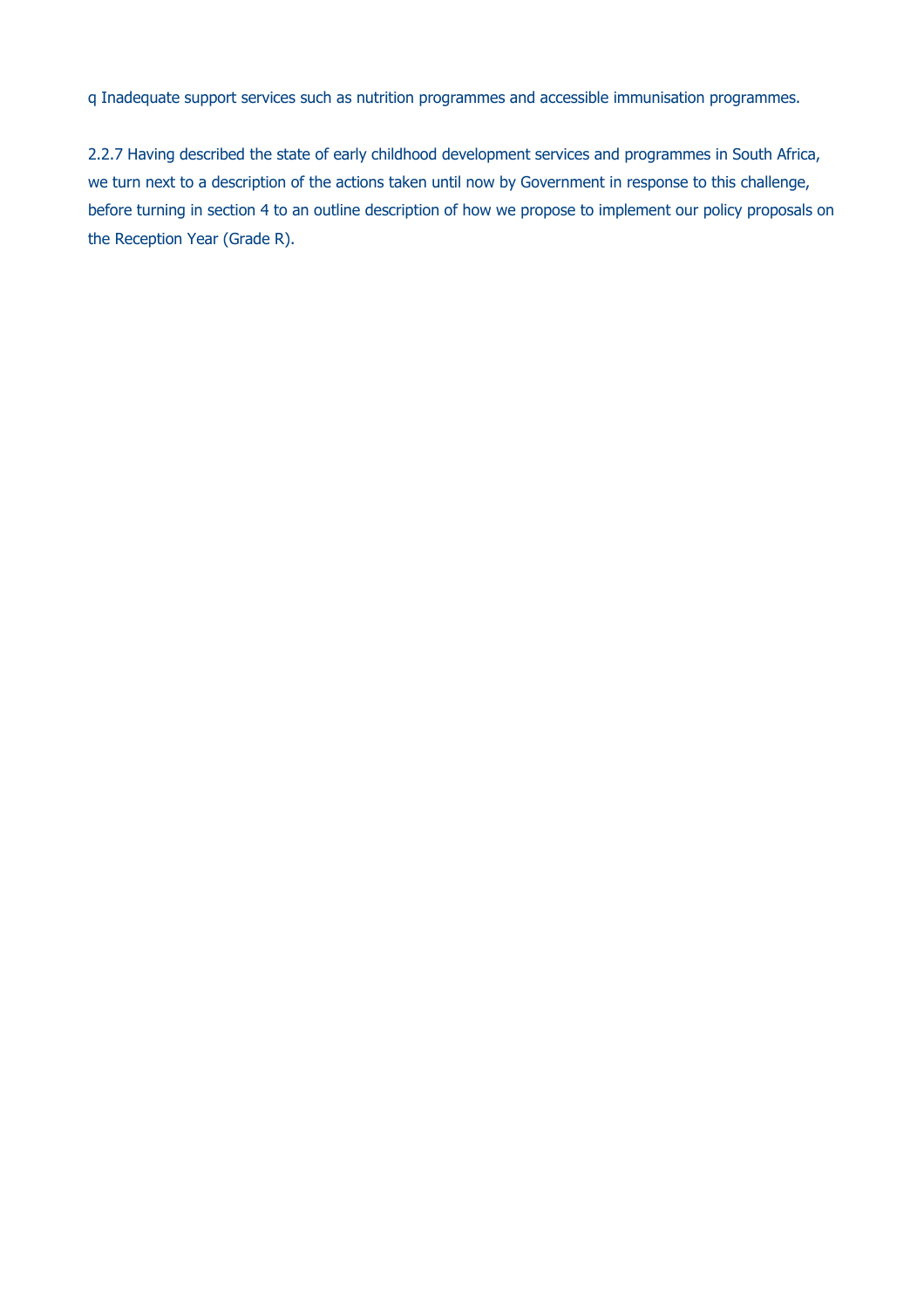q Inadequate support services such as nutrition programmes and accessible immunisation programmes.

2.2.7 Having described the state of early childhood development services and programmes in South Africa, we turn next to a description of the actions taken until now by Government in response to this challenge, before turning in section 4 to an outline description of how we propose to implement our policy proposals on the Reception Year (Grade R).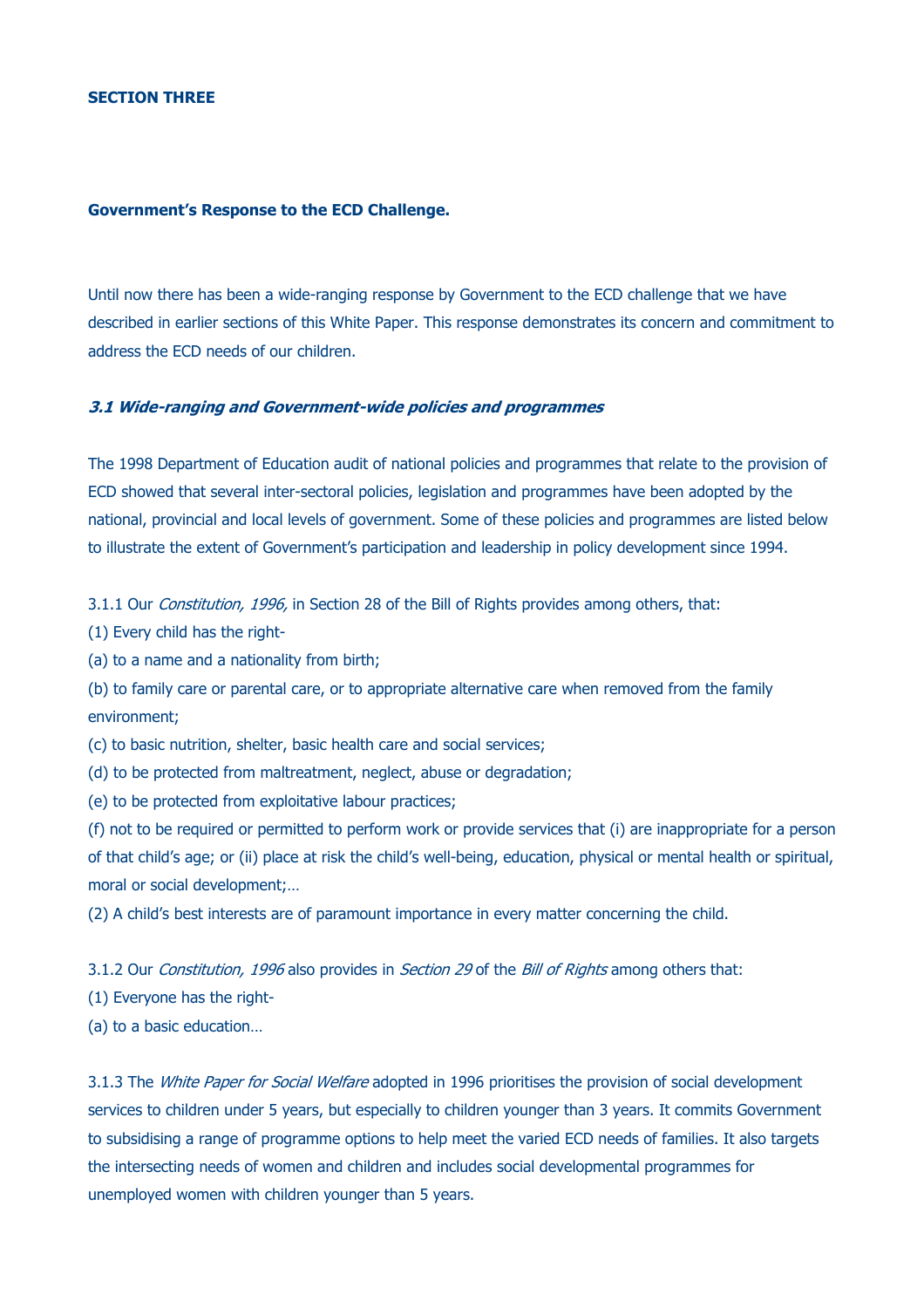#### **Government's Response to the ECD Challenge.**

Until now there has been a wide-ranging response by Government to the ECD challenge that we have described in earlier sections of this White Paper. This response demonstrates its concern and commitment to address the ECD needs of our children.

#### **3.1 Wide-ranging and Government-wide policies and programmes**

The 1998 Department of Education audit of national policies and programmes that relate to the provision of ECD showed that several inter-sectoral policies, legislation and programmes have been adopted by the national, provincial and local levels of government. Some of these policies and programmes are listed below to illustrate the extent of Government's participation and leadership in policy development since 1994.

3.1.1 Our *Constitution, 1996*, in Section 28 of the Bill of Rights provides among others, that:

- (1) Every child has the right-
- (a) to a name and a nationality from birth;

(b) to family care or parental care, or to appropriate alternative care when removed from the family environment;

(c) to basic nutrition, shelter, basic health care and social services;

- (d) to be protected from maltreatment, neglect, abuse or degradation;
- (e) to be protected from exploitative labour practices;

(f) not to be required or permitted to perform work or provide services that (i) are inappropriate for a person of that child's age; or (ii) place at risk the child's well-being, education, physical or mental health or spiritual, moral or social development;…

(2) A child's best interests are of paramount importance in every matter concerning the child.

3.1.2 Our Constitution, 1996 also provides in Section 29 of the Bill of Rights among others that:

- (1) Everyone has the right-
- (a) to a basic education…

3.1.3 The White Paper for Social Welfare adopted in 1996 prioritises the provision of social development services to children under 5 years, but especially to children younger than 3 years. It commits Government to subsidising a range of programme options to help meet the varied ECD needs of families. It also targets the intersecting needs of women and children and includes social developmental programmes for unemployed women with children younger than 5 years.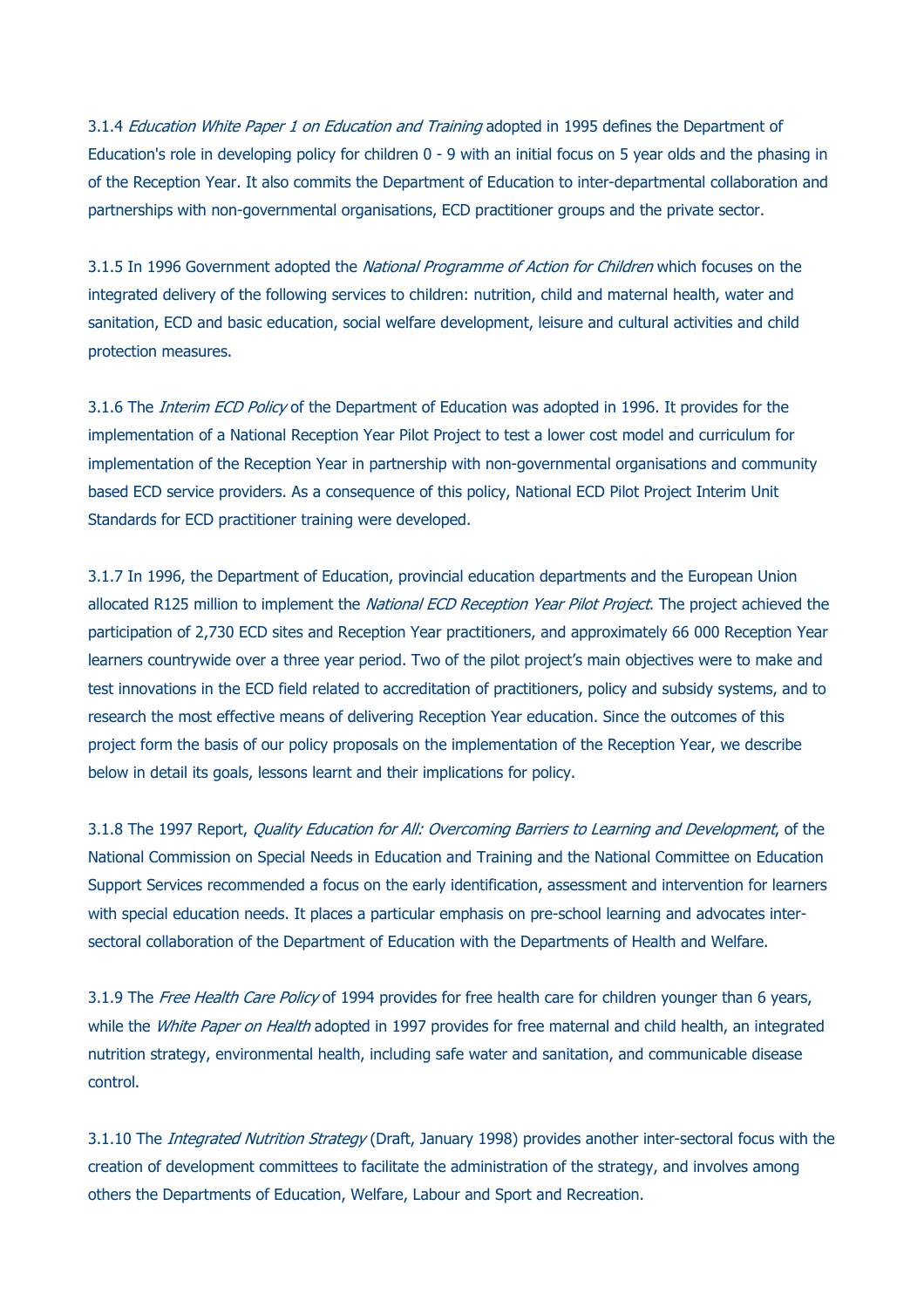3.1.4 Education White Paper 1 on Education and Training adopted in 1995 defines the Department of Education's role in developing policy for children 0 - 9 with an initial focus on 5 year olds and the phasing in of the Reception Year. It also commits the Department of Education to inter-departmental collaboration and partnerships with non-governmental organisations, ECD practitioner groups and the private sector.

3.1.5 In 1996 Government adopted the National Programme of Action for Children which focuses on the integrated delivery of the following services to children: nutrition, child and maternal health, water and sanitation, ECD and basic education, social welfare development, leisure and cultural activities and child protection measures.

3.1.6 The *Interim ECD Policy* of the Department of Education was adopted in 1996. It provides for the implementation of a National Reception Year Pilot Project to test a lower cost model and curriculum for implementation of the Reception Year in partnership with non-governmental organisations and community based ECD service providers. As a consequence of this policy, National ECD Pilot Project Interim Unit Standards for ECD practitioner training were developed.

3.1.7 In 1996, the Department of Education, provincial education departments and the European Union allocated R125 million to implement the National ECD Reception Year Pilot Project. The project achieved the participation of 2,730 ECD sites and Reception Year practitioners, and approximately 66 000 Reception Year learners countrywide over a three year period. Two of the pilot project's main objectives were to make and test innovations in the ECD field related to accreditation of practitioners, policy and subsidy systems, and to research the most effective means of delivering Reception Year education. Since the outcomes of this project form the basis of our policy proposals on the implementation of the Reception Year, we describe below in detail its goals, lessons learnt and their implications for policy.

3.1.8 The 1997 Report, *Quality Education for All: Overcoming Barriers to Learning and Development*, of the National Commission on Special Needs in Education and Training and the National Committee on Education Support Services recommended a focus on the early identification, assessment and intervention for learners with special education needs. It places a particular emphasis on pre-school learning and advocates intersectoral collaboration of the Department of Education with the Departments of Health and Welfare.

while the *White Paper on Health* adopted in 1997 provides for free maternal and child health, an integrated 3.1.9 The Free Health Care Policy of 1994 provides for free health care for children younger than 6 years, nutrition strategy, environmental health, including safe water and sanitation, and communicable disease control.

3.1.10 The *Integrated Nutrition Strategy* (Draft, January 1998) provides another inter-sectoral focus with the creation of development committees to facilitate the administration of the strategy, and involves among others the Departments of Education, Welfare, Labour and Sport and Recreation.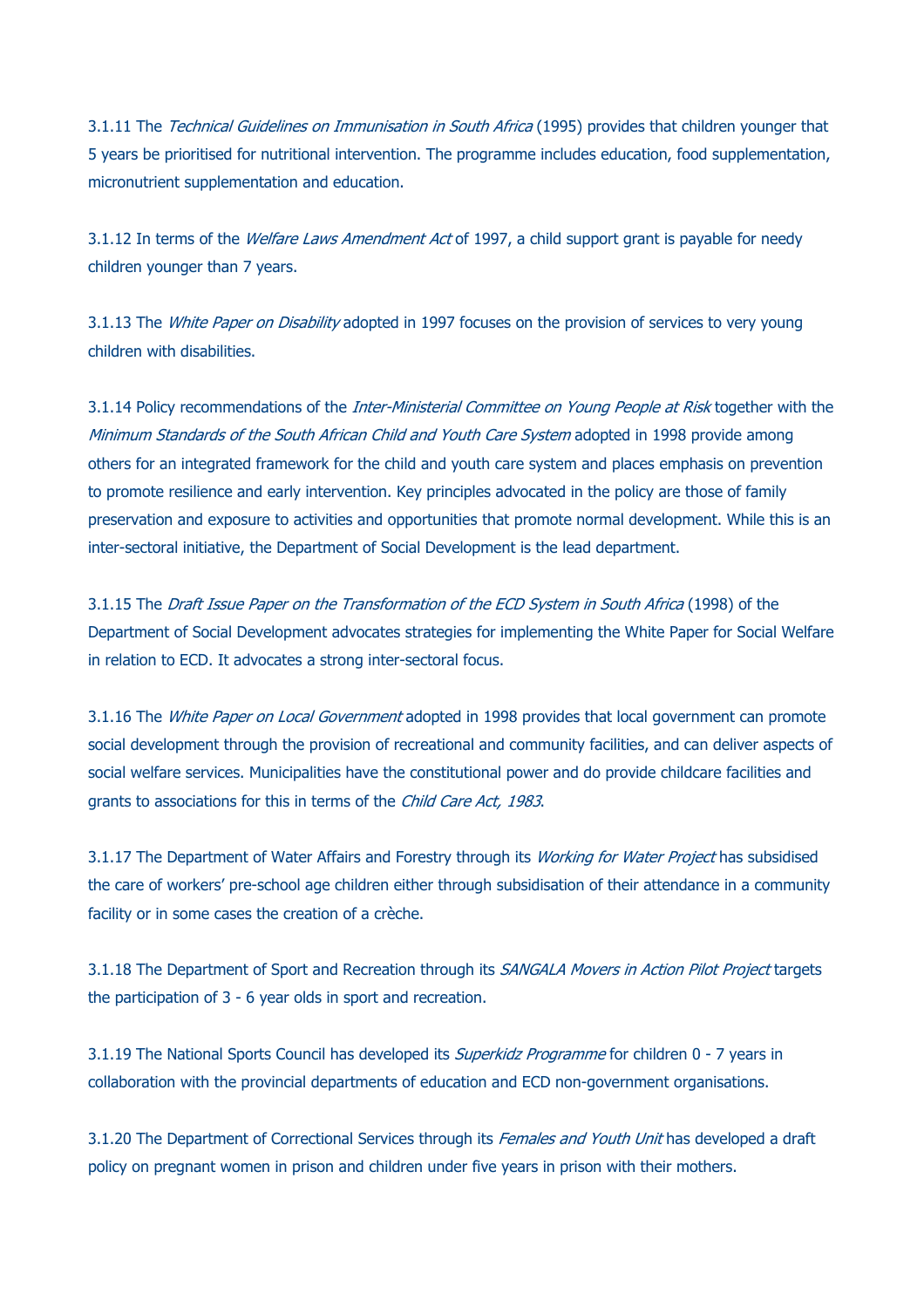3.1.11 The Technical Guidelines on Immunisation in South Africa (1995) provides that children younger that 5 years be prioritised for nutritional intervention. The programme includes education, food supplementation, micronutrient supplementation and education.

3.1.12 In terms of the *Welfare Laws Amendment Act* of 1997, a child support grant is payable for needy children younger than 7 years.

3.1.13 The *White Paper on Disability* adopted in 1997 focuses on the provision of services to very young children with disabilities.

3.1.14 Policy recommendations of the Inter-Ministerial Committee on Young People at Risk together with the Minimum Standards of the South African Child and Youth Care System adopted in 1998 provide among others for an integrated framework for the child and youth care system and places emphasis on prevention to promote resilience and early intervention. Key principles advocated in the policy are those of family preservation and exposure to activities and opportunities that promote normal development. While this is an inter-sectoral initiative, the Department of Social Development is the lead department.

3.1.15 The Draft Issue Paper on the Transformation of the ECD System in South Africa (1998) of the Department of Social Development advocates strategies for implementing the White Paper for Social Welfare in relation to ECD. It advocates a strong inter-sectoral focus.

3.1.16 The White Paper on Local Government adopted in 1998 provides that local government can promote social development through the provision of recreational and community facilities, and can deliver aspects of social welfare services. Municipalities have the constitutional power and do provide childcare facilities and grants to associations for this in terms of the Child Care Act, 1983.

3.1.17 The Department of Water Affairs and Forestry through its Working for Water Project has subsidised the care of workers' pre-school age children either through subsidisation of their attendance in a community facility or in some cases the creation of a crèche.

3.1.18 The Department of Sport and Recreation through its SANGALA Movers in Action Pilot Project targets the participation of 3 - 6 year olds in sport and recreation.

3.1.19 The National Sports Council has developed its *Superkidz Programme* for children 0 - 7 years in collaboration with the provincial departments of education and ECD non-government organisations.

3.1.20 The Department of Correctional Services through its *Females and Youth Unit* has developed a draft policy on pregnant women in prison and children under five years in prison with their mothers.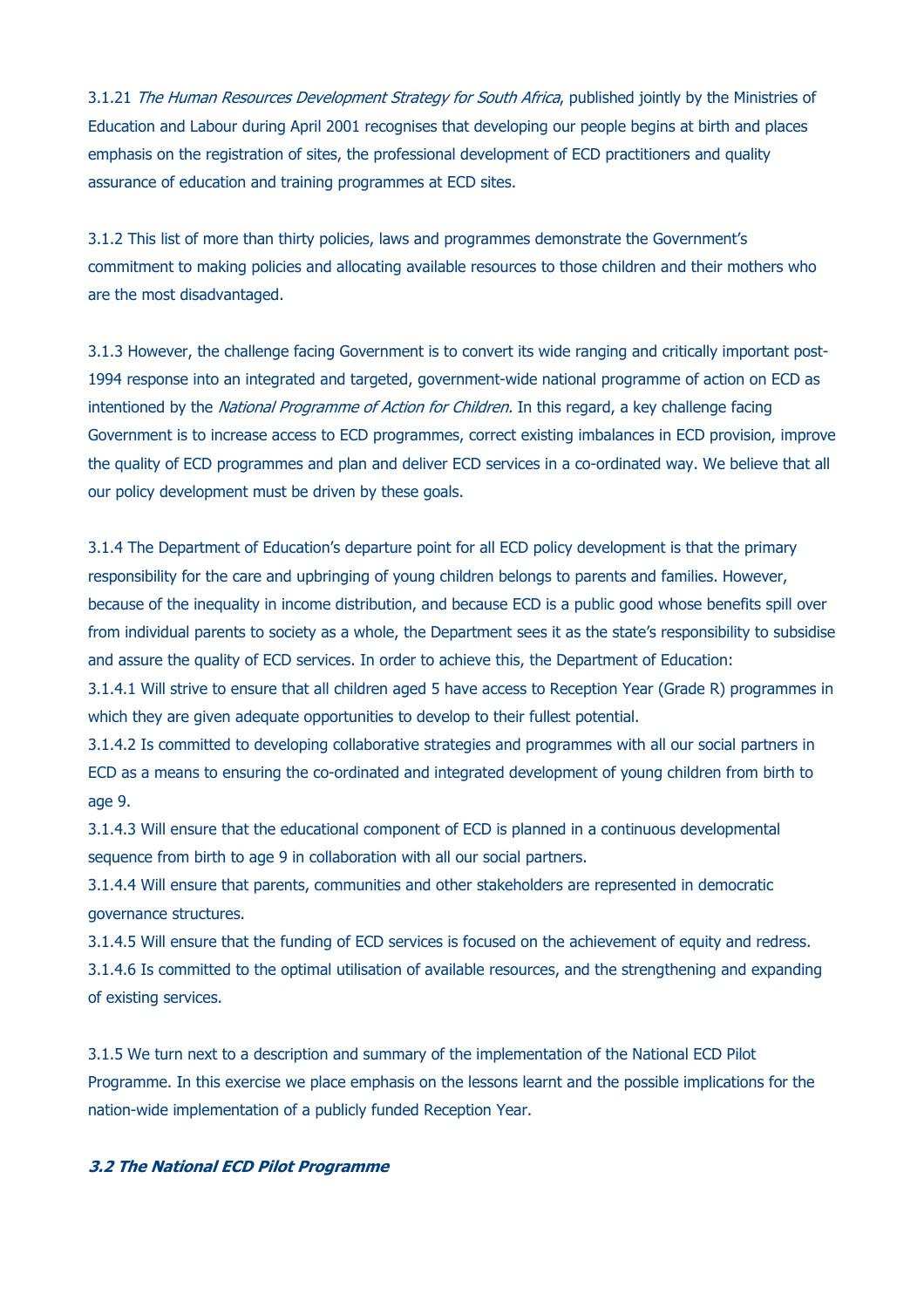3.1.21 The Human Resources Development Strategy for South Africa, published jointly by the Ministries of Education and Labour during April 2001 recognises that developing our people begins at birth and places emphasis on the registration of sites, the professional development of ECD practitioners and quality assurance of education and training programmes at ECD sites.

3.1.2 This list of more than thirty policies, laws and programmes demonstrate the Government's commitment to making policies and allocating available resources to those children and their mothers who are the most disadvantaged.

3.1.3 However, the challenge facing Government is to convert its wide ranging and critically important post-1994 response into an integrated and targeted, government-wide national programme of action on ECD as intentioned by the National Programme of Action for Children. In this regard, a key challenge facing Government is to increase access to ECD programmes, correct existing imbalances in ECD provision, improve the quality of ECD programmes and plan and deliver ECD services in a co-ordinated way. We believe that all our policy development must be driven by these goals.

3.1.4 The Department of Education's departure point for all ECD policy development is that the primary responsibility for the care and upbringing of young children belongs to parents and families. However, because of the inequality in income distribution, and because ECD is a public good whose benefits spill over from individual parents to society as a whole, the Department sees it as the state's responsibility to subsidise and assure the quality of ECD services. In order to achieve this, the Department of Education:

3.1.4.1 Will strive to ensure that all children aged 5 have access to Reception Year (Grade R) programmes in which they are given adequate opportunities to develop to their fullest potential.

3.1.4.2 Is committed to developing collaborative strategies and programmes with all our social partners in ECD as a means to ensuring the co-ordinated and integrated development of young children from birth to age 9.

3.1.4.3 Will ensure that the educational component of ECD is planned in a continuous developmental sequence from birth to age 9 in collaboration with all our social partners.

3.1.4.4 Will ensure that parents, communities and other stakeholders are represented in democratic governance structures.

3.1.4.5 Will ensure that the funding of ECD services is focused on the achievement of equity and redress. 3.1.4.6 Is committed to the optimal utilisation of available resources, and the strengthening and expanding of existing services.

3.1.5 We turn next to a description and summary of the implementation of the National ECD Pilot Programme. In this exercise we place emphasis on the lessons learnt and the possible implications for the nation-wide implementation of a publicly funded Reception Year.

## **3.2 The National ECD Pilot Programme**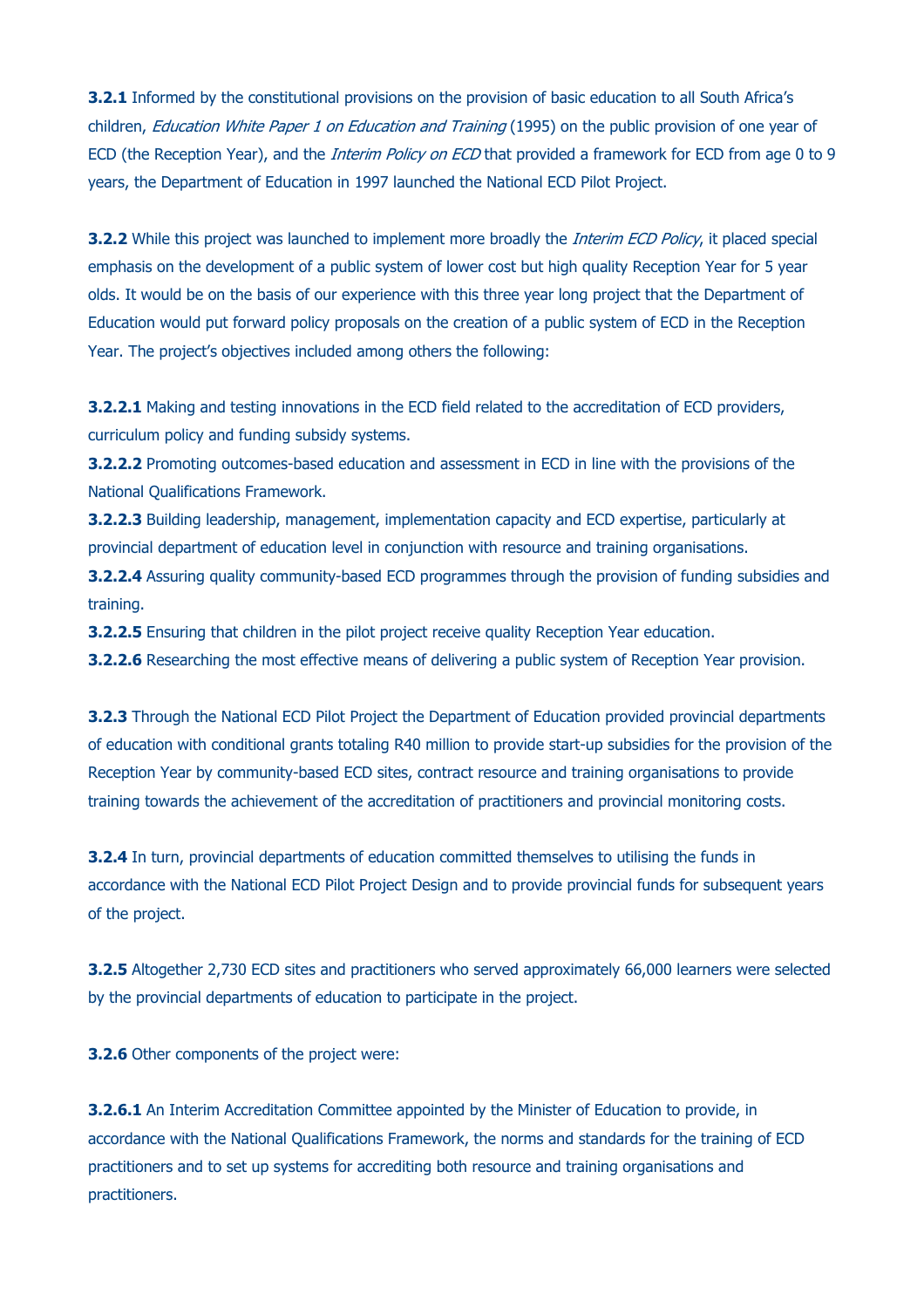**3.2.1** Informed by the constitutional provisions on the provision of basic education to all South Africa's children, Education White Paper 1 on Education and Training (1995) on the public provision of one year of ECD (the Reception Year), and the *Interim Policy on ECD* that provided a framework for ECD from age 0 to 9 years, the Department of Education in 1997 launched the National ECD Pilot Project.

**3.2.2** While this project was launched to implement more broadly the *Interim ECD Policy*, it placed special emphasis on the development of a public system of lower cost but high quality Reception Year for 5 year olds. It would be on the basis of our experience with this three year long project that the Department of Education would put forward policy proposals on the creation of a public system of ECD in the Reception Year. The project's objectives included among others the following:

**3.2.2.1** Making and testing innovations in the ECD field related to the accreditation of ECD providers, curriculum policy and funding subsidy systems.

**3.2.2.2** Promoting outcomes-based education and assessment in ECD in line with the provisions of the National Qualifications Framework.

**3.2.2.3** Building leadership, management, implementation capacity and ECD expertise, particularly at provincial department of education level in conjunction with resource and training organisations.

**3.2.2.4** Assuring quality community-based ECD programmes through the provision of funding subsidies and training.

**3.2.2.5** Ensuring that children in the pilot project receive quality Reception Year education.

**3.2.2.6** Researching the most effective means of delivering a public system of Reception Year provision.

**3.2.3** Through the National ECD Pilot Project the Department of Education provided provincial departments of education with conditional grants totaling R40 million to provide start-up subsidies for the provision of the Reception Year by community-based ECD sites, contract resource and training organisations to provide training towards the achievement of the accreditation of practitioners and provincial monitoring costs.

**3.2.4** In turn, provincial departments of education committed themselves to utilising the funds in accordance with the National ECD Pilot Project Design and to provide provincial funds for subsequent years of the project.

**3.2.5** Altogether 2,730 ECD sites and practitioners who served approximately 66,000 learners were selected by the provincial departments of education to participate in the project.

**3.2.6** Other components of the project were:

**3.2.6.1** An Interim Accreditation Committee appointed by the Minister of Education to provide, in accordance with the National Qualifications Framework, the norms and standards for the training of ECD practitioners and to set up systems for accrediting both resource and training organisations and practitioners.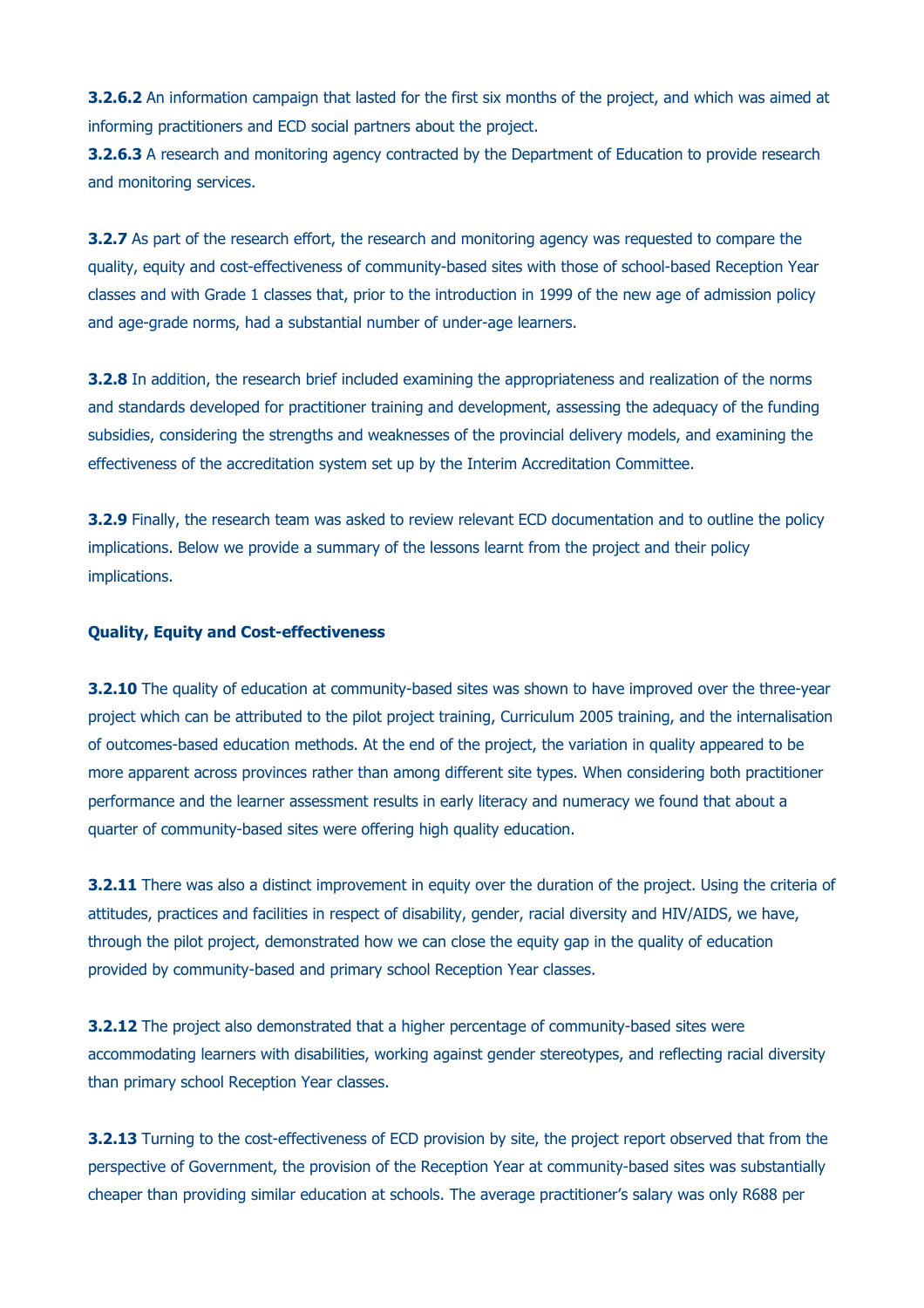**3.2.6.2** An information campaign that lasted for the first six months of the project, and which was aimed at informing practitioners and ECD social partners about the project.

**3.2.6.3** A research and monitoring agency contracted by the Department of Education to provide research and monitoring services.

**3.2.7** As part of the research effort, the research and monitoring agency was requested to compare the quality, equity and cost-effectiveness of community-based sites with those of school-based Reception Year classes and with Grade 1 classes that, prior to the introduction in 1999 of the new age of admission policy and age-grade norms, had a substantial number of under-age learners.

**3.2.8** In addition, the research brief included examining the appropriateness and realization of the norms and standards developed for practitioner training and development, assessing the adequacy of the funding subsidies, considering the strengths and weaknesses of the provincial delivery models, and examining the effectiveness of the accreditation system set up by the Interim Accreditation Committee.

**3.2.9** Finally, the research team was asked to review relevant ECD documentation and to outline the policy implications. Below we provide a summary of the lessons learnt from the project and their policy implications.

### **Quality, Equity and Cost-effectiveness**

**3.2.10** The quality of education at community-based sites was shown to have improved over the three-year project which can be attributed to the pilot project training, Curriculum 2005 training, and the internalisation of outcomes-based education methods. At the end of the project, the variation in quality appeared to be more apparent across provinces rather than among different site types. When considering both practitioner performance and the learner assessment results in early literacy and numeracy we found that about a quarter of community-based sites were offering high quality education.

**3.2.11** There was also a distinct improvement in equity over the duration of the project. Using the criteria of attitudes, practices and facilities in respect of disability, gender, racial diversity and HIV/AIDS, we have, through the pilot project, demonstrated how we can close the equity gap in the quality of education provided by community-based and primary school Reception Year classes.

**3.2.12** The project also demonstrated that a higher percentage of community-based sites were accommodating learners with disabilities, working against gender stereotypes, and reflecting racial diversity than primary school Reception Year classes.

**3.2.13** Turning to the cost-effectiveness of ECD provision by site, the project report observed that from the perspective of Government, the provision of the Reception Year at community-based sites was substantially cheaper than providing similar education at schools. The average practitioner's salary was only R688 per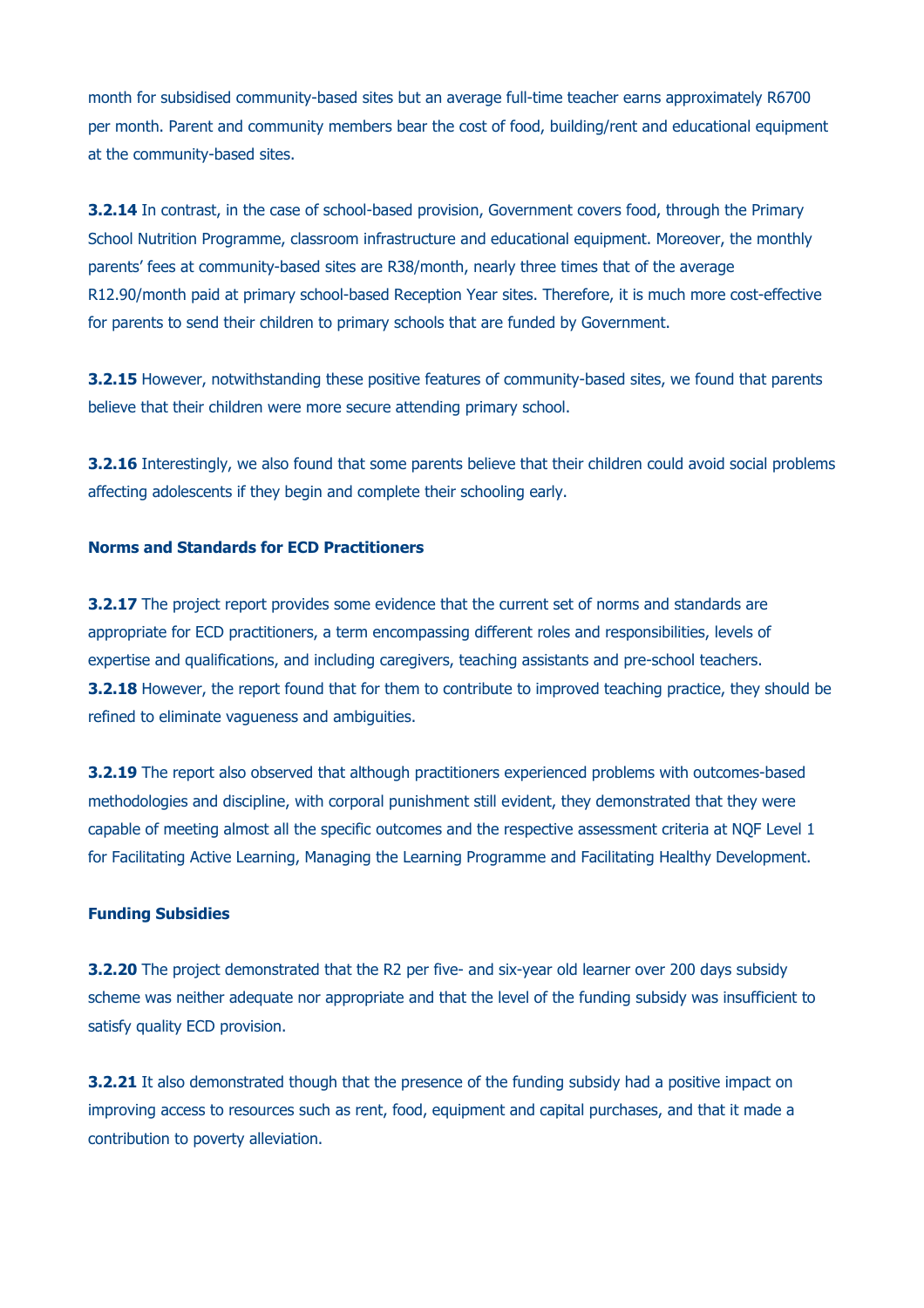month for subsidised community-based sites but an average full-time teacher earns approximately R6700 per month. Parent and community members bear the cost of food, building/rent and educational equipment at the community-based sites.

**3.2.14** In contrast, in the case of school-based provision, Government covers food, through the Primary School Nutrition Programme, classroom infrastructure and educational equipment. Moreover, the monthly parents' fees at community-based sites are R38/month, nearly three times that of the average R12.90/month paid at primary school-based Reception Year sites. Therefore, it is much more cost-effective for parents to send their children to primary schools that are funded by Government.

**3.2.15** However, notwithstanding these positive features of community-based sites, we found that parents believe that their children were more secure attending primary school.

**3.2.16** Interestingly, we also found that some parents believe that their children could avoid social problems affecting adolescents if they begin and complete their schooling early.

## **Norms and Standards for ECD Practitioners**

**3.2.17** The project report provides some evidence that the current set of norms and standards are appropriate for ECD practitioners, a term encompassing different roles and responsibilities, levels of expertise and qualifications, and including caregivers, teaching assistants and pre-school teachers. **3.2.18** However, the report found that for them to contribute to improved teaching practice, they should be refined to eliminate vagueness and ambiguities.

**3.2.19** The report also observed that although practitioners experienced problems with outcomes-based methodologies and discipline, with corporal punishment still evident, they demonstrated that they were capable of meeting almost all the specific outcomes and the respective assessment criteria at NQF Level 1 for Facilitating Active Learning, Managing the Learning Programme and Facilitating Healthy Development.

## **Funding Subsidies**

**3.2.20** The project demonstrated that the R2 per five- and six-year old learner over 200 days subsidy scheme was neither adequate nor appropriate and that the level of the funding subsidy was insufficient to satisfy quality ECD provision.

**3.2.21** It also demonstrated though that the presence of the funding subsidy had a positive impact on improving access to resources such as rent, food, equipment and capital purchases, and that it made a contribution to poverty alleviation.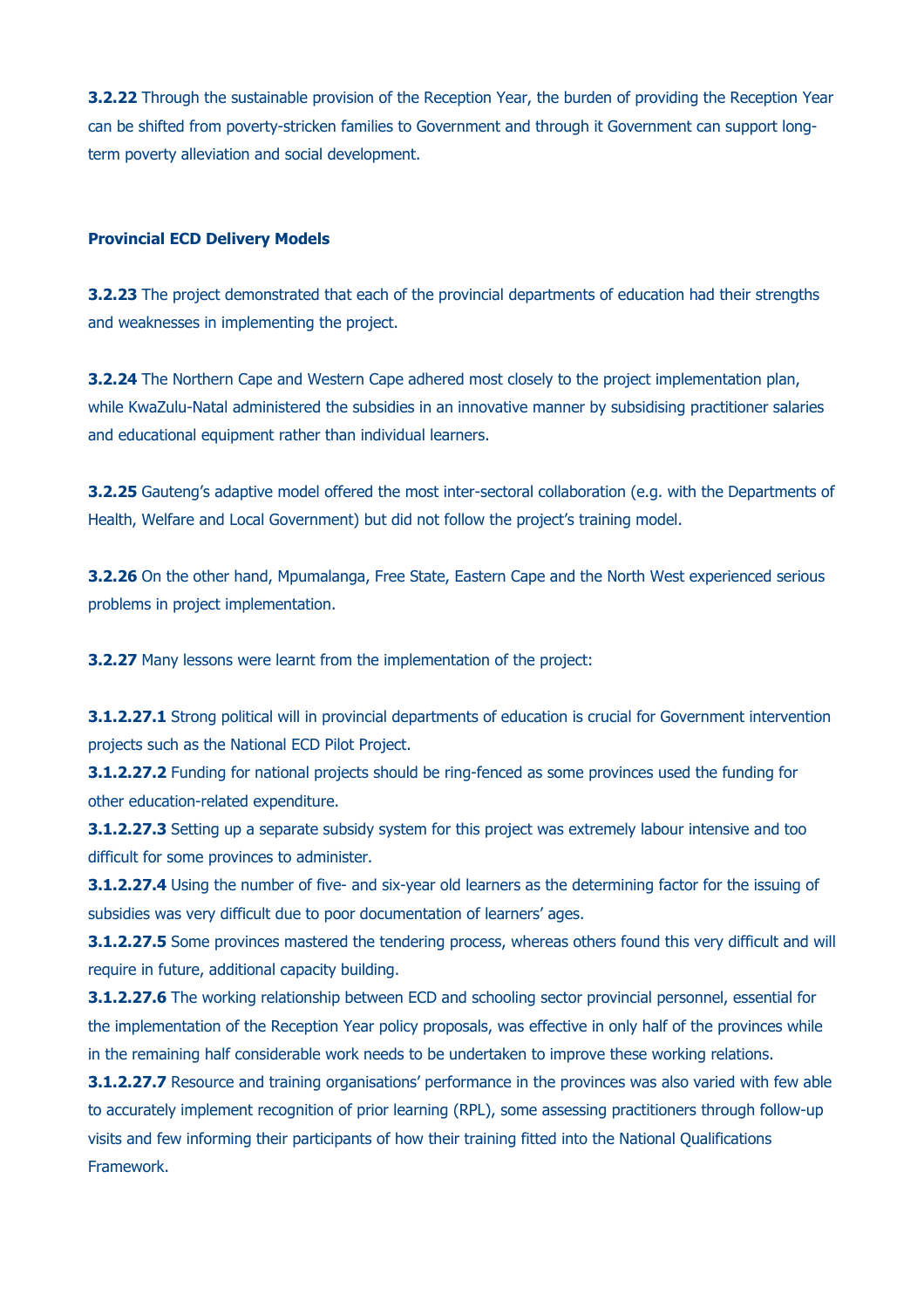**3.2.22** Through the sustainable provision of the Reception Year, the burden of providing the Reception Year can be shifted from poverty-stricken families to Government and through it Government can support longterm poverty alleviation and social development.

#### **Provincial ECD Delivery Models**

**3.2.23** The project demonstrated that each of the provincial departments of education had their strengths and weaknesses in implementing the project.

**3.2.24** The Northern Cape and Western Cape adhered most closely to the project implementation plan, while KwaZulu-Natal administered the subsidies in an innovative manner by subsidising practitioner salaries and educational equipment rather than individual learners.

**3.2.25** Gauteng's adaptive model offered the most inter-sectoral collaboration (e.g. with the Departments of Health, Welfare and Local Government) but did not follow the project's training model.

**3.2.26** On the other hand, Mpumalanga, Free State, Eastern Cape and the North West experienced serious problems in project implementation.

**3.2.27** Many lessons were learnt from the implementation of the project:

**3.1.2.27.1** Strong political will in provincial departments of education is crucial for Government intervention projects such as the National ECD Pilot Project.

**3.1.2.27.2** Funding for national projects should be ring-fenced as some provinces used the funding for other education-related expenditure.

**3.1.2.27.3** Setting up a separate subsidy system for this project was extremely labour intensive and too difficult for some provinces to administer.

**3.1.2.27.4** Using the number of five- and six-year old learners as the determining factor for the issuing of subsidies was very difficult due to poor documentation of learners' ages.

**3.1.2.27.5** Some provinces mastered the tendering process, whereas others found this very difficult and will require in future, additional capacity building.

**3.1.2.27.6** The working relationship between ECD and schooling sector provincial personnel, essential for the implementation of the Reception Year policy proposals, was effective in only half of the provinces while in the remaining half considerable work needs to be undertaken to improve these working relations.

**3.1.2.27.7** Resource and training organisations' performance in the provinces was also varied with few able to accurately implement recognition of prior learning (RPL), some assessing practitioners through follow-up visits and few informing their participants of how their training fitted into the National Qualifications Framework.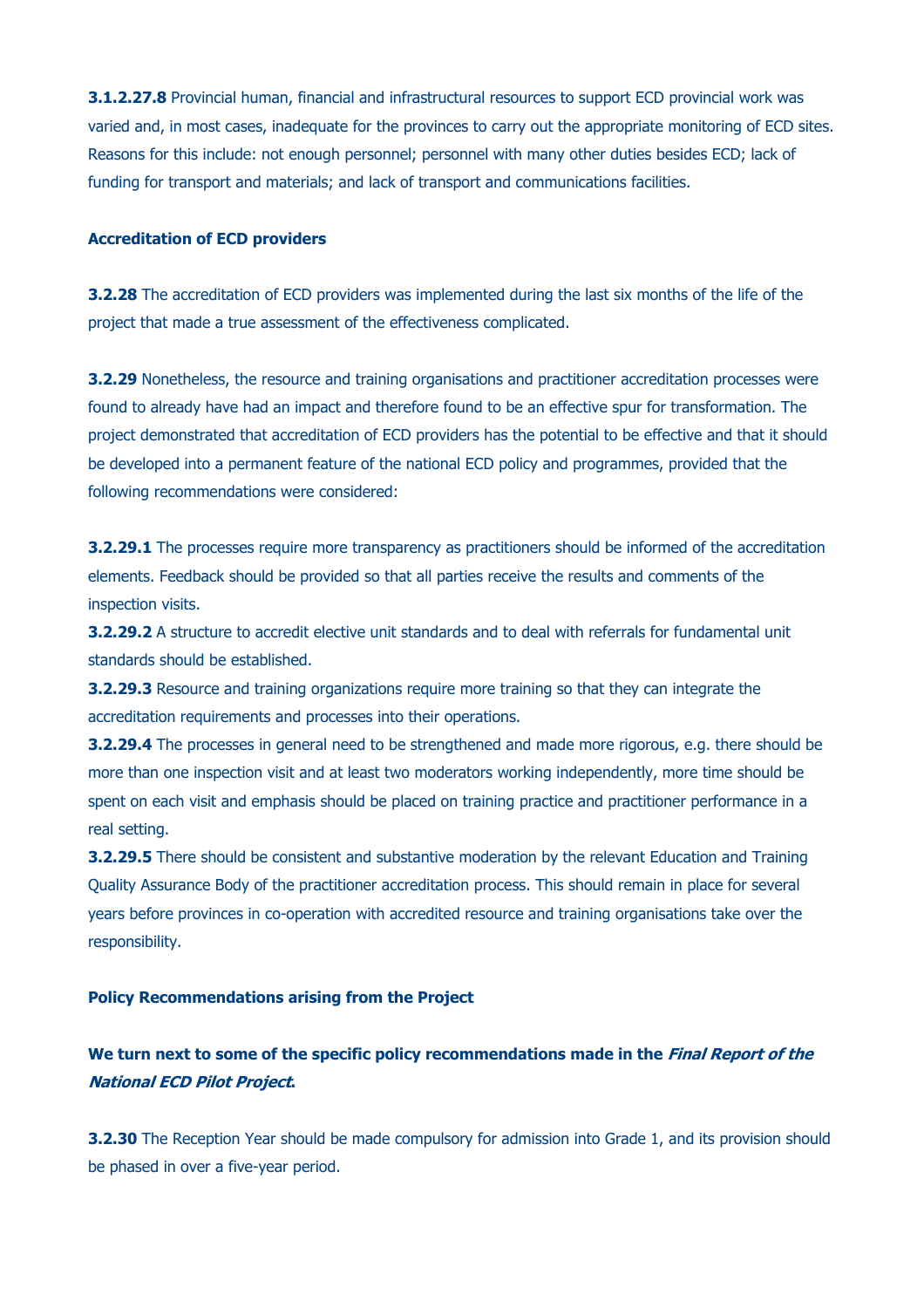**3.1.2.27.8** Provincial human, financial and infrastructural resources to support ECD provincial work was varied and, in most cases, inadequate for the provinces to carry out the appropriate monitoring of ECD sites. Reasons for this include: not enough personnel; personnel with many other duties besides ECD; lack of funding for transport and materials; and lack of transport and communications facilities.

#### **Accreditation of ECD providers**

**3.2.28** The accreditation of ECD providers was implemented during the last six months of the life of the project that made a true assessment of the effectiveness complicated.

**3.2.29** Nonetheless, the resource and training organisations and practitioner accreditation processes were found to already have had an impact and therefore found to be an effective spur for transformation. The project demonstrated that accreditation of ECD providers has the potential to be effective and that it should be developed into a permanent feature of the national ECD policy and programmes, provided that the following recommendations were considered:

**3.2.29.1** The processes require more transparency as practitioners should be informed of the accreditation elements. Feedback should be provided so that all parties receive the results and comments of the inspection visits.

**3.2.29.2** A structure to accredit elective unit standards and to deal with referrals for fundamental unit standards should be established.

**3.2.29.3** Resource and training organizations require more training so that they can integrate the accreditation requirements and processes into their operations.

**3.2.29.4** The processes in general need to be strengthened and made more rigorous, e.g. there should be more than one inspection visit and at least two moderators working independently, more time should be spent on each visit and emphasis should be placed on training practice and practitioner performance in a real setting.

**3.2.29.5** There should be consistent and substantive moderation by the relevant Education and Training Quality Assurance Body of the practitioner accreditation process. This should remain in place for several years before provinces in co-operation with accredited resource and training organisations take over the responsibility.

#### **Policy Recommendations arising from the Project**

# **We turn next to some of the specific policy recommendations made in the Final Report of the National ECD Pilot Project.**

**3.2.30** The Reception Year should be made compulsory for admission into Grade 1, and its provision should be phased in over a five-year period.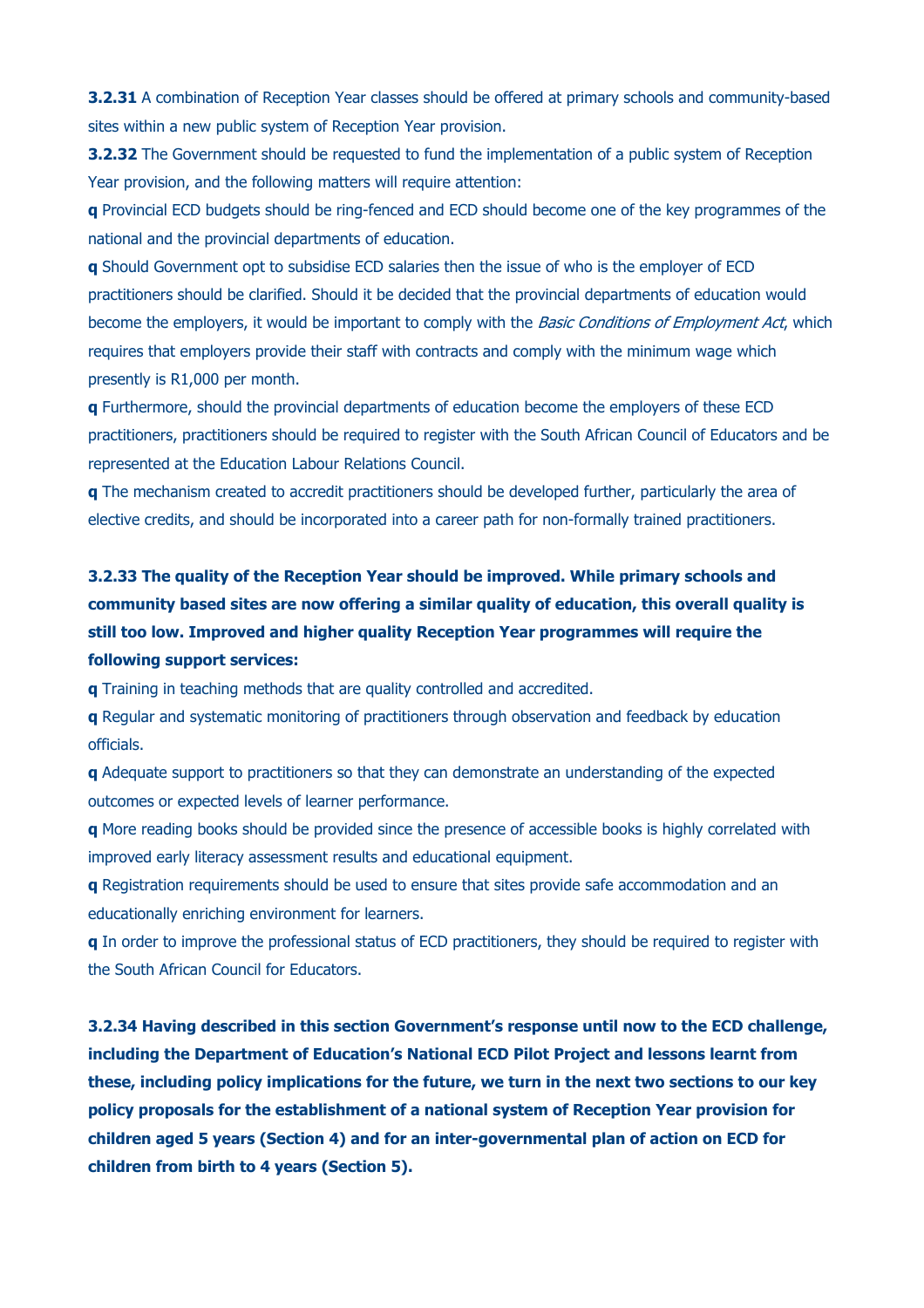**3.2.31** A combination of Reception Year classes should be offered at primary schools and community-based sites within a new public system of Reception Year provision.

**3.2.32** The Government should be requested to fund the implementation of a public system of Reception Year provision, and the following matters will require attention:

**q** Provincial ECD budgets should be ring-fenced and ECD should become one of the key programmes of the national and the provincial departments of education.

**q** Should Government opt to subsidise ECD salaries then the issue of who is the employer of ECD practitioners should be clarified. Should it be decided that the provincial departments of education would become the employers, it would be important to comply with the *Basic Conditions of Employment Act*, which requires that employers provide their staff with contracts and comply with the minimum wage which presently is R1,000 per month.

**q** Furthermore, should the provincial departments of education become the employers of these ECD practitioners, practitioners should be required to register with the South African Council of Educators and be represented at the Education Labour Relations Council.

**q** The mechanism created to accredit practitioners should be developed further, particularly the area of elective credits, and should be incorporated into a career path for non-formally trained practitioners.

# **3.2.33 The quality of the Reception Year should be improved. While primary schools and community based sites are now offering a similar quality of education, this overall quality is still too low. Improved and higher quality Reception Year programmes will require the following support services:**

**q** Training in teaching methods that are quality controlled and accredited.

**q** Regular and systematic monitoring of practitioners through observation and feedback by education officials.

**q** Adequate support to practitioners so that they can demonstrate an understanding of the expected outcomes or expected levels of learner performance.

**q** More reading books should be provided since the presence of accessible books is highly correlated with improved early literacy assessment results and educational equipment.

**q** Registration requirements should be used to ensure that sites provide safe accommodation and an educationally enriching environment for learners.

**q** In order to improve the professional status of ECD practitioners, they should be required to register with the South African Council for Educators.

**3.2.34 Having described in this section Government's response until now to the ECD challenge, including the Department of Education's National ECD Pilot Project and lessons learnt from these, including policy implications for the future, we turn in the next two sections to our key policy proposals for the establishment of a national system of Reception Year provision for children aged 5 years (Section 4) and for an inter-governmental plan of action on ECD for children from birth to 4 years (Section 5).**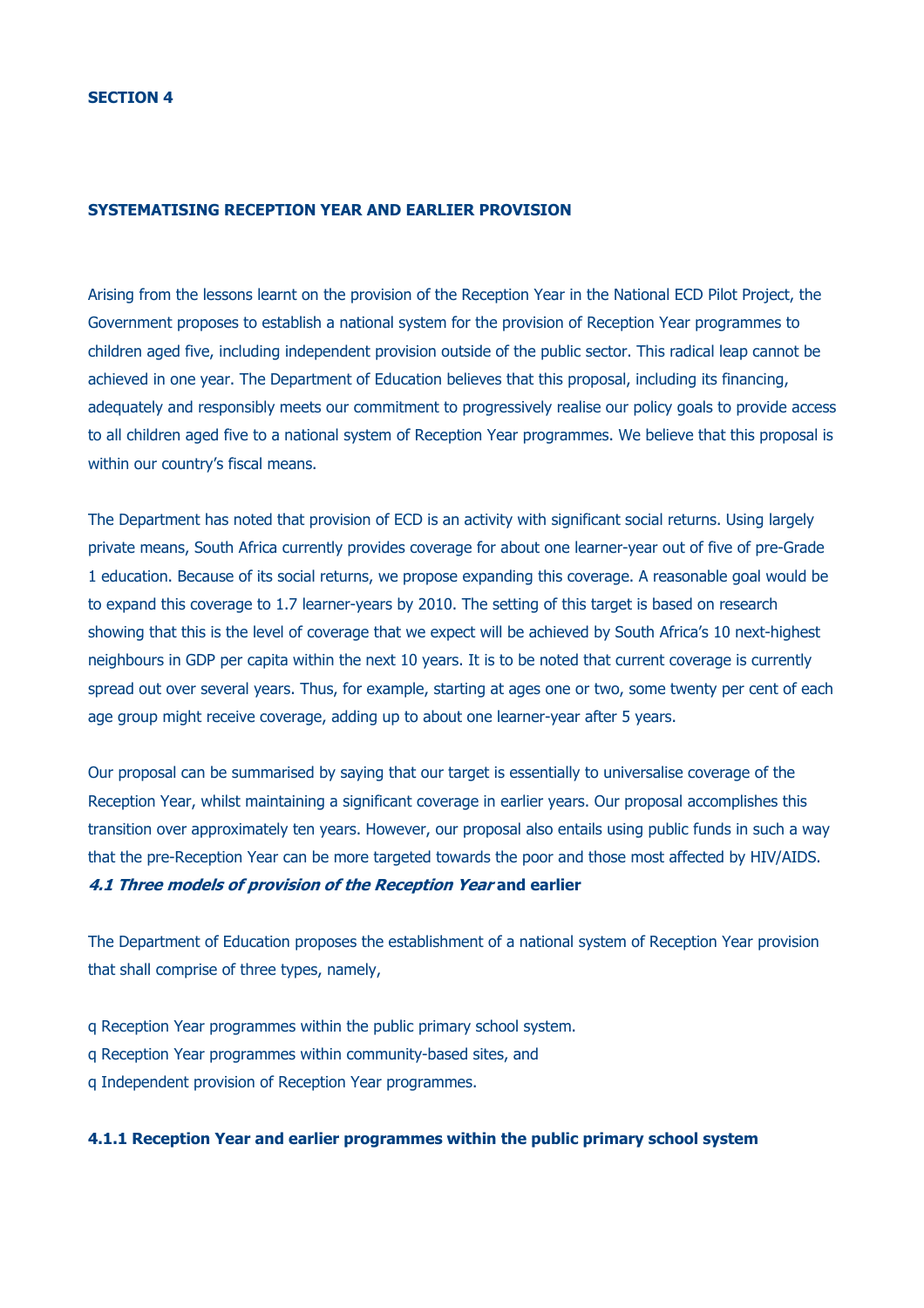#### **SYSTEMATISING RECEPTION YEAR AND EARLIER PROVISION**

Arising from the lessons learnt on the provision of the Reception Year in the National ECD Pilot Project, the Government proposes to establish a national system for the provision of Reception Year programmes to children aged five, including independent provision outside of the public sector. This radical leap cannot be achieved in one year. The Department of Education believes that this proposal, including its financing, adequately and responsibly meets our commitment to progressively realise our policy goals to provide access to all children aged five to a national system of Reception Year programmes. We believe that this proposal is within our country's fiscal means.

The Department has noted that provision of ECD is an activity with significant social returns. Using largely private means, South Africa currently provides coverage for about one learner-year out of five of pre-Grade 1 education. Because of its social returns, we propose expanding this coverage. A reasonable goal would be to expand this coverage to 1.7 learner-years by 2010. The setting of this target is based on research showing that this is the level of coverage that we expect will be achieved by South Africa's 10 next-highest neighbours in GDP per capita within the next 10 years. It is to be noted that current coverage is currently spread out over several years. Thus, for example, starting at ages one or two, some twenty per cent of each age group might receive coverage, adding up to about one learner-year after 5 years.

Our proposal can be summarised by saying that our target is essentially to universalise coverage of the Reception Year, whilst maintaining a significant coverage in earlier years. Our proposal accomplishes this transition over approximately ten years. However, our proposal also entails using public funds in such a way that the pre-Reception Year can be more targeted towards the poor and those most affected by HIV/AIDS. **4.1 Three models of provision of the Reception Year and earlier**

The Department of Education proposes the establishment of a national system of Reception Year provision that shall comprise of three types, namely,

- q Reception Year programmes within the public primary school system.
- q Reception Year programmes within community-based sites, and
- q Independent provision of Reception Year programmes.

## **4.1.1 Reception Year and earlier programmes within the public primary school system**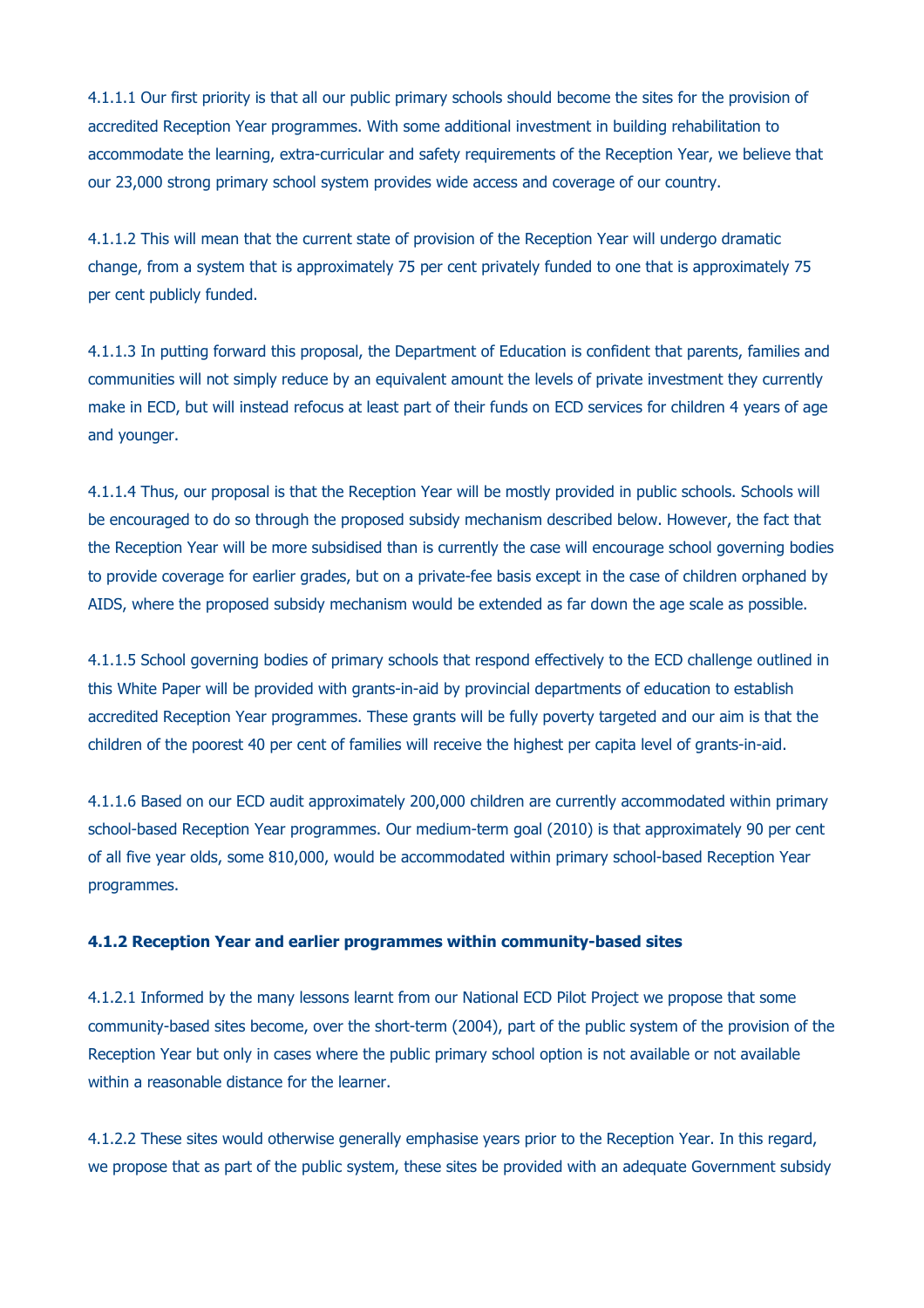4.1.1.1 Our first priority is that all our public primary schools should become the sites for the provision of accredited Reception Year programmes. With some additional investment in building rehabilitation to accommodate the learning, extra-curricular and safety requirements of the Reception Year, we believe that our 23,000 strong primary school system provides wide access and coverage of our country.

4.1.1.2 This will mean that the current state of provision of the Reception Year will undergo dramatic change, from a system that is approximately 75 per cent privately funded to one that is approximately 75 per cent publicly funded.

4.1.1.3 In putting forward this proposal, the Department of Education is confident that parents, families and communities will not simply reduce by an equivalent amount the levels of private investment they currently make in ECD, but will instead refocus at least part of their funds on ECD services for children 4 years of age and younger.

4.1.1.4 Thus, our proposal is that the Reception Year will be mostly provided in public schools. Schools will be encouraged to do so through the proposed subsidy mechanism described below. However, the fact that the Reception Year will be more subsidised than is currently the case will encourage school governing bodies to provide coverage for earlier grades, but on a private-fee basis except in the case of children orphaned by AIDS, where the proposed subsidy mechanism would be extended as far down the age scale as possible.

4.1.1.5 School governing bodies of primary schools that respond effectively to the ECD challenge outlined in this White Paper will be provided with grants-in-aid by provincial departments of education to establish accredited Reception Year programmes. These grants will be fully poverty targeted and our aim is that the children of the poorest 40 per cent of families will receive the highest per capita level of grants-in-aid.

4.1.1.6 Based on our ECD audit approximately 200,000 children are currently accommodated within primary school-based Reception Year programmes. Our medium-term goal (2010) is that approximately 90 per cent of all five year olds, some 810,000, would be accommodated within primary school-based Reception Year programmes.

### **4.1.2 Reception Year and earlier programmes within community-based sites**

4.1.2.1 Informed by the many lessons learnt from our National ECD Pilot Project we propose that some community-based sites become, over the short-term (2004), part of the public system of the provision of the Reception Year but only in cases where the public primary school option is not available or not available within a reasonable distance for the learner.

4.1.2.2 These sites would otherwise generally emphasise years prior to the Reception Year. In this regard, we propose that as part of the public system, these sites be provided with an adequate Government subsidy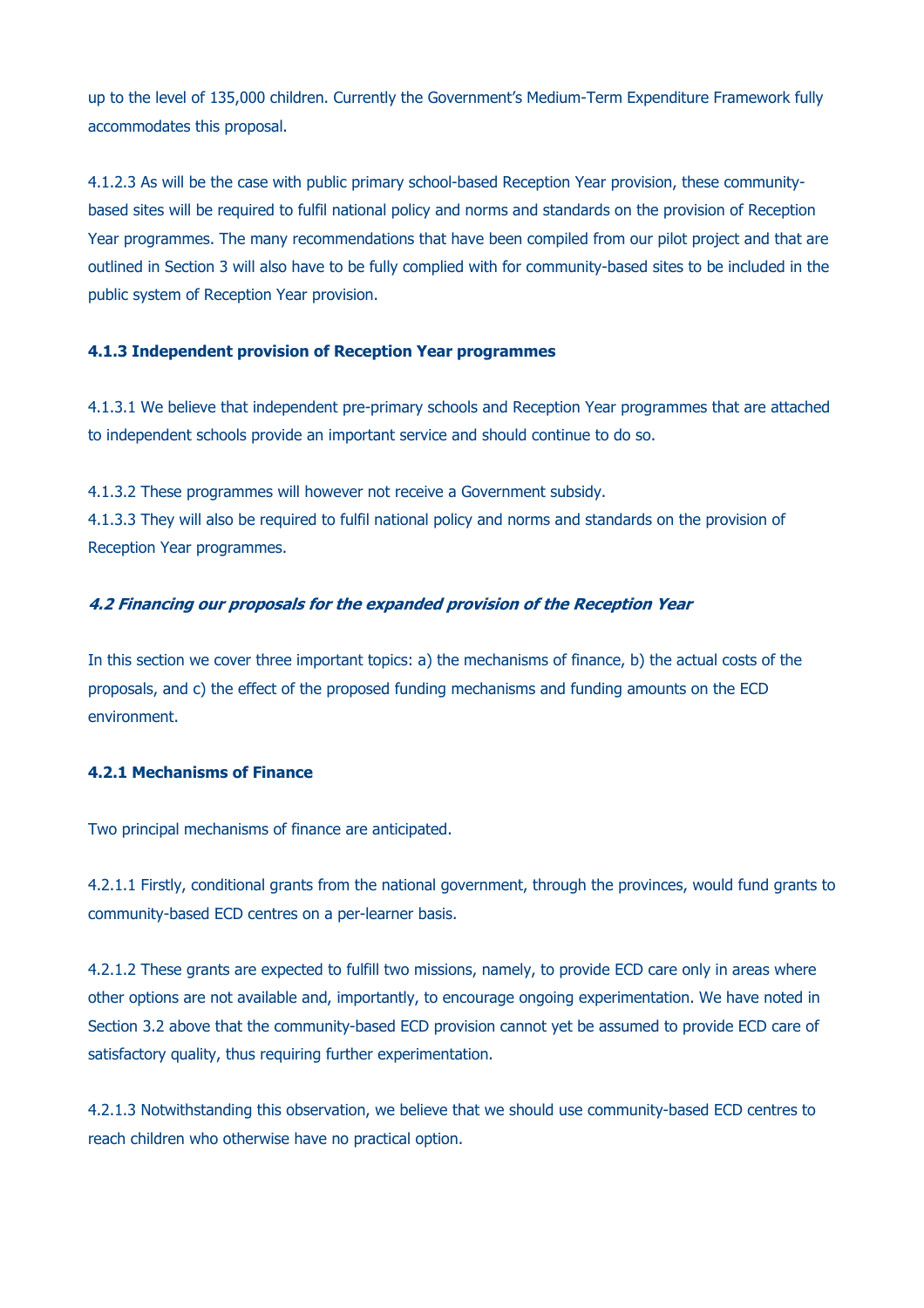up to the level of 135,000 children. Currently the Government's Medium-Term Expenditure Framework fully accommodates this proposal.

4.1.2.3 As will be the case with public primary school-based Reception Year provision, these communitybased sites will be required to fulfil national policy and norms and standards on the provision of Reception Year programmes. The many recommendations that have been compiled from our pilot project and that are outlined in Section 3 will also have to be fully complied with for community-based sites to be included in the public system of Reception Year provision.

## **4.1.3 Independent provision of Reception Year programmes**

4.1.3.1 We believe that independent pre-primary schools and Reception Year programmes that are attached to independent schools provide an important service and should continue to do so.

4.1.3.2 These programmes will however not receive a Government subsidy.

4.1.3.3 They will also be required to fulfil national policy and norms and standards on the provision of Reception Year programmes.

## **4.2 Financing our proposals for the expanded provision of the Reception Year**

In this section we cover three important topics: a) the mechanisms of finance, b) the actual costs of the proposals, and c) the effect of the proposed funding mechanisms and funding amounts on the ECD environment.

# **4.2.1 Mechanisms of Finance**

Two principal mechanisms of finance are anticipated.

4.2.1.1 Firstly, conditional grants from the national government, through the provinces, would fund grants to community-based ECD centres on a per-learner basis.

4.2.1.2 These grants are expected to fulfill two missions, namely, to provide ECD care only in areas where other options are not available and, importantly, to encourage ongoing experimentation. We have noted in Section 3.2 above that the community-based ECD provision cannot yet be assumed to provide ECD care of satisfactory quality, thus requiring further experimentation.

4.2.1.3 Notwithstanding this observation, we believe that we should use community-based ECD centres to reach children who otherwise have no practical option.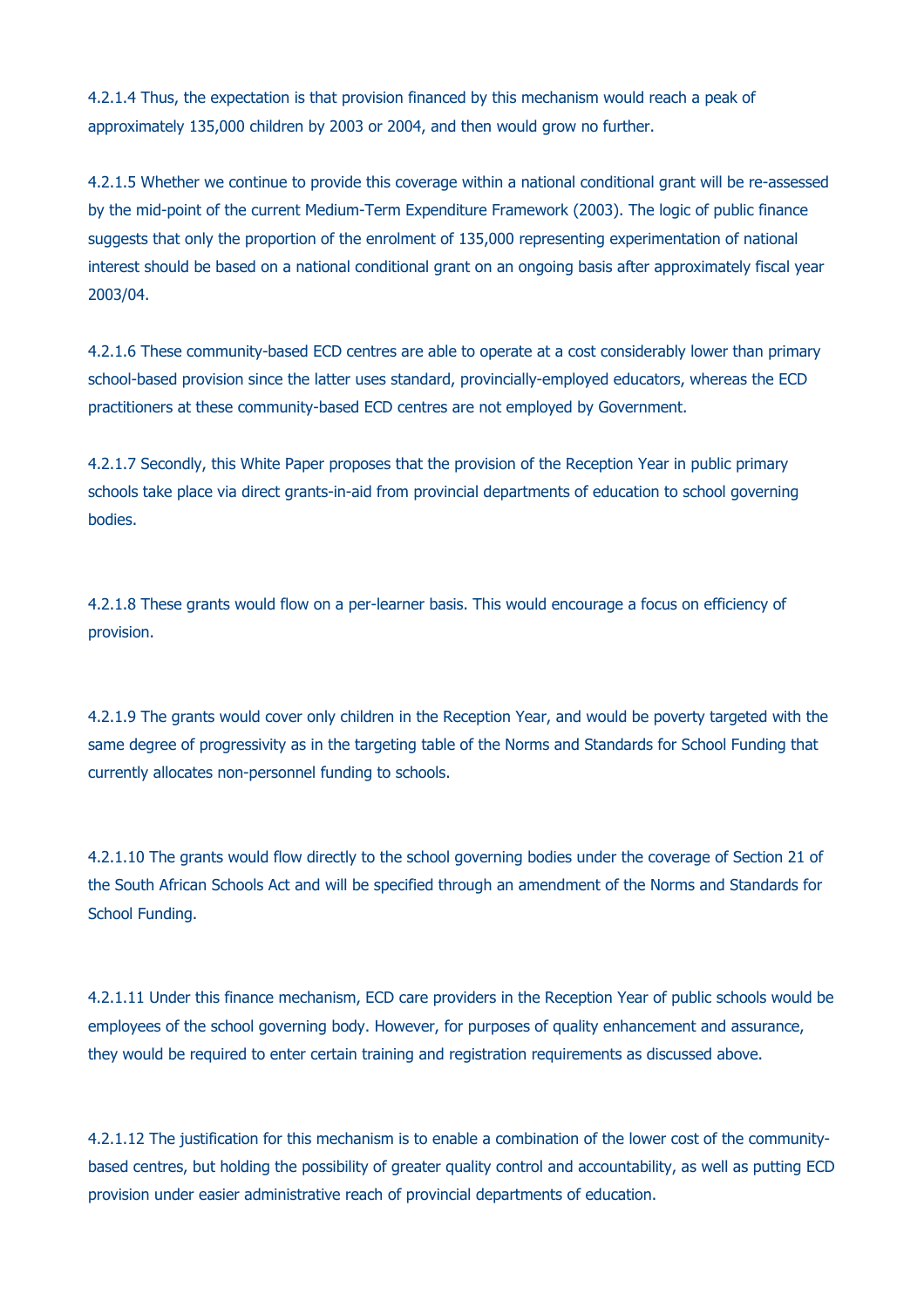4.2.1.4 Thus, the expectation is that provision financed by this mechanism would reach a peak of approximately 135,000 children by 2003 or 2004, and then would grow no further.

4.2.1.5 Whether we continue to provide this coverage within a national conditional grant will be re-assessed by the mid-point of the current Medium-Term Expenditure Framework (2003). The logic of public finance suggests that only the proportion of the enrolment of 135,000 representing experimentation of national interest should be based on a national conditional grant on an ongoing basis after approximately fiscal year 2003/04.

4.2.1.6 These community-based ECD centres are able to operate at a cost considerably lower than primary school-based provision since the latter uses standard, provincially-employed educators, whereas the ECD practitioners at these community-based ECD centres are not employed by Government.

4.2.1.7 Secondly, this White Paper proposes that the provision of the Reception Year in public primary schools take place via direct grants-in-aid from provincial departments of education to school governing bodies.

4.2.1.8 These grants would flow on a per-learner basis. This would encourage a focus on efficiency of provision.

4.2.1.9 The grants would cover only children in the Reception Year, and would be poverty targeted with the same degree of progressivity as in the targeting table of the Norms and Standards for School Funding that currently allocates non-personnel funding to schools.

4.2.1.10 The grants would flow directly to the school governing bodies under the coverage of Section 21 of the South African Schools Act and will be specified through an amendment of the Norms and Standards for School Funding.

4.2.1.11 Under this finance mechanism, ECD care providers in the Reception Year of public schools would be employees of the school governing body. However, for purposes of quality enhancement and assurance, they would be required to enter certain training and registration requirements as discussed above.

4.2.1.12 The justification for this mechanism is to enable a combination of the lower cost of the communitybased centres, but holding the possibility of greater quality control and accountability, as well as putting ECD provision under easier administrative reach of provincial departments of education.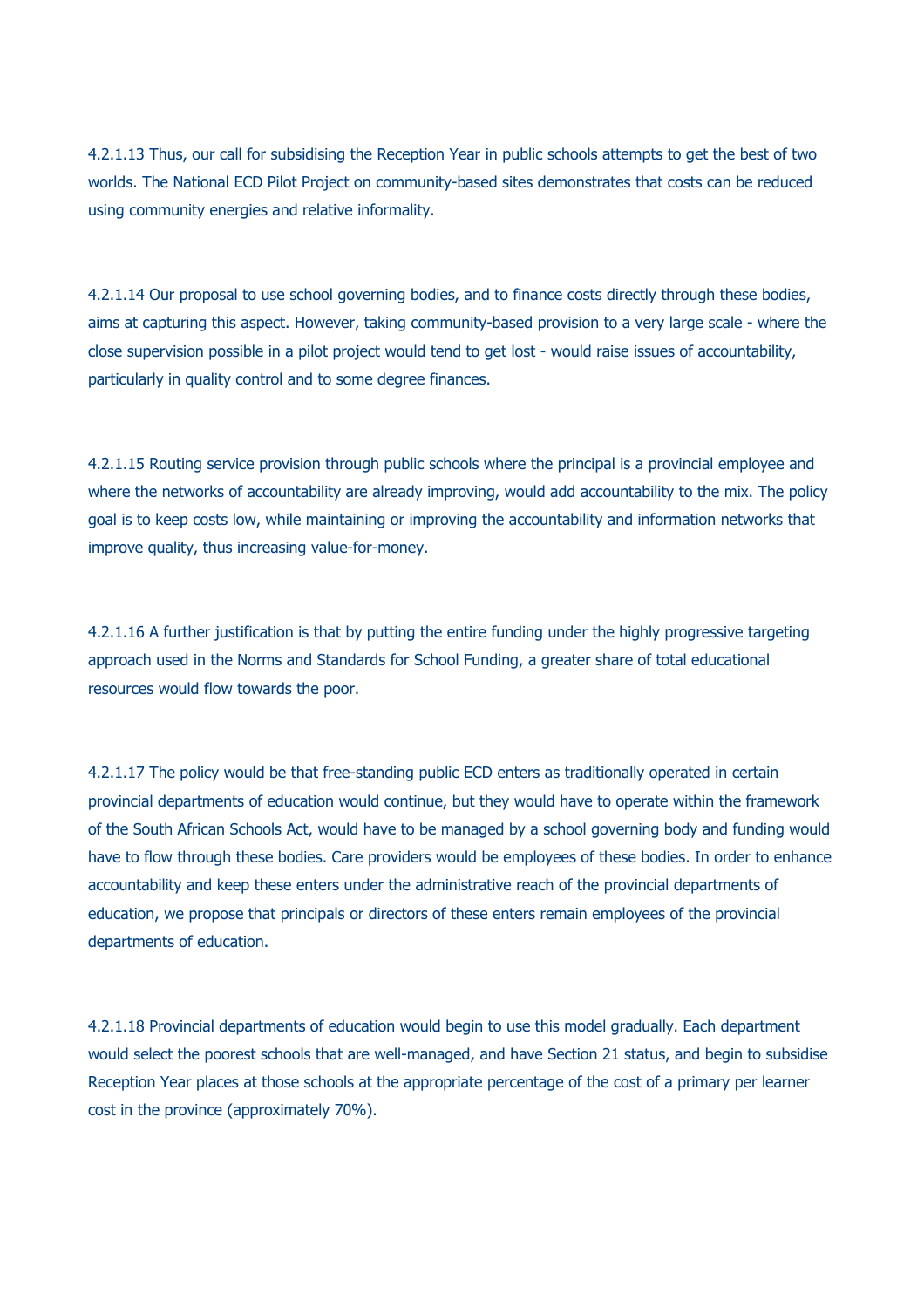4.2.1.13 Thus, our call for subsidising the Reception Year in public schools attempts to get the best of two worlds. The National ECD Pilot Project on community-based sites demonstrates that costs can be reduced using community energies and relative informality.

4.2.1.14 Our proposal to use school governing bodies, and to finance costs directly through these bodies, aims at capturing this aspect. However, taking community-based provision to a very large scale - where the close supervision possible in a pilot project would tend to get lost - would raise issues of accountability, particularly in quality control and to some degree finances.

4.2.1.15 Routing service provision through public schools where the principal is a provincial employee and where the networks of accountability are already improving, would add accountability to the mix. The policy goal is to keep costs low, while maintaining or improving the accountability and information networks that improve quality, thus increasing value-for-money.

4.2.1.16 A further justification is that by putting the entire funding under the highly progressive targeting approach used in the Norms and Standards for School Funding, a greater share of total educational resources would flow towards the poor.

4.2.1.17 The policy would be that free-standing public ECD enters as traditionally operated in certain provincial departments of education would continue, but they would have to operate within the framework of the South African Schools Act, would have to be managed by a school governing body and funding would have to flow through these bodies. Care providers would be employees of these bodies. In order to enhance accountability and keep these enters under the administrative reach of the provincial departments of education, we propose that principals or directors of these enters remain employees of the provincial departments of education.

4.2.1.18 Provincial departments of education would begin to use this model gradually. Each department would select the poorest schools that are well-managed, and have Section 21 status, and begin to subsidise Reception Year places at those schools at the appropriate percentage of the cost of a primary per learner cost in the province (approximately 70%).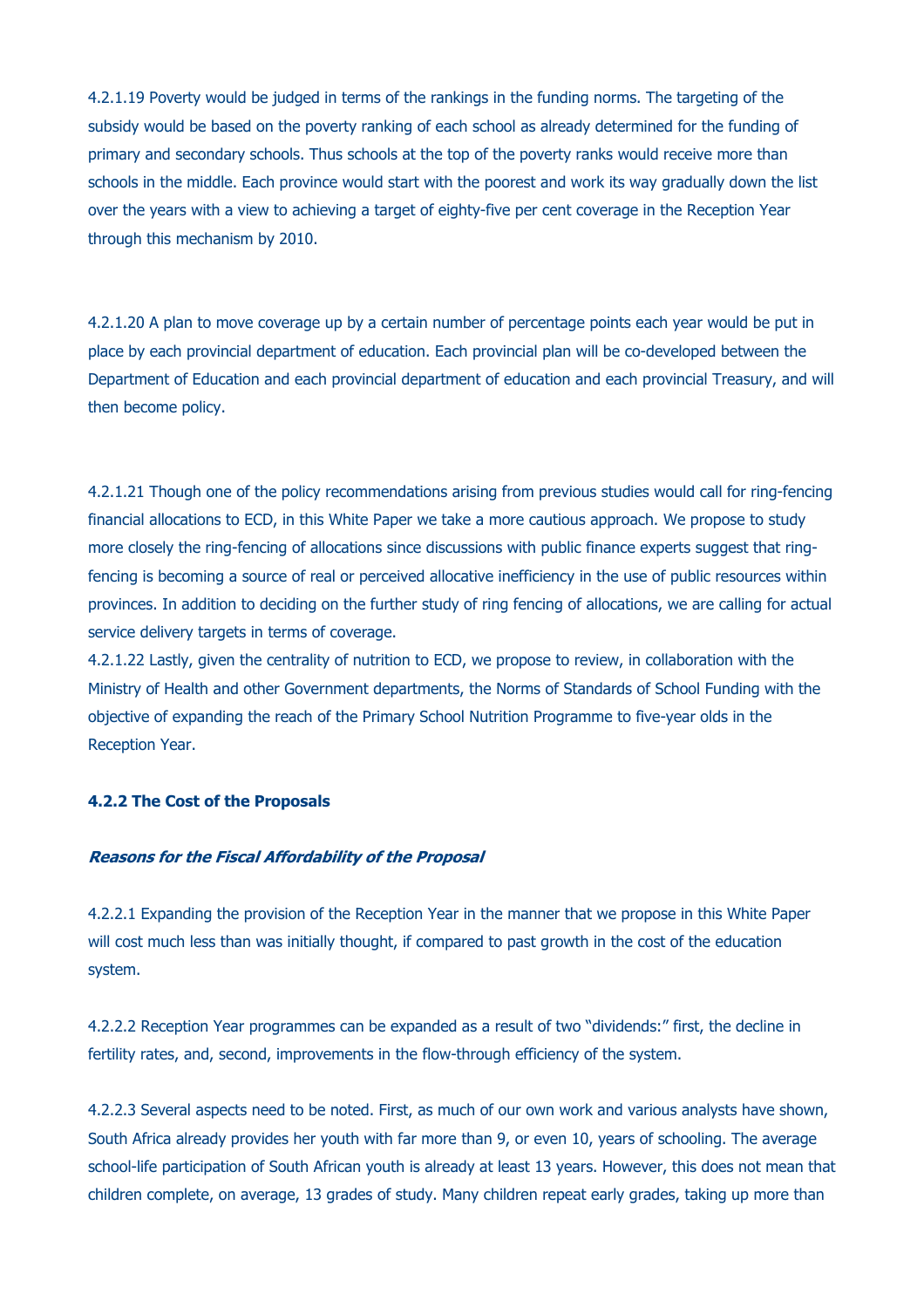4.2.1.19 Poverty would be judged in terms of the rankings in the funding norms. The targeting of the subsidy would be based on the poverty ranking of each school as already determined for the funding of primary and secondary schools. Thus schools at the top of the poverty ranks would receive more than schools in the middle. Each province would start with the poorest and work its way gradually down the list over the years with a view to achieving a target of eighty-five per cent coverage in the Reception Year through this mechanism by 2010.

4.2.1.20 A plan to move coverage up by a certain number of percentage points each year would be put in place by each provincial department of education. Each provincial plan will be co-developed between the Department of Education and each provincial department of education and each provincial Treasury, and will then become policy.

4.2.1.21 Though one of the policy recommendations arising from previous studies would call for ring-fencing financial allocations to ECD, in this White Paper we take a more cautious approach. We propose to study more closely the ring-fencing of allocations since discussions with public finance experts suggest that ringfencing is becoming a source of real or perceived allocative inefficiency in the use of public resources within provinces. In addition to deciding on the further study of ring fencing of allocations, we are calling for actual service delivery targets in terms of coverage.

4.2.1.22 Lastly, given the centrality of nutrition to ECD, we propose to review, in collaboration with the Ministry of Health and other Government departments, the Norms of Standards of School Funding with the objective of expanding the reach of the Primary School Nutrition Programme to five-year olds in the Reception Year.

## **4.2.2 The Cost of the Proposals**

## **Reasons for the Fiscal Affordability of the Proposal**

4.2.2.1 Expanding the provision of the Reception Year in the manner that we propose in this White Paper will cost much less than was initially thought, if compared to past growth in the cost of the education system.

4.2.2.2 Reception Year programmes can be expanded as a result of two "dividends:" first, the decline in fertility rates, and, second, improvements in the flow-through efficiency of the system.

4.2.2.3 Several aspects need to be noted. First, as much of our own work and various analysts have shown, South Africa already provides her youth with far more than 9, or even 10, years of schooling. The average school-life participation of South African youth is already at least 13 years. However, this does not mean that children complete, on average, 13 grades of study. Many children repeat early grades, taking up more than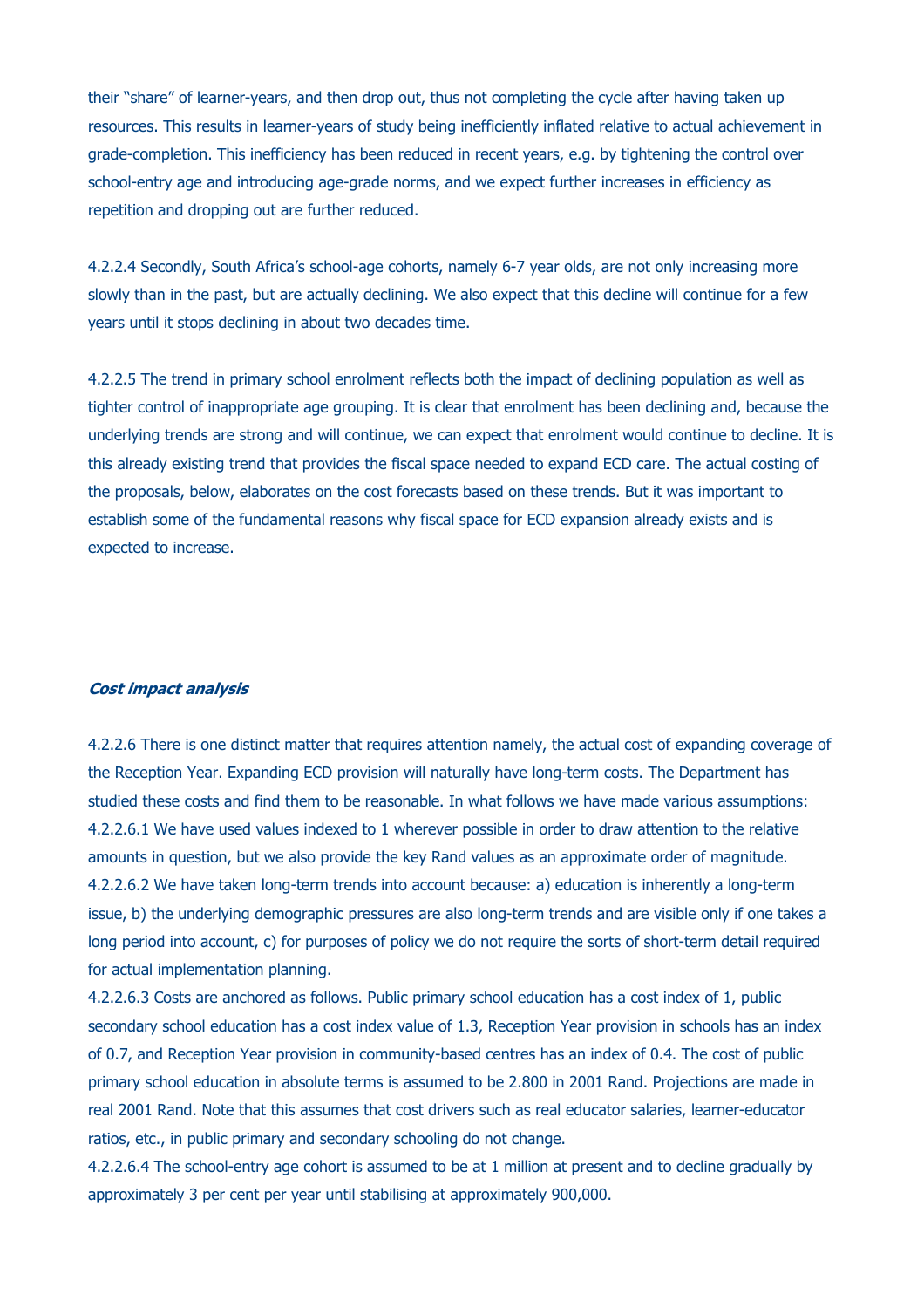their "share" of learner-years, and then drop out, thus not completing the cycle after having taken up resources. This results in learner-years of study being inefficiently inflated relative to actual achievement in grade-completion. This inefficiency has been reduced in recent years, e.g. by tightening the control over school-entry age and introducing age-grade norms, and we expect further increases in efficiency as repetition and dropping out are further reduced.

4.2.2.4 Secondly, South Africa's school-age cohorts, namely 6-7 year olds, are not only increasing more slowly than in the past, but are actually declining. We also expect that this decline will continue for a few years until it stops declining in about two decades time.

4.2.2.5 The trend in primary school enrolment reflects both the impact of declining population as well as tighter control of inappropriate age grouping. It is clear that enrolment has been declining and, because the underlying trends are strong and will continue, we can expect that enrolment would continue to decline. It is this already existing trend that provides the fiscal space needed to expand ECD care. The actual costing of the proposals, below, elaborates on the cost forecasts based on these trends. But it was important to establish some of the fundamental reasons why fiscal space for ECD expansion already exists and is expected to increase.

#### **Cost impact analysis**

4.2.2.6 There is one distinct matter that requires attention namely, the actual cost of expanding coverage of the Reception Year. Expanding ECD provision will naturally have long-term costs. The Department has studied these costs and find them to be reasonable. In what follows we have made various assumptions: 4.2.2.6.1 We have used values indexed to 1 wherever possible in order to draw attention to the relative amounts in question, but we also provide the key Rand values as an approximate order of magnitude. 4.2.2.6.2 We have taken long-term trends into account because: a) education is inherently a long-term issue, b) the underlying demographic pressures are also long-term trends and are visible only if one takes a long period into account, c) for purposes of policy we do not require the sorts of short-term detail required for actual implementation planning.

4.2.2.6.3 Costs are anchored as follows. Public primary school education has a cost index of 1, public secondary school education has a cost index value of 1.3, Reception Year provision in schools has an index of 0.7, and Reception Year provision in community-based centres has an index of 0.4. The cost of public primary school education in absolute terms is assumed to be 2.800 in 2001 Rand. Projections are made in real 2001 Rand. Note that this assumes that cost drivers such as real educator salaries, learner-educator ratios, etc., in public primary and secondary schooling do not change.

4.2.2.6.4 The school-entry age cohort is assumed to be at 1 million at present and to decline gradually by approximately 3 per cent per year until stabilising at approximately 900,000.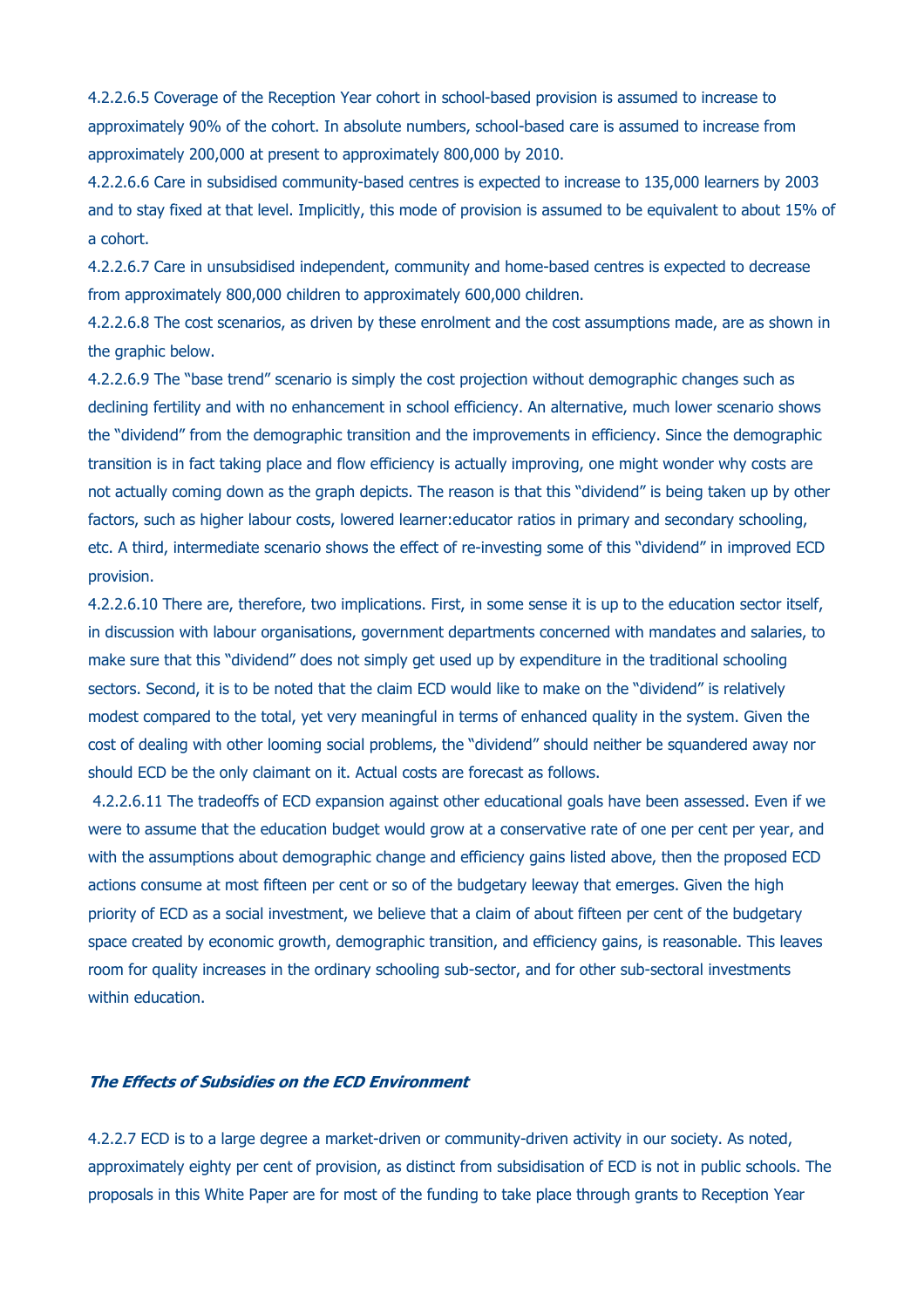4.2.2.6.5 Coverage of the Reception Year cohort in school-based provision is assumed to increase to approximately 90% of the cohort. In absolute numbers, school-based care is assumed to increase from approximately 200,000 at present to approximately 800,000 by 2010.

4.2.2.6.6 Care in subsidised community-based centres is expected to increase to 135,000 learners by 2003 and to stay fixed at that level. Implicitly, this mode of provision is assumed to be equivalent to about 15% of a cohort.

4.2.2.6.7 Care in unsubsidised independent, community and home-based centres is expected to decrease from approximately 800,000 children to approximately 600,000 children.

4.2.2.6.8 The cost scenarios, as driven by these enrolment and the cost assumptions made, are as shown in the graphic below.

4.2.2.6.9 The "base trend" scenario is simply the cost projection without demographic changes such as declining fertility and with no enhancement in school efficiency. An alternative, much lower scenario shows the "dividend" from the demographic transition and the improvements in efficiency. Since the demographic transition is in fact taking place and flow efficiency is actually improving, one might wonder why costs are not actually coming down as the graph depicts. The reason is that this "dividend" is being taken up by other factors, such as higher labour costs, lowered learner:educator ratios in primary and secondary schooling, etc. A third, intermediate scenario shows the effect of re-investing some of this "dividend" in improved ECD provision.

4.2.2.6.10 There are, therefore, two implications. First, in some sense it is up to the education sector itself, in discussion with labour organisations, government departments concerned with mandates and salaries, to make sure that this "dividend" does not simply get used up by expenditure in the traditional schooling sectors. Second, it is to be noted that the claim ECD would like to make on the "dividend" is relatively modest compared to the total, yet very meaningful in terms of enhanced quality in the system. Given the cost of dealing with other looming social problems, the "dividend" should neither be squandered away nor should ECD be the only claimant on it. Actual costs are forecast as follows.

4.2.2.6.11 The tradeoffs of ECD expansion against other educational goals have been assessed. Even if we were to assume that the education budget would grow at a conservative rate of one per cent per year, and with the assumptions about demographic change and efficiency gains listed above, then the proposed ECD actions consume at most fifteen per cent or so of the budgetary leeway that emerges. Given the high priority of ECD as a social investment, we believe that a claim of about fifteen per cent of the budgetary space created by economic growth, demographic transition, and efficiency gains, is reasonable. This leaves room for quality increases in the ordinary schooling sub-sector, and for other sub-sectoral investments within education.

## **The Effects of Subsidies on the ECD Environment**

4.2.2.7 ECD is to a large degree a market-driven or community-driven activity in our society. As noted, approximately eighty per cent of provision, as distinct from subsidisation of ECD is not in public schools. The proposals in this White Paper are for most of the funding to take place through grants to Reception Year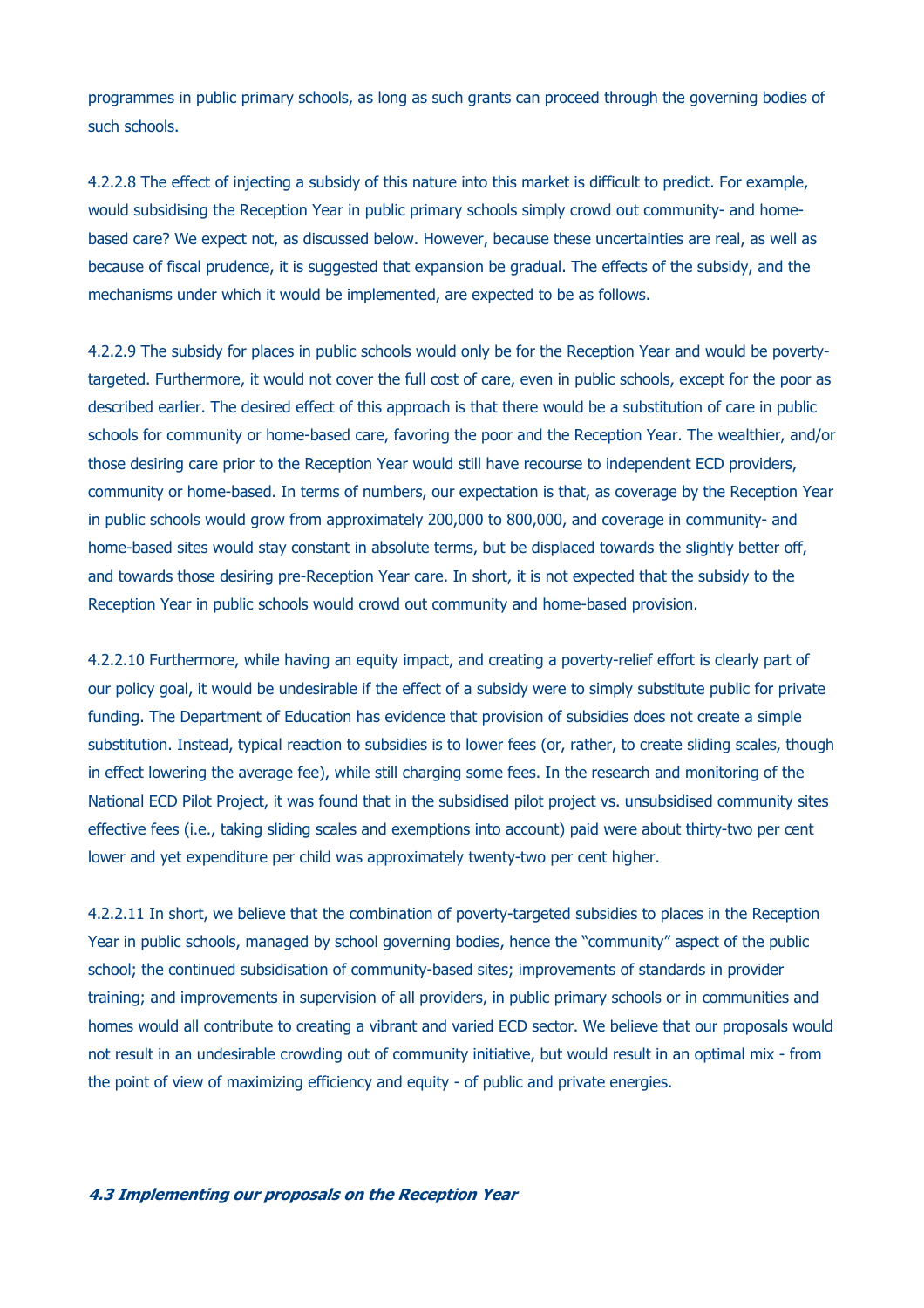programmes in public primary schools, as long as such grants can proceed through the governing bodies of such schools.

4.2.2.8 The effect of injecting a subsidy of this nature into this market is difficult to predict. For example, would subsidising the Reception Year in public primary schools simply crowd out community- and homebased care? We expect not, as discussed below. However, because these uncertainties are real, as well as because of fiscal prudence, it is suggested that expansion be gradual. The effects of the subsidy, and the mechanisms under which it would be implemented, are expected to be as follows.

4.2.2.9 The subsidy for places in public schools would only be for the Reception Year and would be povertytargeted. Furthermore, it would not cover the full cost of care, even in public schools, except for the poor as described earlier. The desired effect of this approach is that there would be a substitution of care in public schools for community or home-based care, favoring the poor and the Reception Year. The wealthier, and/or those desiring care prior to the Reception Year would still have recourse to independent ECD providers, community or home-based. In terms of numbers, our expectation is that, as coverage by the Reception Year in public schools would grow from approximately 200,000 to 800,000, and coverage in community- and home-based sites would stay constant in absolute terms, but be displaced towards the slightly better off, and towards those desiring pre-Reception Year care. In short, it is not expected that the subsidy to the Reception Year in public schools would crowd out community and home-based provision.

4.2.2.10 Furthermore, while having an equity impact, and creating a poverty-relief effort is clearly part of our policy goal, it would be undesirable if the effect of a subsidy were to simply substitute public for private funding. The Department of Education has evidence that provision of subsidies does not create a simple substitution. Instead, typical reaction to subsidies is to lower fees (or, rather, to create sliding scales, though in effect lowering the average fee), while still charging some fees. In the research and monitoring of the National ECD Pilot Project, it was found that in the subsidised pilot project vs. unsubsidised community sites effective fees (i.e., taking sliding scales and exemptions into account) paid were about thirty-two per cent lower and yet expenditure per child was approximately twenty-two per cent higher.

4.2.2.11 In short, we believe that the combination of poverty-targeted subsidies to places in the Reception Year in public schools, managed by school governing bodies, hence the "community" aspect of the public school; the continued subsidisation of community-based sites; improvements of standards in provider training; and improvements in supervision of all providers, in public primary schools or in communities and homes would all contribute to creating a vibrant and varied ECD sector. We believe that our proposals would not result in an undesirable crowding out of community initiative, but would result in an optimal mix - from the point of view of maximizing efficiency and equity - of public and private energies.

#### **4.3 Implementing our proposals on the Reception Year**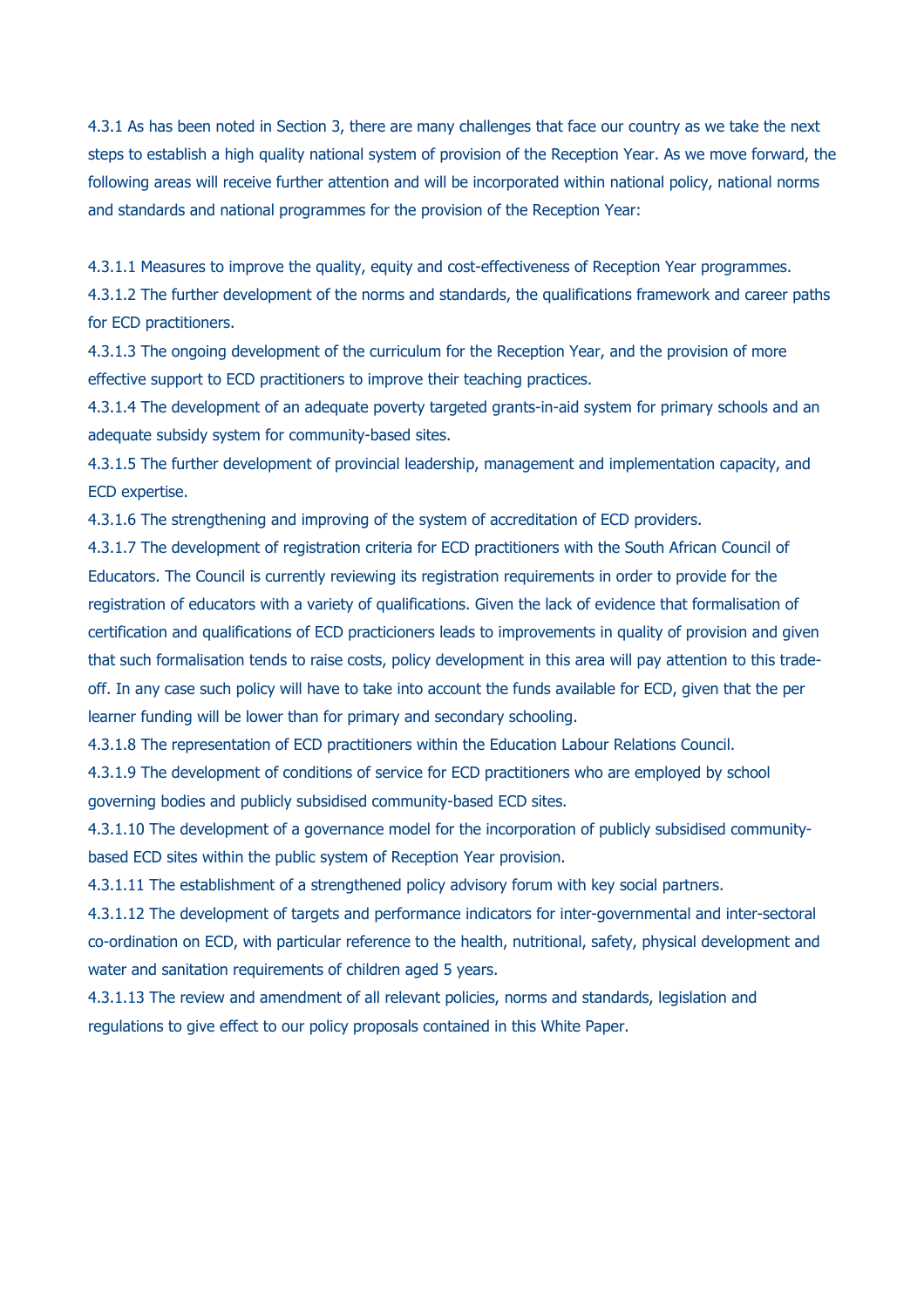4.3.1 As has been noted in Section 3, there are many challenges that face our country as we take the next steps to establish a high quality national system of provision of the Reception Year. As we move forward, the following areas will receive further attention and will be incorporated within national policy, national norms and standards and national programmes for the provision of the Reception Year:

4.3.1.1 Measures to improve the quality, equity and cost-effectiveness of Reception Year programmes.

4.3.1.2 The further development of the norms and standards, the qualifications framework and career paths for ECD practitioners.

4.3.1.3 The ongoing development of the curriculum for the Reception Year, and the provision of more effective support to ECD practitioners to improve their teaching practices.

4.3.1.4 The development of an adequate poverty targeted grants-in-aid system for primary schools and an adequate subsidy system for community-based sites.

4.3.1.5 The further development of provincial leadership, management and implementation capacity, and ECD expertise.

4.3.1.6 The strengthening and improving of the system of accreditation of ECD providers.

4.3.1.7 The development of registration criteria for ECD practitioners with the South African Council of Educators. The Council is currently reviewing its registration requirements in order to provide for the registration of educators with a variety of qualifications. Given the lack of evidence that formalisation of certification and qualifications of ECD practicioners leads to improvements in quality of provision and given that such formalisation tends to raise costs, policy development in this area will pay attention to this tradeoff. In any case such policy will have to take into account the funds available for ECD, given that the per learner funding will be lower than for primary and secondary schooling.

4.3.1.8 The representation of ECD practitioners within the Education Labour Relations Council.

4.3.1.9 The development of conditions of service for ECD practitioners who are employed by school governing bodies and publicly subsidised community-based ECD sites.

4.3.1.10 The development of a governance model for the incorporation of publicly subsidised communitybased ECD sites within the public system of Reception Year provision.

4.3.1.11 The establishment of a strengthened policy advisory forum with key social partners.

4.3.1.12 The development of targets and performance indicators for inter-governmental and inter-sectoral co-ordination on ECD, with particular reference to the health, nutritional, safety, physical development and water and sanitation requirements of children aged 5 years.

4.3.1.13 The review and amendment of all relevant policies, norms and standards, legislation and regulations to give effect to our policy proposals contained in this White Paper.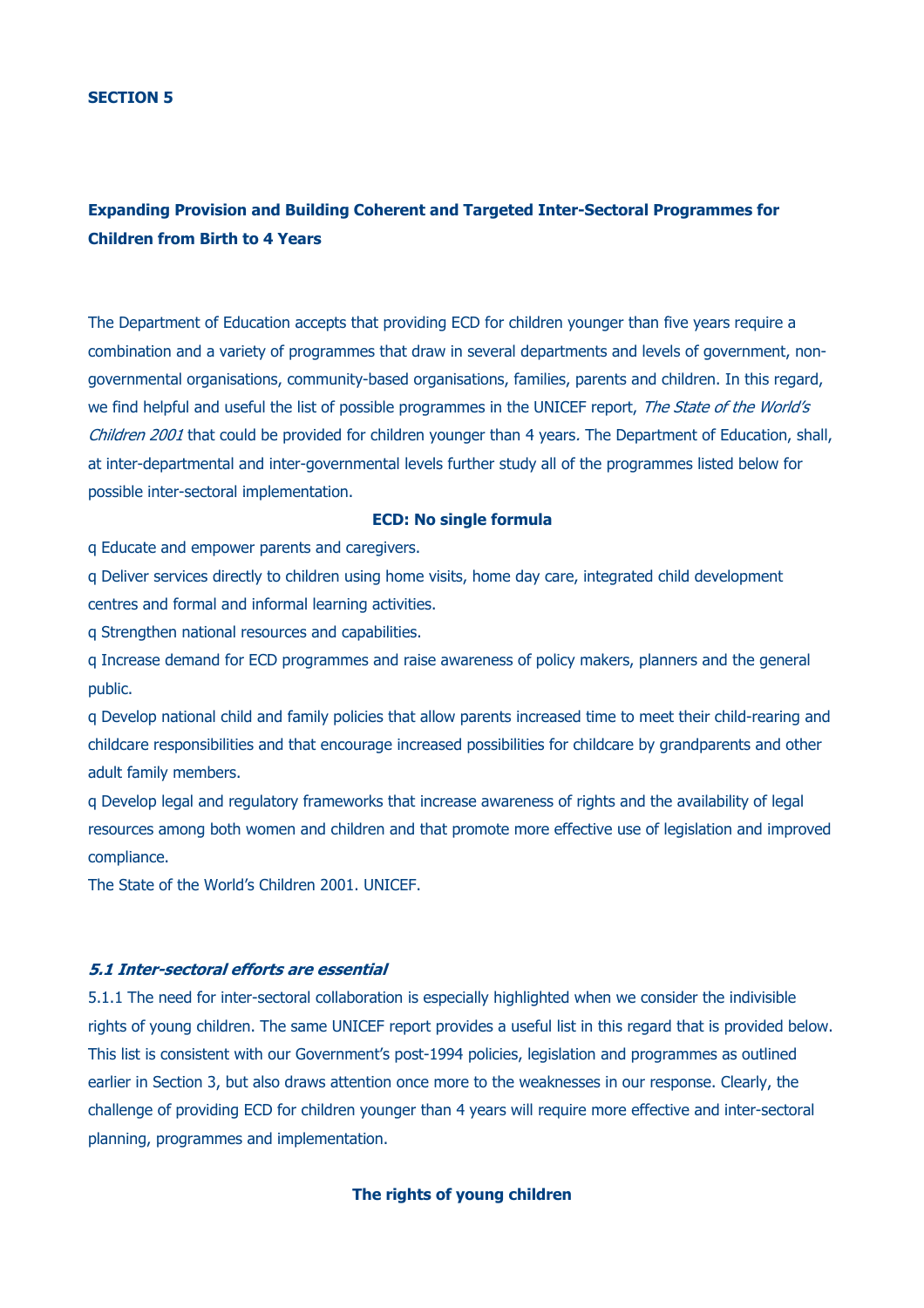# **Expanding Provision and Building Coherent and Targeted Inter-Sectoral Programmes for Children from Birth to 4 Years**

The Department of Education accepts that providing ECD for children younger than five years require a combination and a variety of programmes that draw in several departments and levels of government, nongovernmental organisations, community-based organisations, families, parents and children. In this regard, we find helpful and useful the list of possible programmes in the UNICEF report, The State of the World's Children 2001 that could be provided for children younger than 4 years. The Department of Education, shall, at inter-departmental and inter-governmental levels further study all of the programmes listed below for possible inter-sectoral implementation.

#### **ECD: No single formula**

q Educate and empower parents and caregivers.

q Deliver services directly to children using home visits, home day care, integrated child development centres and formal and informal learning activities.

q Strengthen national resources and capabilities.

q Increase demand for ECD programmes and raise awareness of policy makers, planners and the general public.

q Develop national child and family policies that allow parents increased time to meet their child-rearing and childcare responsibilities and that encourage increased possibilities for childcare by grandparents and other adult family members.

q Develop legal and regulatory frameworks that increase awareness of rights and the availability of legal resources among both women and children and that promote more effective use of legislation and improved compliance.

The State of the World's Children 2001. UNICEF.

#### **5.1 Inter-sectoral efforts are essential**

5.1.1 The need for inter-sectoral collaboration is especially highlighted when we consider the indivisible rights of young children. The same UNICEF report provides a useful list in this regard that is provided below. This list is consistent with our Government's post-1994 policies, legislation and programmes as outlined earlier in Section 3, but also draws attention once more to the weaknesses in our response. Clearly, the challenge of providing ECD for children younger than 4 years will require more effective and inter-sectoral planning, programmes and implementation.

### **The rights of young children**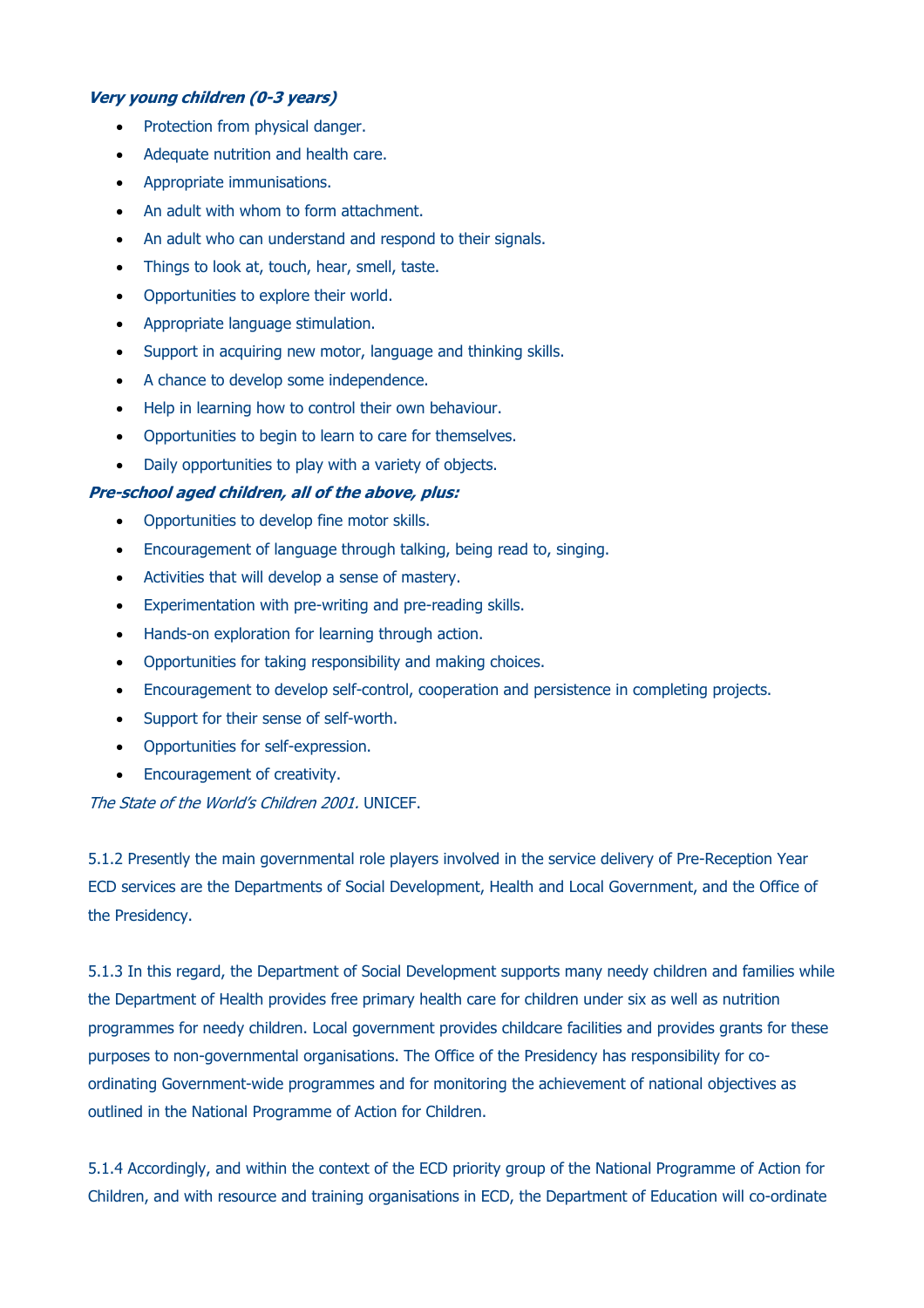## **Very young children (0-3 years)**

- Protection from physical danger.
- Adequate nutrition and health care.
- Appropriate immunisations.
- An adult with whom to form attachment.
- An adult who can understand and respond to their signals.
- Things to look at, touch, hear, smell, taste.
- Opportunities to explore their world.
- Appropriate language stimulation.
- Support in acquiring new motor, language and thinking skills.
- A chance to develop some independence.
- Help in learning how to control their own behaviour.
- Opportunities to begin to learn to care for themselves.
- Daily opportunities to play with a variety of objects.

## **Pre-school aged children, all of the above, plus:**

- Opportunities to develop fine motor skills.
- Encouragement of language through talking, being read to, singing.
- Activities that will develop a sense of mastery.
- Experimentation with pre-writing and pre-reading skills.
- Hands-on exploration for learning through action.
- Opportunities for taking responsibility and making choices.
- Encouragement to develop self-control, cooperation and persistence in completing projects.
- Support for their sense of self-worth.
- Opportunities for self-expression.
- Encouragement of creativity.

The State of the World's Children 2001. UNICEF.

5.1.2 Presently the main governmental role players involved in the service delivery of Pre-Reception Year ECD services are the Departments of Social Development, Health and Local Government, and the Office of the Presidency.

5.1.3 In this regard, the Department of Social Development supports many needy children and families while the Department of Health provides free primary health care for children under six as well as nutrition programmes for needy children. Local government provides childcare facilities and provides grants for these purposes to non-governmental organisations. The Office of the Presidency has responsibility for coordinating Government-wide programmes and for monitoring the achievement of national objectives as outlined in the National Programme of Action for Children.

5.1.4 Accordingly, and within the context of the ECD priority group of the National Programme of Action for Children, and with resource and training organisations in ECD, the Department of Education will co-ordinate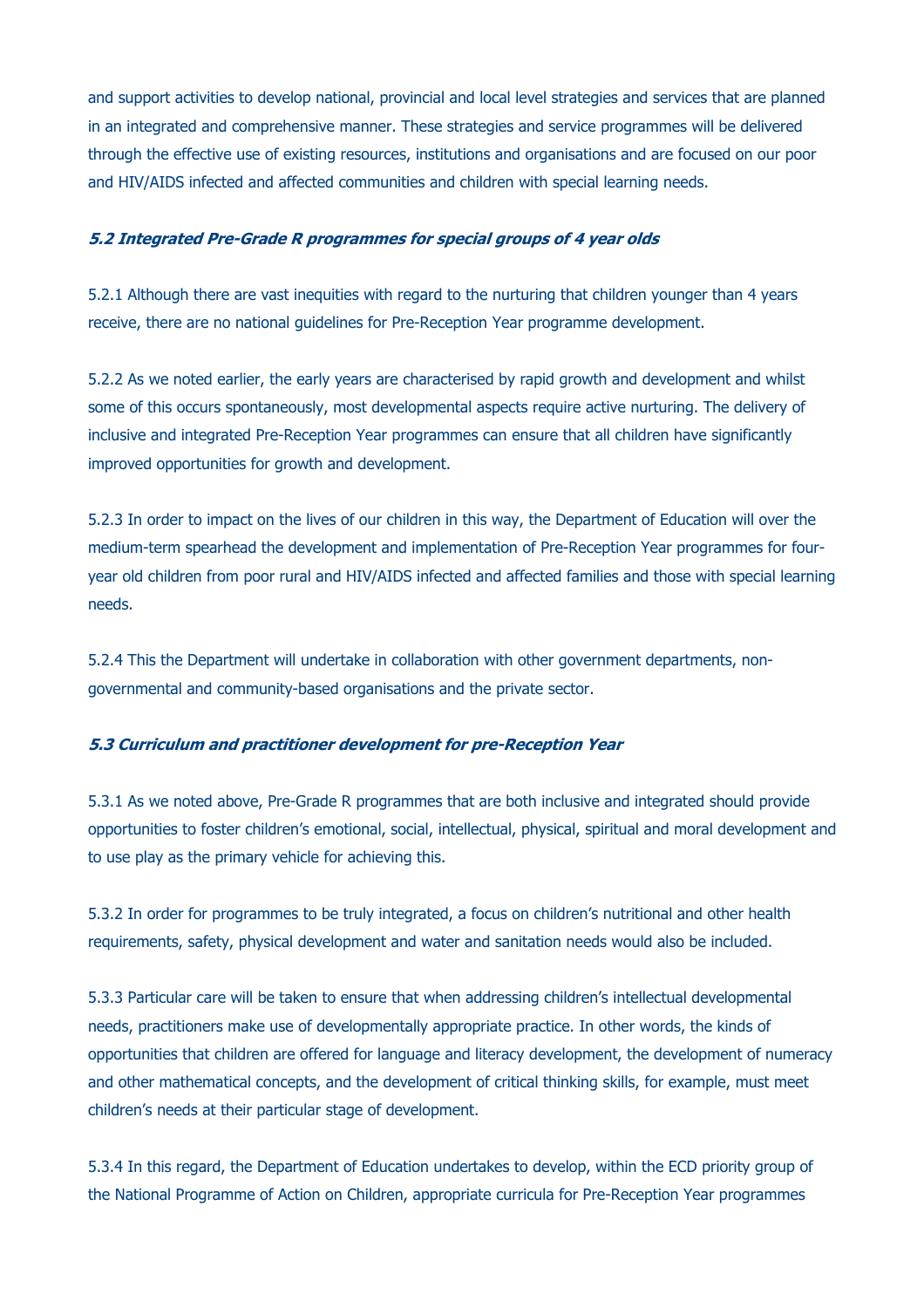and support activities to develop national, provincial and local level strategies and services that are planned in an integrated and comprehensive manner. These strategies and service programmes will be delivered through the effective use of existing resources, institutions and organisations and are focused on our poor and HIV/AIDS infected and affected communities and children with special learning needs.

#### **5.2 Integrated Pre-Grade R programmes for special groups of 4 year olds**

5.2.1 Although there are vast inequities with regard to the nurturing that children younger than 4 years receive, there are no national guidelines for Pre-Reception Year programme development.

5.2.2 As we noted earlier, the early years are characterised by rapid growth and development and whilst some of this occurs spontaneously, most developmental aspects require active nurturing. The delivery of inclusive and integrated Pre-Reception Year programmes can ensure that all children have significantly improved opportunities for growth and development.

5.2.3 In order to impact on the lives of our children in this way, the Department of Education will over the medium-term spearhead the development and implementation of Pre-Reception Year programmes for fouryear old children from poor rural and HIV/AIDS infected and affected families and those with special learning needs.

5.2.4 This the Department will undertake in collaboration with other government departments, nongovernmental and community-based organisations and the private sector.

#### **5.3 Curriculum and practitioner development for pre-Reception Year**

5.3.1 As we noted above, Pre-Grade R programmes that are both inclusive and integrated should provide opportunities to foster children's emotional, social, intellectual, physical, spiritual and moral development and to use play as the primary vehicle for achieving this.

5.3.2 In order for programmes to be truly integrated, a focus on children's nutritional and other health requirements, safety, physical development and water and sanitation needs would also be included.

5.3.3 Particular care will be taken to ensure that when addressing children's intellectual developmental needs, practitioners make use of developmentally appropriate practice. In other words, the kinds of opportunities that children are offered for language and literacy development, the development of numeracy and other mathematical concepts, and the development of critical thinking skills, for example, must meet children's needs at their particular stage of development.

5.3.4 In this regard, the Department of Education undertakes to develop, within the ECD priority group of the National Programme of Action on Children, appropriate curricula for Pre-Reception Year programmes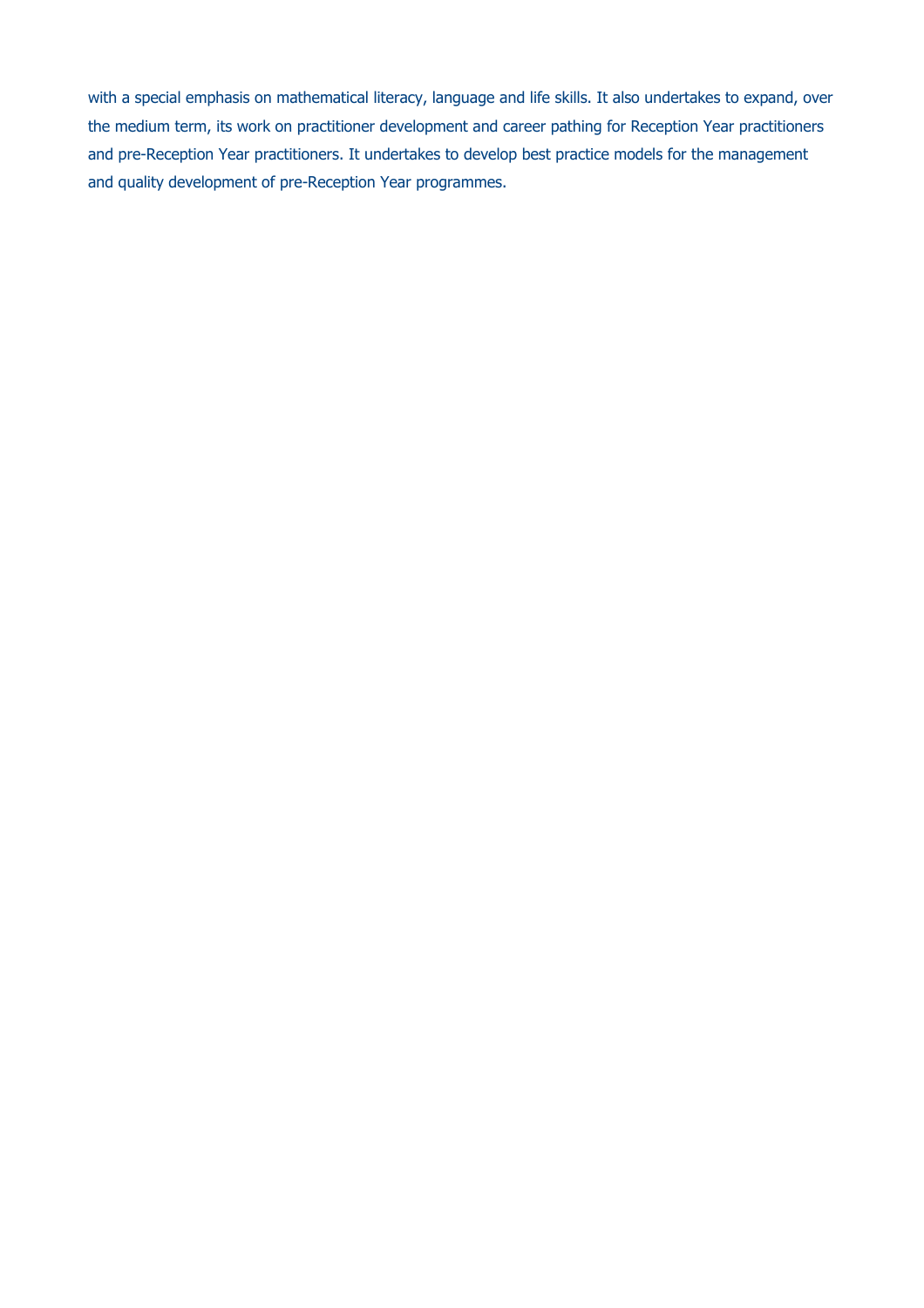with a special emphasis on mathematical literacy, language and life skills. It also undertakes to expand, over the medium term, its work on practitioner development and career pathing for Reception Year practitioners and pre-Reception Year practitioners. It undertakes to develop best practice models for the management and quality development of pre-Reception Year programmes.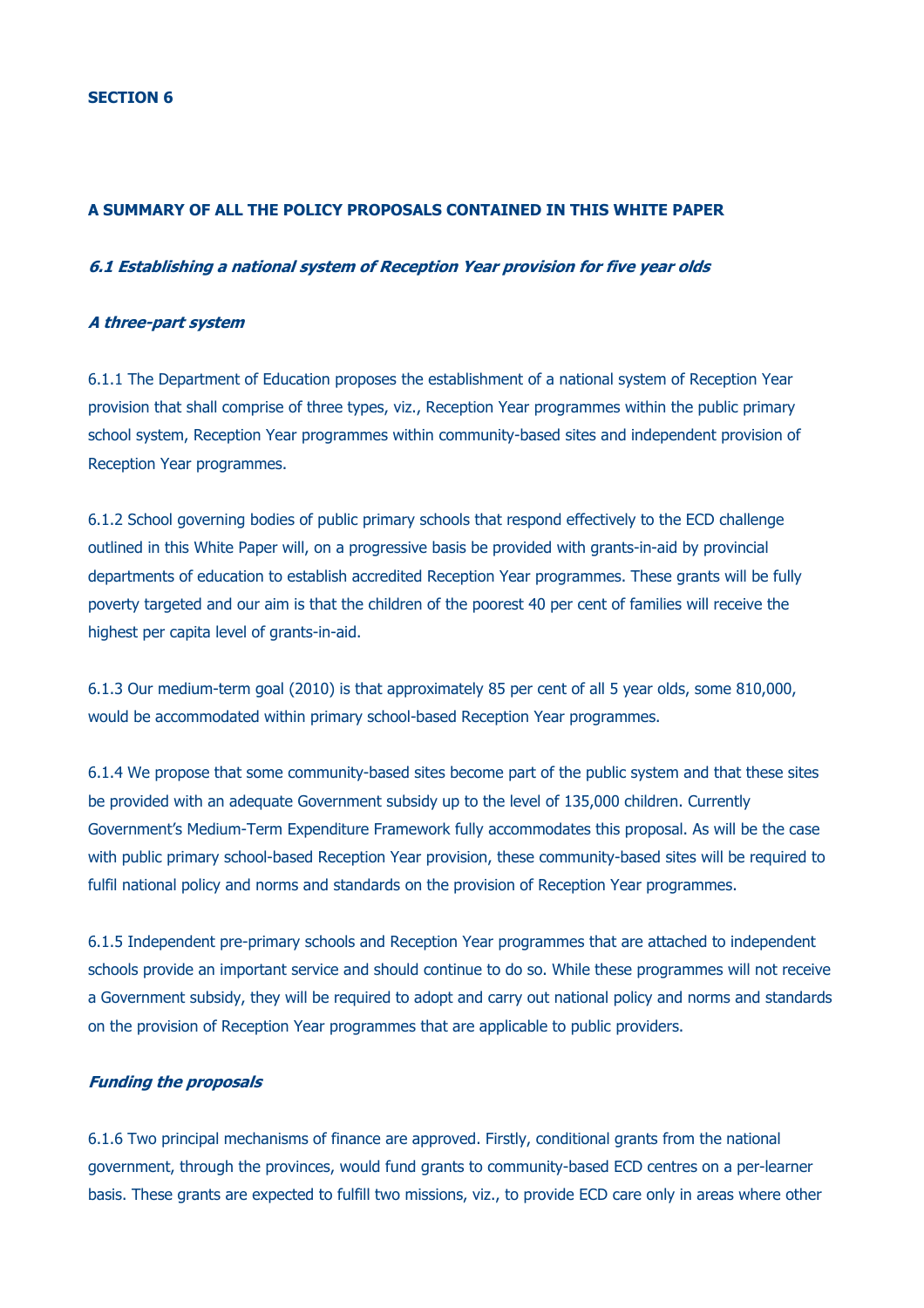#### **A SUMMARY OF ALL THE POLICY PROPOSALS CONTAINED IN THIS WHITE PAPER**

## **6.1 Establishing a national system of Reception Year provision for five year olds**

### **A three-part system**

6.1.1 The Department of Education proposes the establishment of a national system of Reception Year provision that shall comprise of three types, viz., Reception Year programmes within the public primary school system, Reception Year programmes within community-based sites and independent provision of Reception Year programmes.

6.1.2 School governing bodies of public primary schools that respond effectively to the ECD challenge outlined in this White Paper will, on a progressive basis be provided with grants-in-aid by provincial departments of education to establish accredited Reception Year programmes. These grants will be fully poverty targeted and our aim is that the children of the poorest 40 per cent of families will receive the highest per capita level of grants-in-aid.

6.1.3 Our medium-term goal (2010) is that approximately 85 per cent of all 5 year olds, some 810,000, would be accommodated within primary school-based Reception Year programmes.

6.1.4 We propose that some community-based sites become part of the public system and that these sites be provided with an adequate Government subsidy up to the level of 135,000 children. Currently Government's Medium-Term Expenditure Framework fully accommodates this proposal. As will be the case with public primary school-based Reception Year provision, these community-based sites will be required to fulfil national policy and norms and standards on the provision of Reception Year programmes.

6.1.5 Independent pre-primary schools and Reception Year programmes that are attached to independent schools provide an important service and should continue to do so. While these programmes will not receive a Government subsidy, they will be required to adopt and carry out national policy and norms and standards on the provision of Reception Year programmes that are applicable to public providers.

### **Funding the proposals**

6.1.6 Two principal mechanisms of finance are approved. Firstly, conditional grants from the national government, through the provinces, would fund grants to community-based ECD centres on a per-learner basis. These grants are expected to fulfill two missions, viz., to provide ECD care only in areas where other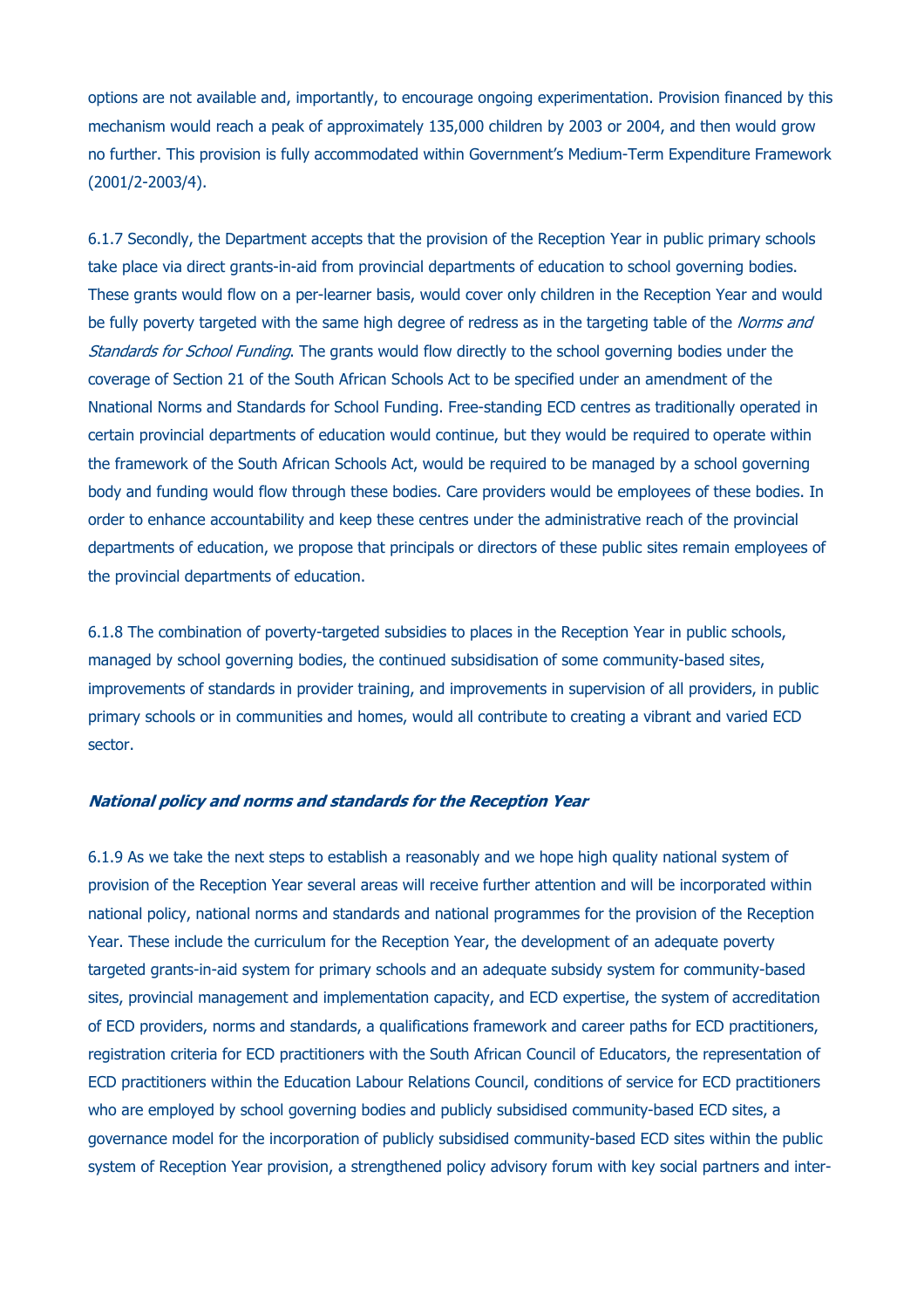options are not available and, importantly, to encourage ongoing experimentation. Provision financed by this mechanism would reach a peak of approximately 135,000 children by 2003 or 2004, and then would grow no further. This provision is fully accommodated within Government's Medium-Term Expenditure Framework (2001/2-2003/4).

6.1.7 Secondly, the Department accepts that the provision of the Reception Year in public primary schools take place via direct grants-in-aid from provincial departments of education to school governing bodies. These grants would flow on a per-learner basis, would cover only children in the Reception Year and would be fully poverty targeted with the same high degree of redress as in the targeting table of the *Norms and* Standards for School Funding. The grants would flow directly to the school governing bodies under the coverage of Section 21 of the South African Schools Act to be specified under an amendment of the Nnational Norms and Standards for School Funding. Free-standing ECD centres as traditionally operated in certain provincial departments of education would continue, but they would be required to operate within the framework of the South African Schools Act, would be required to be managed by a school governing body and funding would flow through these bodies. Care providers would be employees of these bodies. In order to enhance accountability and keep these centres under the administrative reach of the provincial departments of education, we propose that principals or directors of these public sites remain employees of the provincial departments of education.

6.1.8 The combination of poverty-targeted subsidies to places in the Reception Year in public schools, managed by school governing bodies, the continued subsidisation of some community-based sites, improvements of standards in provider training, and improvements in supervision of all providers, in public primary schools or in communities and homes, would all contribute to creating a vibrant and varied ECD sector.

#### **National policy and norms and standards for the Reception Year**

6.1.9 As we take the next steps to establish a reasonably and we hope high quality national system of provision of the Reception Year several areas will receive further attention and will be incorporated within national policy, national norms and standards and national programmes for the provision of the Reception Year. These include the curriculum for the Reception Year, the development of an adequate poverty targeted grants-in-aid system for primary schools and an adequate subsidy system for community-based sites, provincial management and implementation capacity, and ECD expertise, the system of accreditation of ECD providers, norms and standards, a qualifications framework and career paths for ECD practitioners, registration criteria for ECD practitioners with the South African Council of Educators, the representation of ECD practitioners within the Education Labour Relations Council, conditions of service for ECD practitioners who are employed by school governing bodies and publicly subsidised community-based ECD sites, a governance model for the incorporation of publicly subsidised community-based ECD sites within the public system of Reception Year provision, a strengthened policy advisory forum with key social partners and inter